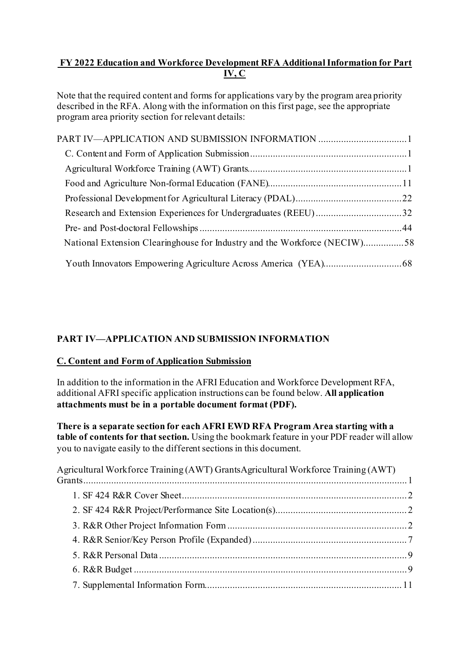## **FY 2022 Education and Workforce Development RFA Additional Information for Part IV, C**

Note that the required content and forms for applications vary by the program area priority described in the RFA. Along with the information on this first page, see the appropriate program area priority section for relevant details:

| PART IV—APPLICATION AND SUBMISSION INFORMATION 1                          |  |
|---------------------------------------------------------------------------|--|
|                                                                           |  |
|                                                                           |  |
|                                                                           |  |
|                                                                           |  |
| Research and Extension Experiences for Undergraduates (REEU)32            |  |
|                                                                           |  |
| National Extension Clearinghouse for Industry and the Workforce (NECIW)58 |  |
|                                                                           |  |

# <span id="page-0-0"></span>**PART IV—APPLICATION AND SUBMISSION INFORMATION**

### <span id="page-0-1"></span>**C. Content and Form of Application Submission**

In addition to the information in the AFRI Education and Workforce Development RFA, additional AFRI specific application instructions can be found below. **All application attachments must be in a portable document format (PDF).** 

**There is a separate section for each AFRI EWD RFA Program Area starting with a table of contents for that section.** Using the bookmark feature in your PDF reader will allow you to navigate easily to the different sections in this document.

<span id="page-0-2"></span>

| Agricultural Workforce Training (AWT) GrantsAgricultural Workforce Training (AWT) |  |
|-----------------------------------------------------------------------------------|--|
|                                                                                   |  |
|                                                                                   |  |
|                                                                                   |  |
|                                                                                   |  |
|                                                                                   |  |
|                                                                                   |  |
|                                                                                   |  |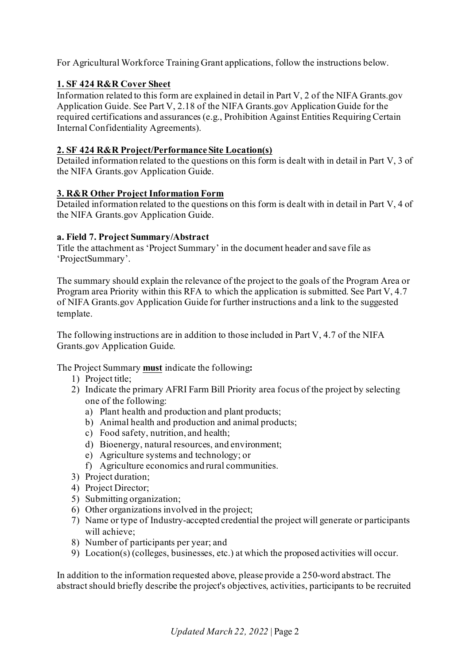For Agricultural Workforce Training Grant applications, follow the instructions below.

### <span id="page-1-0"></span>**1. SF 424 R&R Cover Sheet**

Information related to this form are explained in detail in Part V, 2 of the NIFA Grants.gov Application Guide. See Part V, 2.18 of the NIFA Grants.gov Application Guide for the required certifications and assurances (e.g., Prohibition Against Entities Requiring Certain Internal Confidentiality Agreements).

### <span id="page-1-1"></span>**2. SF 424 R&R Project/Performance Site Location(s)**

Detailed information related to the questions on this form is dealt with in detail in Part V, 3 of the NIFA Grants.gov Application Guide.

### <span id="page-1-2"></span>**3. R&R Other Project Information Form**

Detailed information related to the questions on this form is dealt with in detail in Part V, 4 of the NIFA Grants.gov Application Guide.

#### **a. Field 7. Project Summary/Abstract**

Title the attachment as 'Project Summary' in the document header and save file as 'ProjectSummary'.

The summary should explain the relevance of the project to the goals of the Program Area or Program area Priority within this RFA to which the application is submitted. See Part V, 4.7 of NIFA Grants.gov Application Guide for further instructions and a link to the suggested template.

The following instructions are in addition to those included in Part V, 4.7 of the NIFA Grants.gov Application Guide.

The Project Summary **must** indicate the following**:**

- 1) Project title;
- 2) Indicate the primary AFRI Farm Bill Priority area focus of the project by selecting one of the following:
	- a) Plant health and production and plant products;
	- b) Animal health and production and animal products;
	- c) Food safety, nutrition, and health;
	- d) Bioenergy, natural resources, and environment;
	- e) Agriculture systems and technology; or
	- f) Agriculture economics and rural communities.
- 3) Project duration;
- 4) Project Director;
- 5) Submitting organization;
- 6) Other organizations involved in the project;
- 7) Name or type of Industry-accepted credential the project will generate or participants will achieve;
- 8) Number of participants per year; and
- 9) Location(s) (colleges, businesses, etc.) at which the proposed activities will occur.

In addition to the information requested above, please provide a 250-word abstract. The abstract should briefly describe the project's objectives, activities, participants to be recruited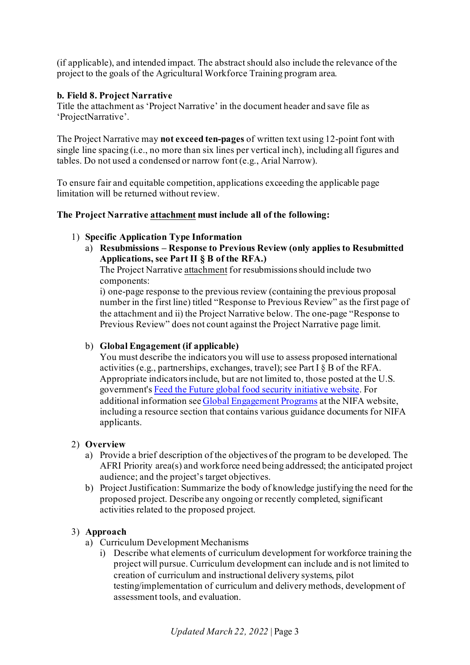(if applicable), and intended impact. The abstract should also include the relevance of the project to the goals of the Agricultural Workforce Training program area.

### **b. Field 8. Project Narrative**

Title the attachment as 'Project Narrative' in the document header and save file as 'ProjectNarrative'.

The Project Narrative may **not exceed ten-pages** of written text using 12-point font with single line spacing (i.e., no more than six lines per vertical inch), including all figures and tables. Do not used a condensed or narrow font (e.g., Arial Narrow).

To ensure fair and equitable competition, applications exceeding the applicable page limitation will be returned without review.

#### **The Project Narrative attachment must include all of the following:**

#### 1) **Specific Application Type Information**

a) **Resubmissions – Response to Previous Review (only applies to Resubmitted Applications, see Part II § B of the RFA.)**

The Project Narrative attachment for resubmissions should include two components:

i) one-page response to the previous review (containing the previous proposal number in the first line) titled "Response to Previous Review" as the first page of the attachment and ii) the Project Narrative below. The one-page "Response to Previous Review" does not count against the Project Narrative page limit.

### b) **Global Engagement (if applicable)**

You must describe the indicators you will use to assess proposed international activities (e.g., partnerships, exchanges, travel); see Part I § B of the RFA. Appropriate indicators include, but are not limited to, those posted at the U.S. government'[s Feed the Future global food security initiative website](http://www.feedthefuture.gov/progress). For additional information se[e Global Engagement Programs](https://nifa.usda.gov/program/global-engagement-programs) at the NIFA website, including a resource section that contains various guidance documents for NIFA applicants.

#### 2) **Overview**

- a) Provide a brief description of the objectives of the program to be developed. The AFRI Priority area(s) and workforce need being addressed; the anticipated project audience; and the project's target objectives.
- b) Project Justification: Summarize the body of knowledge justifying the need for the proposed project. Describe any ongoing or recently completed, significant activities related to the proposed project.

### 3) **Approach**

- a) Curriculum Development Mechanisms
	- i) Describe what elements of curriculum development for workforce training the project will pursue. Curriculum development can include and is not limited to creation of curriculum and instructional delivery systems, pilot testing/implementation of curriculum and delivery methods, development of assessment tools, and evaluation.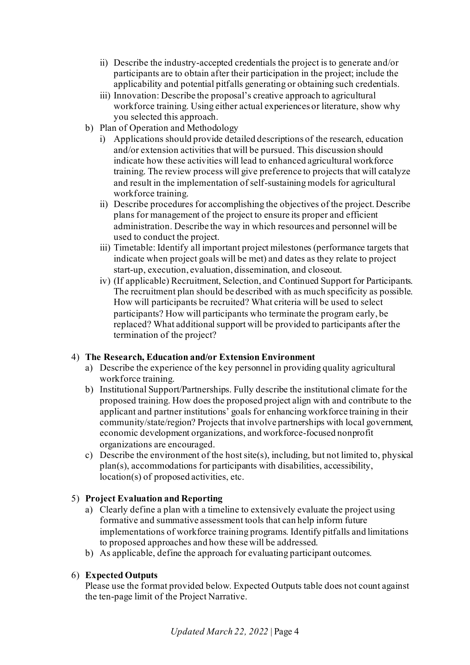- ii) Describe the industry-accepted credentials the project is to generate and/or participants are to obtain after their participation in the project; include the applicability and potential pitfalls generating or obtaining such credentials.
- iii) Innovation: Describe the proposal's creative approach to agricultural workforce training. Using either actual experiences or literature, show why you selected this approach.
- b) Plan of Operation and Methodology
	- i) Applications should provide detailed descriptions of the research, education and/or extension activities that will be pursued. This discussion should indicate how these activities will lead to enhanced agricultural workforce training. The review process will give preference to projects that will catalyze and result in the implementation of self-sustaining models for agricultural workforce training.
	- ii) Describe procedures for accomplishing the objectives of the project. Describe plans for management of the project to ensure its proper and efficient administration. Describe the way in which resources and personnel will be used to conduct the project.
	- iii) Timetable: Identify all important project milestones (performance targets that indicate when project goals will be met) and dates as they relate to project start-up, execution, evaluation, dissemination, and closeout.
	- iv) (If applicable) Recruitment, Selection, and Continued Support for Participants. The recruitment plan should be described with as much specificity as possible. How will participants be recruited? What criteria will be used to select participants? How will participants who terminate the program early, be replaced? What additional support will be provided to participants after the termination of the project?

### 4) **The Research, Education and/or Extension Environment**

- a) Describe the experience of the key personnel in providing quality agricultural workforce training.
- b) Institutional Support/Partnerships. Fully describe the institutional climate for the proposed training. How does the proposed project align with and contribute to the applicant and partner institutions' goals for enhancing workforce training in their community/state/region? Projects that involve partnerships with local government, economic development organizations, and workforce-focused nonprofit organizations are encouraged.
- c) Describe the environment of the host site(s), including, but not limited to, physical plan(s), accommodations for participants with disabilities, accessibility, location(s) of proposed activities, etc.

## 5) **Project Evaluation and Reporting**

- a) Clearly define a plan with a timeline to extensively evaluate the project using formative and summative assessment tools that can help inform future implementations of workforce training programs. Identify pitfalls and limitations to proposed approaches and how these will be addressed.
- b) As applicable, define the approach for evaluating participant outcomes.

## 6) **Expected Outputs**

Please use the format provided below. Expected Outputs table does not count against the ten-page limit of the Project Narrative.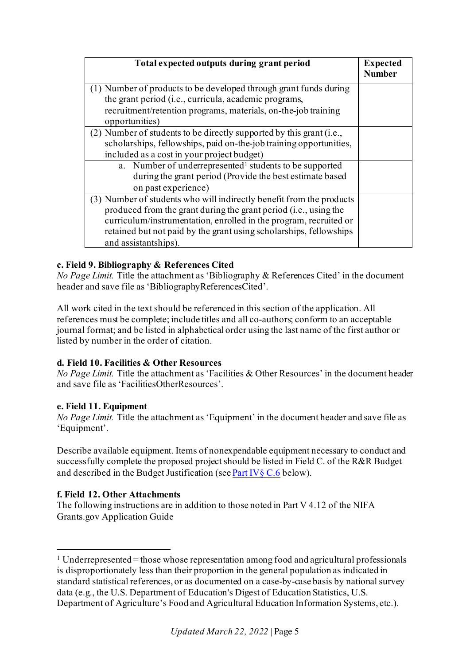| Total expected outputs during grant period                                                                                                                                                                                                                                                                  | <b>Expected</b><br><b>Number</b> |
|-------------------------------------------------------------------------------------------------------------------------------------------------------------------------------------------------------------------------------------------------------------------------------------------------------------|----------------------------------|
| (1) Number of products to be developed through grant funds during<br>the grant period (i.e., curricula, academic programs,                                                                                                                                                                                  |                                  |
| recruitment/retention programs, materials, on-the-job training<br>opportunities)                                                                                                                                                                                                                            |                                  |
| (2) Number of students to be directly supported by this grant (i.e.,<br>scholarships, fellowships, paid on-the-job training opportunities,<br>included as a cost in your project budget)                                                                                                                    |                                  |
| a. Number of underrepresented <sup>1</sup> students to be supported<br>during the grant period (Provide the best estimate based<br>on past experience)                                                                                                                                                      |                                  |
| (3) Number of students who will indirectly benefit from the products<br>produced from the grant during the grant period (i.e., using the<br>curriculum/instrumentation, enrolled in the program, recruited or<br>retained but not paid by the grant using scholarships, fellowships<br>and assistantships). |                                  |

## **c. Field 9. Bibliography & References Cited**

*No Page Limit.* Title the attachment as 'Bibliography & References Cited' in the document header and save file as 'BibliographyReferencesCited'.

All work cited in the text should be referenced in this section of the application. All references must be complete; include titles and all co-authors; conform to an acceptable journal format; and be listed in alphabetical order using the last name of the first author or listed by number in the order of citation.

### **d. Field 10. Facilities & Other Resources**

*No Page Limit.* Title the attachment as 'Facilities & Other Resources' in the document header and save file as 'FacilitiesOtherResources'.

### **e. Field 11. Equipment**

*No Page Limit.* Title the attachment as 'Equipment' in the document header and save file as 'Equipment'.

Describe available equipment. Items of nonexpendable equipment necessary to conduct and successfully complete the proposed project should be listed in Field C. of the R&R Budget and described in the Budget Justification (se[e Part IV§](#page-8-1) C.6 below).

### **f. Field 12. Other Attachments**

The following instructions are in addition to those noted in Part V 4.12 of the NIFA Grants.gov Application Guide

<span id="page-4-0"></span> $1$  Underrepresented = those whose representation among food and agricultural professionals is disproportionately less than their proportion in the general population as indicated in standard statistical references, or as documented on a case-by-case basis by national survey data (e.g., the U.S. Department of Education's Digest of Education Statistics, U.S. Department of Agriculture's Food and Agricultural Education Information Systems, etc.).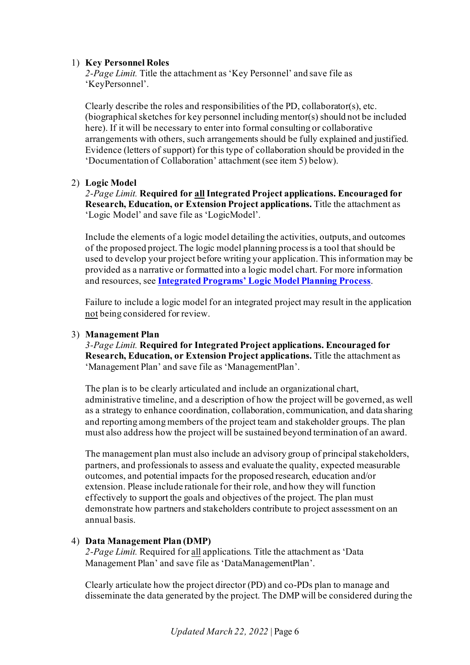### 1) **Key Personnel Roles**

*2-Page Limit.* Title the attachment as 'Key Personnel' and save file as 'KeyPersonnel'.

Clearly describe the roles and responsibilities of the PD, collaborator(s), etc. (biographical sketches for key personnel including mentor(s) should not be included here). If it will be necessary to enter into formal consulting or collaborative arrangements with others, such arrangements should be fully explained and justified. Evidence (letters of support) for this type of collaboration should be provided in the 'Documentation of Collaboration' attachment (see item 5) below).

#### 2) **Logic Model**

*2-Page Limit.* **Required for allIntegrated Project applications. Encouraged for Research, Education, or Extension Project applications.** Title the attachment as 'Logic Model' and save file as 'LogicModel'.

Include the elements of a logic model detailing the activities, outputs, and outcomes of the proposed project. The logic model planning process is a tool that should be used to develop your project before writing your application. This information may be provided as a narrative or formatted into a logic model chart. For more information and resources, see **[Integrated Programs' Logic Model Planning Process](https://nifa.usda.gov/resource/integrated-programs-logic-model-planning-process)**.

Failure to include a logic model for an integrated project may result in the application not being considered for review.

#### 3) **Management Plan**

*3-Page Limit.* **Required for Integrated Project applications. Encouraged for Research, Education, or Extension Project applications.** Title the attachment as 'Management Plan' and save file as 'ManagementPlan'.

The plan is to be clearly articulated and include an organizational chart, administrative timeline, and a description of how the project will be governed, as well as a strategy to enhance coordination, collaboration, communication, and data sharing and reporting among members of the project team and stakeholder groups. The plan must also address how the project will be sustained beyond termination of an award.

The management plan must also include an advisory group of principal stakeholders, partners, and professionals to assess and evaluate the quality, expected measurable outcomes, and potential impacts for the proposed research, education and/or extension. Please include rationale for their role, and how they will function effectively to support the goals and objectives of the project. The plan must demonstrate how partners and stakeholders contribute to project assessment on an annual basis.

### 4) **Data Management Plan (DMP)**

*2-Page Limit.* Required for all applications. Title the attachment as 'Data Management Plan' and save file as 'DataManagementPlan'.

Clearly articulate how the project director (PD) and co-PDs plan to manage and disseminate the data generated by the project. The DMP will be considered during the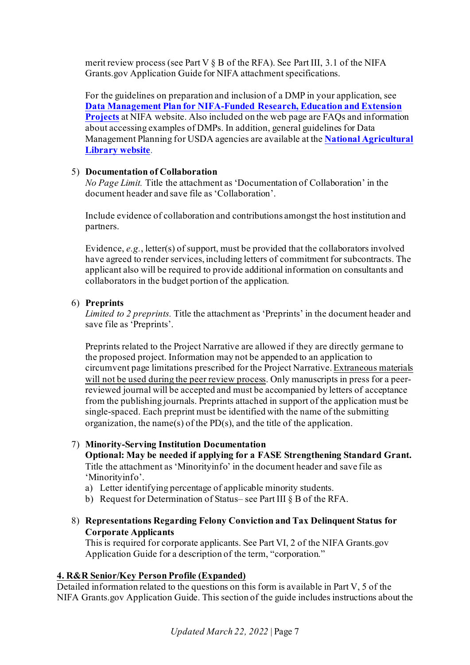merit review process (see Part V  $\S$  B of the RFA). See Part III, 3.1 of the NIFA Grants.gov Application Guide for NIFA attachment specifications.

For the guidelines on preparation and inclusion of a DMP in your application, see **[Data Management Plan for NIFA-Funded Research, Education and Extension](https://nifa.usda.gov/resource/data-management-plan-nifa-funded-research-projects)  [Projects](https://nifa.usda.gov/resource/data-management-plan-nifa-funded-research-projects)** at NIFA website. Also included on the web page are FAQs and information about accessing examples of DMPs. In addition, general guidelines for Data Management Planning for USDA agencies are available at the **[National Agricultural](https://www.nal.usda.gov/ks/guidelines-data-management-planning)  [Library website](https://www.nal.usda.gov/ks/guidelines-data-management-planning)**.

### <span id="page-6-1"></span>5) **Documentation of Collaboration**

*No Page Limit.* Title the attachment as 'Documentation of Collaboration' in the document header and save file as 'Collaboration'.

Include evidence of collaboration and contributions amongst the host institution and partners.

Evidence, *e.g.*, letter(s) of support, must be provided that the collaborators involved have agreed to render services, including letters of commitment for subcontracts. The applicant also will be required to provide additional information on consultants and collaborators in the budget portion of the application.

#### 6) **Preprints**

*Limited to 2 preprints.* Title the attachment as 'Preprints' in the document header and save file as 'Preprints'.

Preprints related to the Project Narrative are allowed if they are directly germane to the proposed project. Information may not be appended to an application to circumvent page limitations prescribed for the Project Narrative. Extraneous materials will not be used during the peer review process. Only manuscripts in press for a peerreviewed journal will be accepted and must be accompanied by letters of acceptance from the publishing journals. Preprints attached in support of the application must be single-spaced. Each preprint must be identified with the name of the submitting organization, the name(s) of the PD(s), and the title of the application.

7) **Minority-Serving Institution Documentation**

**Optional: May be needed if applying for a [FASE Strengthening Standard Grant.](https://nifa.usda.gov/afri-fase-epscor-program)**  Title the attachment as 'Minorityinfo' in the document header and save file as 'Minorityinfo'.

- a) Letter identifying percentage of applicable minority students.
- b) Request for Determination of Status– see Part III § B of the RFA.
- 8) **Representations Regarding Felony Conviction and Tax Delinquent Status for Corporate Applicants**

This is required for corporate applicants. See Part VI, 2 of the NIFA Grants.gov Application Guide for a description of the term, "corporation."

### <span id="page-6-0"></span>**4. R&R Senior/Key Person Profile (Expanded)**

Detailed information related to the questions on this form is available in Part V, 5 of the NIFA Grants.gov Application Guide. This section of the guide includes instructions about the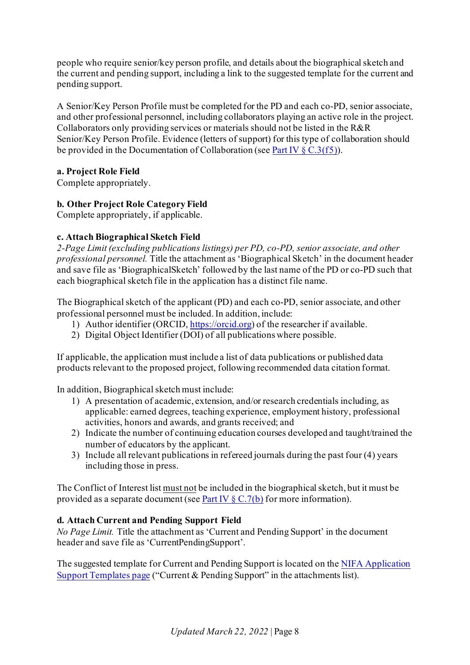people who require senior/key person profile, and details about the biographical sketch and the current and pending support, including a link to the suggested template for the current and pending support.

A Senior/Key Person Profile must be completed for the PD and each co-PD, senior associate, and other professional personnel, including collaborators playing an active role in the project. Collaborators only providing services or materials should not be listed in the R&R Senior/Key Person Profile. Evidence (letters of support) for this type of collaboration should be provided in the Documentation of Collaboration (see Part IV  $\S C.3(f5)$ ).

### **a. Project Role Field**

Complete appropriately.

### **b. Other Project Role Category Field**

Complete appropriately, if applicable.

### **c. Attach Biographical Sketch Field**

*2-Page Limit (excluding publications listings) per PD, co-PD, senior associate, and other professional personnel.* Title the attachment as 'Biographical Sketch' in the document header and save file as 'BiographicalSketch' followed by the last name of the PD or co-PD such that each biographical sketch file in the application has a distinct file name.

The Biographical sketch of the applicant (PD) and each co-PD, senior associate, and other professional personnel must be included. In addition, include:

- 1) Author identifier (ORCID[, https://orcid.org\)](https://orcid.org/) of the researcher if available.
- 2) Digital Object Identifier (DOI) of all publications where possible.

If applicable, the application must include a list of data publications or published data products relevant to the proposed project, following recommended data citation format.

In addition, Biographical sketch must include:

- 1) A presentation of academic, extension, and/or research credentials including, as applicable: earned degrees, teaching experience, employment history, professional activities, honors and awards, and grants received; and
- 2) Indicate the number of continuing education courses developed and taught/trained the number of educators by the applicant.
- 3) Include all relevant publications in refereed journals during the past four (4) years including those in press.

The Conflict of Interest list must not be included in the biographical sketch, but it must be provided as a separate document (se[e Part IV](#page-10-2)  $\S C.7(b)$  for more information).

### **d. Attach Current and Pending Support Field**

*No Page Limit.* Title the attachment as 'Current and Pending Support' in the document header and save file as 'CurrentPendingSupport'.

The suggested template for Current and Pending Support is located on the NIFA Application [Support Templates page](https://nifa.usda.gov/resource/application-support-templates) ("Current & Pending Support" in the attachments list).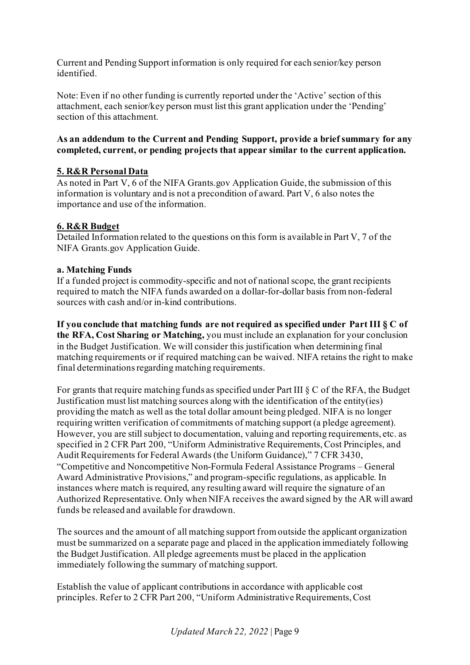Current and Pending Support information is only required for each senior/key person identified.

Note: Even if no other funding is currently reported under the 'Active' section of this attachment, each senior/key person must list this grant application under the 'Pending' section of this attachment.

### **As an addendum to the Current and Pending Support, provide a brief summary for any completed, current, or pending projects that appear similar to the current application.**

## <span id="page-8-0"></span>**5. R&R Personal Data**

As noted in Part V, 6 of the NIFA Grants.gov Application Guide, the submission of this information is voluntary and is not a precondition of award. Part V, 6 also notes the importance and use of the information.

### <span id="page-8-1"></span>**6. R&R Budget**

Detailed Information related to the questions on this form is available in Part V, 7 of the NIFA Grants.gov Application Guide.

### **a. Matching Funds**

If a funded project is commodity-specific and not of national scope, the grant recipients required to match the NIFA funds awarded on a dollar-for-dollar basis from non-federal sources with cash and/or in-kind contributions.

**If you conclude that matching funds are not required as specified under Part III § C of the RFA, Cost Sharing or Matching,** you must include an explanation for your conclusion in the Budget Justification. We will consider this justification when determining final matching requirements or if required matching can be waived. NIFA retains the right to make final determinations regarding matching requirements.

For grants that require matching funds as specified under Part III § C of the RFA, the Budget Justification must list matching sources along with the identification of the entity(ies) providing the match as well as the total dollar amount being pledged. NIFA is no longer requiring written verification of commitments of matching support (a pledge agreement). However, you are still subject to documentation, valuing and reporting requirements, etc. as specified in 2 CFR Part 200, "Uniform Administrative Requirements, Cost Principles, and Audit Requirements for Federal Awards (the Uniform Guidance)," 7 CFR 3430, "Competitive and Noncompetitive Non-Formula Federal Assistance Programs – General Award Administrative Provisions," and program-specific regulations, as applicable. In instances where match is required, any resulting award will require the signature of an Authorized Representative. Only when NIFA receives the award signed by the AR will award funds be released and available for drawdown.

The sources and the amount of all matching support from outside the applicant organization must be summarized on a separate page and placed in the application immediately following the Budget Justification. All pledge agreements must be placed in the application immediately following the summary of matching support.

Establish the value of applicant contributions in accordance with applicable cost principles. Refer to 2 CFR Part 200, "Uniform Administrative Requirements, Cost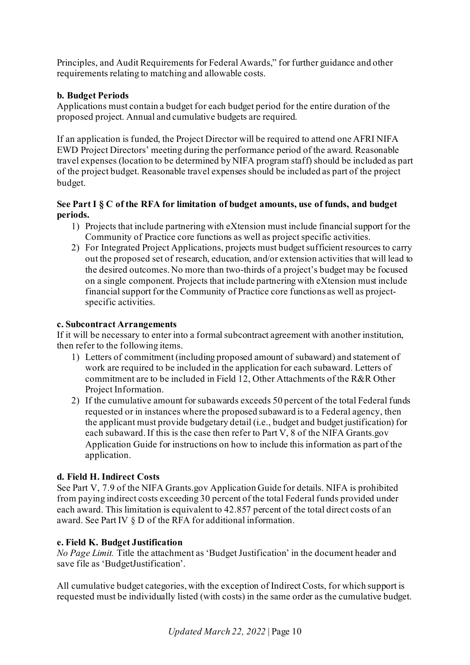Principles, and Audit Requirements for Federal Awards," for further guidance and other requirements relating to matching and allowable costs.

### **b. Budget Periods**

Applications must contain a budget for each budget period for the entire duration of the proposed project. Annual and cumulative budgets are required.

If an application is funded, the Project Director will be required to attend one AFRI NIFA EWD Project Directors' meeting during the performance period of the award. Reasonable travel expenses (location to be determined by NIFA program staff) should be included as part of the project budget. Reasonable travel expenses should be included as part of the project budget.

### **See Part I § C of the RFA for limitation of budget amounts, use of funds, and budget periods.**

- 1) Projects that include partnering with eXtension must include financial support for the Community of Practice core functions as well as project specific activities.
- 2) For Integrated Project Applications, projects must budget sufficient resources to carry out the proposed set of research, education, and/or extension activities that will lead to the desired outcomes. No more than two-thirds of a project's budget may be focused on a single component. Projects that include partnering with eXtension must include financial support for the Community of Practice core functions as well as projectspecific activities.

### **c. Subcontract Arrangements**

If it will be necessary to enter into a formal subcontract agreement with another institution, then refer to the following items.

- 1) Letters of commitment (including proposed amount of subaward) and statement of work are required to be included in the application for each subaward. Letters of commitment are to be included in Field 12, Other Attachments of the R&R Other Project Information.
- 2) If the cumulative amount for subawards exceeds 50 percent of the total Federal funds requested or in instances where the proposed subaward is to a Federal agency, then the applicant must provide budgetary detail (i.e., budget and budget justification) for each subaward. If this is the case then refer to Part V, 8 of the NIFA Grants.gov Application Guide for instructions on how to include this information as part of the application.

## **d. Field H. Indirect Costs**

See Part V, 7.9 of the NIFA Grants.gov Application Guide for details. NIFA is prohibited from paying indirect costs exceeding 30 percent of the total Federal funds provided under each award. This limitation is equivalent to 42.857 percent of the total direct costs of an award. See Part IV § D of the RFA for additional information.

## **e. Field K. Budget Justification**

*No Page Limit.* Title the attachment as 'Budget Justification' in the document header and save file as 'BudgetJustification'.

All cumulative budget categories, with the exception of Indirect Costs, for which support is requested must be individually listed (with costs) in the same order as the cumulative budget.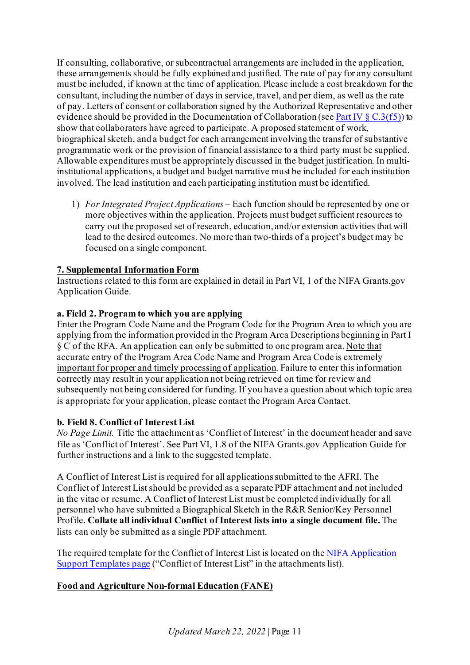If consulting, collaborative, or subcontractual arrangements are included in the application, these arrangements should be fully explained and justified. The rate of pay for any consultant must be included, if known at the time of application. Please include a cost breakdown for the consultant, including the number of days in service, travel, and per diem, as well as the rate of pay. Letters of consent or collaboration signed by the Authorized Representative and other evidence should be provided in the Documentation of Collaboration (se[e Part IV](#page-6-1)  $\S$  C.3(f5)) to show that collaborators have agreed to participate. A proposed statement of work, biographical sketch, and a budget for each arrangement involving the transfer of substantive programmatic work or the provision of financial assistance to a third party must be supplied. Allowable expenditures must be appropriately discussed in the budget justification. In multiinstitutional applications, a budget and budget narrative must be included for each institution involved. The lead institution and each participating institution must be identified.

1) *For Integrated Project Applications –* Each function should be represented by one or more objectives within the application. Projects must budget sufficient resources to carry out the proposed set of research, education, and/or extension activities that will lead to the desired outcomes. No more than two-thirds of a project's budget may be focused on a single component.

### <span id="page-10-1"></span>**7. Supplemental Information Form**

Instructions related to this form are explained in detail in Part VI, 1 of the NIFA Grants.gov Application Guide.

### **a. Field 2. Program to which you are applying**

Enter the Program Code Name and the Program Code for the Program Area to which you are applying from the information provided in the Program Area Descriptions beginning in Part I § C of the RFA. An application can only be submitted to one program area. Note that accurate entry of the Program Area Code Name and Program Area Code is extremely important for proper and timely processing of application. Failure to enter this information correctly may result in your application not being retrieved on time for review and subsequently not being considered for funding. If you have a question about which topic area is appropriate for your application, please contact the Program Area Contact.

### <span id="page-10-2"></span>**b. Field 8. Conflict of Interest List**

*No Page Limit.* Title the attachment as 'Conflict of Interest' in the document header and save file as 'Conflict of Interest'. See Part VI, 1.8 of the NIFA Grants.gov Application Guide for further instructions and a link to the suggested template.

A Conflict of Interest List is required for all applications submitted to the AFRI. The Conflict of Interest List should be provided as a separate PDF attachment and not included in the vitae or resume. A Conflict of Interest List must be completed individually for all personnel who have submitted a Biographical Sketch in the R&R Senior/Key Personnel Profile. **Collate all individual Conflict of Interest lists into a single document file.** The lists can only be submitted as a single PDF attachment.

The required template for the Conflict of Interest List is located on th[e NIFA Application](https://nifa.usda.gov/resource/application-support-templates)  [Support Templates page](https://nifa.usda.gov/resource/application-support-templates) ("Conflict of Interest List" in the attachments list).

## <span id="page-10-0"></span>**Food and Agriculture Non-formal Education (FANE)**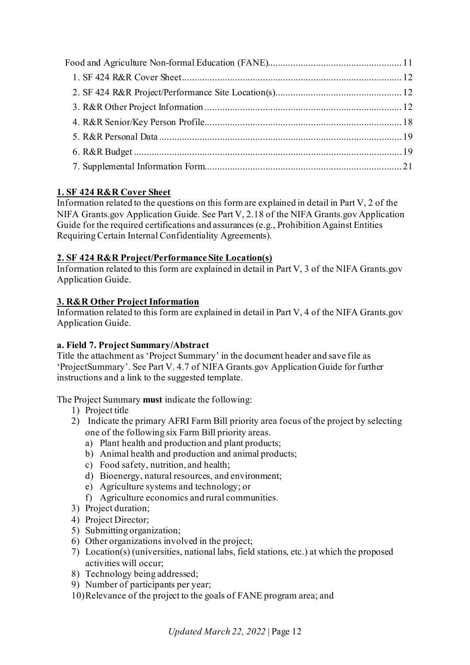# <span id="page-11-0"></span>**1. SF 424 R&R Cover Sheet**

Information related to the questions on this form are explained in detail in Part V, 2 of the NIFA Grants.gov Application Guide. See Part V, 2.18 of the NIFA Grants.gov Application Guide for the required certifications and assurances (e.g., Prohibition Against Entities Requiring Certain Internal Confidentiality Agreements).

## <span id="page-11-1"></span>**2. SF 424 R&R Project/Performance Site Location(s)**

Information related to this form are explained in detail in Part V, 3 of the NIFA Grants.gov Application Guide.

# <span id="page-11-2"></span>**3. R&R Other Project Information**

Information related to this form are explained in detail in Part V, 4 of the NIFA Grants.gov Application Guide.

## **a. Field 7. Project Summary/Abstract**

Title the attachment as 'Project Summary' in the document header and save file as 'ProjectSummary'. See Part V. 4.7 of NIFA Grants.gov Application Guide for further instructions and a link to the suggested template.

The Project Summary **must** indicate the following:

- 1) Project title
- 2) Indicate the primary AFRI Farm Bill priority area focus of the project by selecting one of the following six Farm Bill priority areas.
	- a) Plant health and production and plant products;
	- b) Animal health and production and animal products;
	- c) Food safety, nutrition, and health;
	- d) Bioenergy, natural resources, and environment;
	- e) Agriculture systems and technology; or
	- f) Agriculture economics and rural communities.
- 3) Project duration;
- 4) Project Director;
- 5) Submitting organization;
- 6) Other organizations involved in the project;
- 7) Location(s) (universities, national labs, field stations, etc.) at which the proposed activities will occur;
- 8) Technology being addressed;
- 9) Number of participants per year;
- 10)Relevance of the project to the goals of FANE program area; and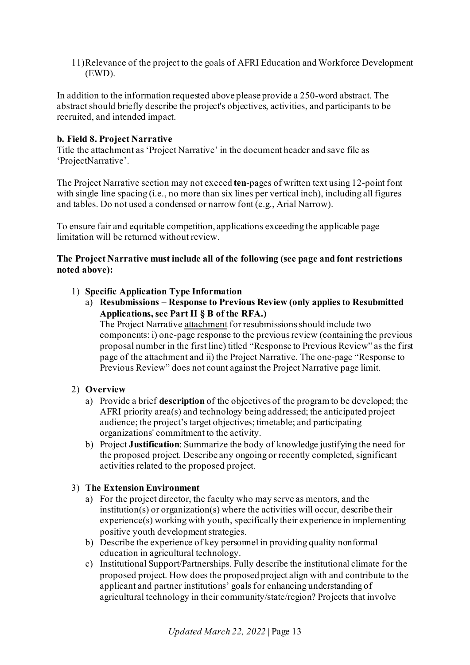11)Relevance of the project to the goals of AFRI Education and Workforce Development (EWD).

In addition to the information requested above please provide a 250-word abstract. The abstract should briefly describe the project's objectives, activities, and participants to be recruited, and intended impact.

#### **b. Field 8. Project Narrative**

Title the attachment as 'Project Narrative' in the document header and save file as 'ProjectNarrative'.

The Project Narrative section may not exceed **ten**-pages of written text using 12-point font with single line spacing (i.e., no more than six lines per vertical inch), including all figures and tables. Do not used a condensed or narrow font (e.g., Arial Narrow).

To ensure fair and equitable competition, applications exceeding the applicable page limitation will be returned without review.

### **The Project Narrative must include all of the following (see page and font restrictions noted above):**

- 1) **Specific Application Type Information**
	- a) **Resubmissions – Response to Previous Review (only applies to Resubmitted Applications, see Part II § B of the RFA.)**

The Project Narrative attachment for resubmissions should include two components: i) one-page response to the previous review (containing the previous proposal number in the first line) titled "Response to Previous Review" as the first page of the attachment and ii) the Project Narrative. The one-page "Response to Previous Review" does not count against the Project Narrative page limit.

### 2) **Overview**

- a) Provide a brief **description** of the objectives of the program to be developed; the AFRI priority area(s) and technology being addressed; the anticipated project audience; the project's target objectives; timetable; and participating organizations' commitment to the activity.
- b) Project **Justification**: Summarize the body of knowledge justifying the need for the proposed project. Describe any ongoing or recently completed, significant activities related to the proposed project.

### 3) **The Extension Environment**

- a) For the project director, the faculty who may serve as mentors, and the institution(s) or organization(s) where the activities will occur, describe their experience(s) working with youth, specifically their experience in implementing positive youth development strategies.
- b) Describe the experience of key personnel in providing quality nonformal education in agricultural technology.
- c) Institutional Support/Partnerships. Fully describe the institutional climate for the proposed project. How does the proposed project align with and contribute to the applicant and partner institutions' goals for enhancing understanding of agricultural technology in their community/state/region? Projects that involve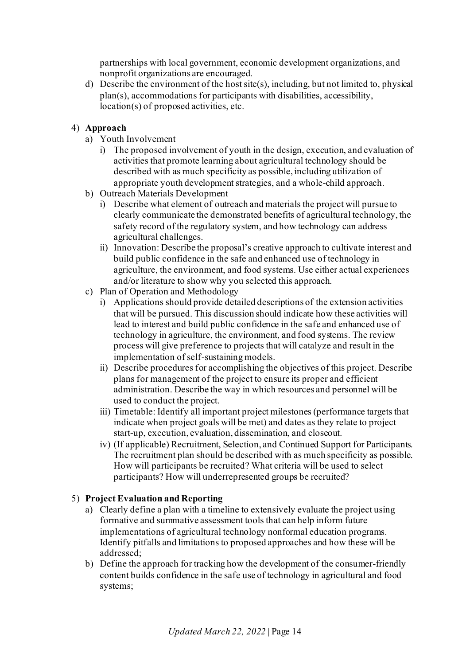partnerships with local government, economic development organizations, and nonprofit organizations are encouraged.

d) Describe the environment of the host site(s), including, but not limited to, physical plan(s), accommodations for participants with disabilities, accessibility, location(s) of proposed activities, etc.

### 4) **Approach**

- a) Youth Involvement
	- i) The proposed involvement of youth in the design, execution, and evaluation of activities that promote learning about agricultural technology should be described with as much specificity as possible, including utilization of appropriate youth development strategies, and a whole-child approach.
- b) Outreach Materials Development
	- i) Describe what element of outreach and materials the project will pursue to clearly communicate the demonstrated benefits of agricultural technology, the safety record of the regulatory system, and how technology can address agricultural challenges.
	- ii) Innovation: Describe the proposal's creative approach to cultivate interest and build public confidence in the safe and enhanced use of technology in agriculture, the environment, and food systems. Use either actual experiences and/or literature to show why you selected this approach.
- c) Plan of Operation and Methodology
	- i) Applications should provide detailed descriptions of the extension activities that will be pursued. This discussion should indicate how these activities will lead to interest and build public confidence in the safe and enhanced use of technology in agriculture, the environment, and food systems. The review process will give preference to projects that will catalyze and result in the implementation of self-sustaining models.
	- ii) Describe procedures for accomplishing the objectives of this project. Describe plans for management of the project to ensure its proper and efficient administration. Describe the way in which resources and personnel will be used to conduct the project.
	- iii) Timetable: Identify all important project milestones (performance targets that indicate when project goals will be met) and dates as they relate to project start-up, execution, evaluation, dissemination, and closeout.
	- iv) (If applicable) Recruitment, Selection, and Continued Support for Participants. The recruitment plan should be described with as much specificity as possible. How will participants be recruited? What criteria will be used to select participants? How will underrepresented groups be recruited?

## 5) **Project Evaluation and Reporting**

- a) Clearly define a plan with a timeline to extensively evaluate the project using formative and summative assessment tools that can help inform future implementations of agricultural technology nonformal education programs. Identify pitfalls and limitations to proposed approaches and how these will be addressed;
- b) Define the approach for tracking how the development of the consumer-friendly content builds confidence in the safe use of technology in agricultural and food systems;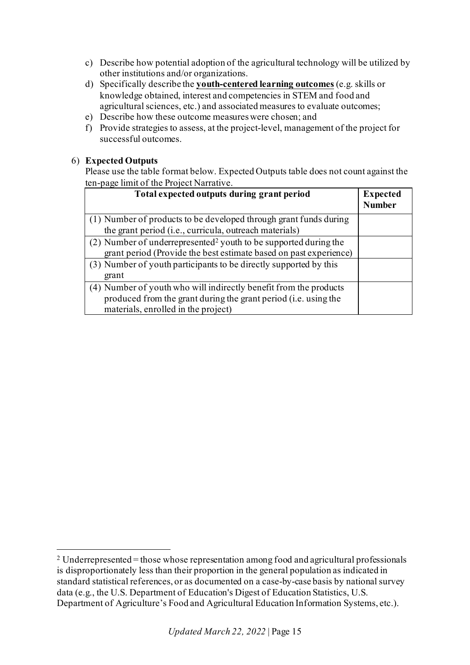- c) Describe how potential adoption of the agricultural technology will be utilized by other institutions and/or organizations.
- d) Specifically describe the **youth-centered learning outcomes** (e.g. skills or knowledge obtained, interest and competencies in STEM and food and agricultural sciences, etc.) and associated measures to evaluate outcomes;
- e) Describe how these outcome measures were chosen; and
- f) Provide strategies to assess, at the project-level, management of the project for successful outcomes.

### 6) **Expected Outputs**

Please use the table format below. Expected Outputs table does not count against the ten-page limit of the Project Narrative.

| Total expected outputs during grant period                                                                                                                                  | <b>Expected</b><br><b>Number</b> |
|-----------------------------------------------------------------------------------------------------------------------------------------------------------------------------|----------------------------------|
| (1) Number of products to be developed through grant funds during<br>the grant period (i.e., curricula, outreach materials)                                                 |                                  |
| (2) Number of underrepresented <sup>2</sup> youth to be supported during the<br>grant period (Provide the best estimate based on past experience)                           |                                  |
| (3) Number of youth participants to be directly supported by this<br>grant                                                                                                  |                                  |
| (4) Number of youth who will indirectly benefit from the products<br>produced from the grant during the grant period (i.e. using the<br>materials, enrolled in the project) |                                  |

<span id="page-14-0"></span><sup>2</sup> Underrepresented = those whose representation among food and agricultural professionals is disproportionately less than their proportion in the general population as indicated in standard statistical references, or as documented on a case-by-case basis by national survey data (e.g., the U.S. Department of Education's Digest of Education Statistics, U.S. Department of Agriculture's Food and Agricultural Education Information Systems, etc.).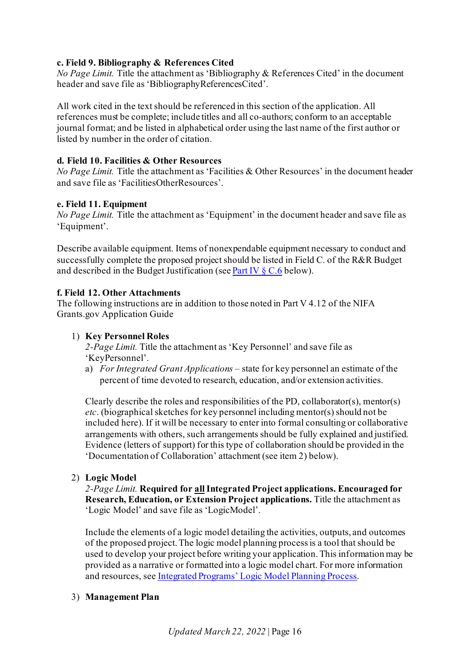### **c. Field 9. Bibliography & References Cited**

*No Page Limit.* Title the attachment as 'Bibliography & References Cited' in the document header and save file as 'BibliographyReferencesCited'.

All work cited in the text should be referenced in this section of the application. All references must be complete; include titles and all co-authors; conform to an acceptable journal format; and be listed in alphabetical order using the last name of the first author or listed by number in the order of citation.

### **d. Field 10. Facilities & Other Resources**

*No Page Limit.* Title the attachment as 'Facilities & Other Resources' in the document header and save file as 'FacilitiesOtherResources'.

### **e. Field 11. Equipment**

*No Page Limit.* Title the attachment as 'Equipment' in the document header and save file as 'Equipment'.

Describe available equipment. Items of nonexpendable equipment necessary to conduct and successfully complete the proposed project should be listed in Field C. of the R&R Budget and described in the Budget Justification (se[e Part IV](#page-20-1)  $\S$  C.6 below).

### **f. Field 12. Other Attachments**

The following instructions are in addition to those noted in Part V 4.12 of the NIFA Grants.gov Application Guide

## 1) **Key Personnel Roles**

*2-Page Limit.* Title the attachment as 'Key Personnel' and save file as 'KeyPersonnel'.

a) *For Integrated Grant Applications –* state for key personnel an estimate of the percent of time devoted to research, education, and/or extension activities.

Clearly describe the roles and responsibilities of the PD, collaborator(s), mentor(s) *etc*. (biographical sketches for key personnel including mentor(s) should not be included here). If it will be necessary to enter into formal consulting or collaborative arrangements with others, such arrangements should be fully explained and justified. Evidence (letters of support) for this type of collaboration should be provided in the 'Documentation of Collaboration' attachment (see item 2) below).

### 2) **Logic Model**

*2-Page Limit.* **Required for allIntegrated Project applications. Encouraged for Research, Education, or Extension Project applications.** Title the attachment as 'Logic Model' and save file as 'LogicModel'.

Include the elements of a logic model detailing the activities, outputs, and outcomes of the proposed project. The logic model planning process is a tool that should be used to develop your project before writing your application. This information may be provided as a narrative or formatted into a logic model chart. For more information and resources, se[e Integrated Programs' Logic Model Planning Process](https://nifa.usda.gov/resource/integrated-programs-logic-model-planning-process).

### 3) **Management Plan**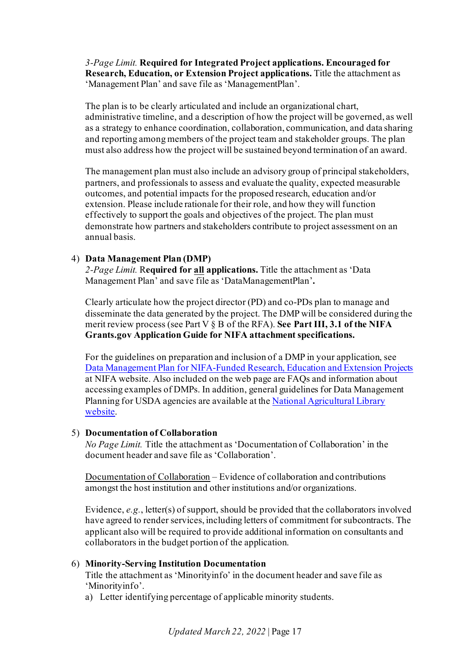*3-Page Limit.* **Required for Integrated Project applications. Encouraged for Research, Education, or Extension Project applications.** Title the attachment as 'Management Plan' and save file as 'ManagementPlan'.

The plan is to be clearly articulated and include an organizational chart, administrative timeline, and a description of how the project will be governed, as well as a strategy to enhance coordination, collaboration, communication, and data sharing and reporting among members of the project team and stakeholder groups. The plan must also address how the project will be sustained beyond termination of an award.

The management plan must also include an advisory group of principal stakeholders, partners, and professionals to assess and evaluate the quality, expected measurable outcomes, and potential impacts for the proposed research, education and/or extension. Please include rationale for their role, and how they will function effectively to support the goals and objectives of the project. The plan must demonstrate how partners and stakeholders contribute to project assessment on an annual basis.

#### 4) **Data Management Plan (DMP)**

*2-Page Limit.* R**equired for all applications.** Title the attachment as 'Data Management Plan' and save file as 'DataManagementPlan'**.**

Clearly articulate how the project director (PD) and co-PDs plan to manage and disseminate the data generated by the project. The DMP will be considered during the merit review process (see Part V § B of the RFA). **See Part III, 3.1 of the NIFA Grants.gov Application Guide for NIFA attachment specifications.**

For the guidelines on preparation and inclusion of a DMP in your application, see [Data Management Plan for NIFA-Funded Research, Education and Extension Projects](https://nifa.usda.gov/resource/data-management-plan-nifa-funded-research-projects) at NIFA website. Also included on the web page are FAQs and information about accessing examples of DMPs. In addition, general guidelines for Data Management Planning for USDA agencies are available at th[e National Agricultural Library](https://www.nal.usda.gov/ks/guidelines-data-management-planning)  [website.](https://www.nal.usda.gov/ks/guidelines-data-management-planning)

#### <span id="page-16-0"></span>5) **Documentation of Collaboration**

*No Page Limit.* Title the attachment as 'Documentation of Collaboration' in the document header and save file as 'Collaboration'.

Documentation of Collaboration – Evidence of collaboration and contributions amongst the host institution and other institutions and/or organizations.

Evidence, *e.g.*, letter(s) of support, should be provided that the collaborators involved have agreed to render services, including letters of commitment for subcontracts. The applicant also will be required to provide additional information on consultants and collaborators in the budget portion of the application.

#### 6) **Minority-Serving Institution Documentation**

Title the attachment as 'Minorityinfo' in the document header and save file as 'Minorityinfo'.

a) Letter identifying percentage of applicable minority students.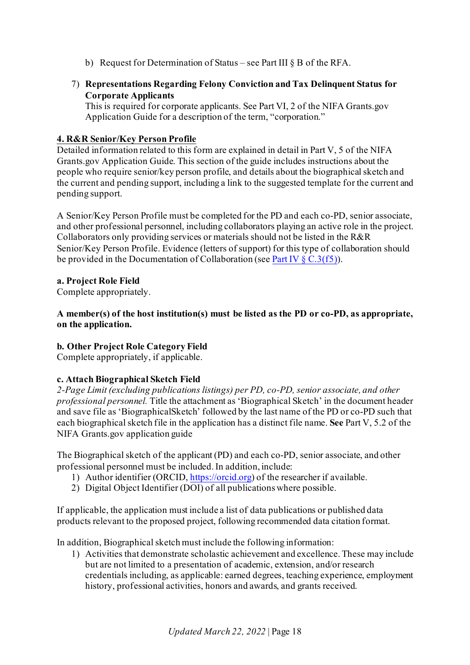- b) Request for Determination of Status see Part III § B of the RFA.
- 7) **Representations Regarding Felony Conviction and Tax Delinquent Status for Corporate Applicants**

This is required for corporate applicants. See Part VI, 2 of the NIFA Grants.gov Application Guide for a description of the term, "corporation."

## <span id="page-17-0"></span>**4. R&R Senior/Key Person Profile**

Detailed information related to this form are explained in detail in Part V, 5 of the NIFA Grants.gov Application Guide. This section of the guide includes instructions about the people who require senior/key person profile, and details about the biographical sketch and the current and pending support, including a link to the suggested template for the current and pending support.

A Senior/Key Person Profile must be completed for the PD and each co-PD, senior associate, and other professional personnel, including collaborators playing an active role in the project. Collaborators only providing services or materials should not be listed in the R&R Senior/Key Person Profile. Evidence (letters of support) for this type of collaboration should be provided in the Documentation of Collaboration (se[e Part IV](#page-16-0)  $\S$  C.3(f5)).

### **a. Project Role Field**

Complete appropriately.

**A member(s) of the host institution(s) must be listed as the PD or co-PD, as appropriate, on the application.**

## **b. Other Project Role Category Field**

Complete appropriately, if applicable.

### **c. Attach Biographical Sketch Field**

*2-Page Limit (excluding publications listings) per PD, co-PD, senior associate, and other professional personnel.* Title the attachment as 'Biographical Sketch' in the document header and save file as 'BiographicalSketch' followed by the last name of the PD or co-PD such that each biographical sketch file in the application has a distinct file name. **See** Part V, 5.2 of the NIFA Grants.gov application guide

The Biographical sketch of the applicant (PD) and each co-PD, senior associate, and other professional personnel must be included. In addition, include:

- 1) Author identifier (ORCID[, https://orcid.org\)](https://orcid.org/) of the researcher if available.
- 2) Digital Object Identifier (DOI) of all publications where possible.

If applicable, the application must include a list of data publications or published data products relevant to the proposed project, following recommended data citation format.

In addition, Biographical sketch must include the following information:

1) Activities that demonstrate scholastic achievement and excellence. These may include but are not limited to a presentation of academic, extension, and/or research credentials including, as applicable: earned degrees, teaching experience, employment history, professional activities, honors and awards, and grants received.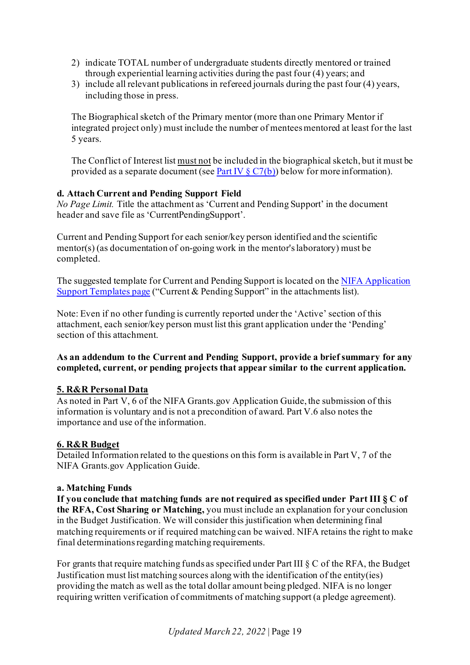- 2) indicate TOTAL number of undergraduate students directly mentored or trained through experiential learning activities during the past four (4) years; and
- 3) include all relevant publications in refereed journals during the past four (4) years, including those in press.

The Biographical sketch of the Primary mentor (more than one Primary Mentor if integrated project only) must include the number of mentees mentored at least for the last 5 years.

The Conflict of Interest list must not be included in the biographical sketch, but it must be provided as a separate document (se[e Part IV](#page-21-1)  $\S C7(b)$ ) below for more information).

#### **d. Attach Current and Pending Support Field**

*No Page Limit.* Title the attachment as 'Current and Pending Support' in the document header and save file as 'CurrentPendingSupport'.

Current and Pending Support for each senior/key person identified and the scientific mentor(s) (as documentation of on-going work in the mentor's laboratory) must be completed.

The suggested template for Current and Pending Support is located on th[e NIFA Application](https://nifa.usda.gov/resource/application-support-templates)  [Support Templates page](https://nifa.usda.gov/resource/application-support-templates) ("Current & Pending Support" in the attachments list).

Note: Even if no other funding is currently reported under the 'Active' section of this attachment, each senior/key person must list this grant application under the 'Pending' section of this attachment.

### **As an addendum to the Current and Pending Support, provide a brief summary for any completed, current, or pending projects that appear similar to the current application.**

### <span id="page-18-0"></span>**5. R&R Personal Data**

As noted in Part V, 6 of the NIFA Grants.gov Application Guide, the submission of this information is voluntary and is not a precondition of award. Part V.6 also notes the importance and use of the information.

#### <span id="page-18-1"></span>**6. R&R Budget**

Detailed Information related to the questions on this form is available in Part V, 7 of the NIFA Grants.gov Application Guide.

#### **a. Matching Funds**

**If you conclude that matching funds are not required as specified under Part III § C of the RFA, Cost Sharing or Matching,** you must include an explanation for your conclusion in the Budget Justification. We will consider this justification when determining final matching requirements or if required matching can be waived. NIFA retains the right to make final determinations regarding matching requirements.

For grants that require matching funds as specified under Part III § C of the RFA, the Budget Justification must list matching sources along with the identification of the entity(ies) providing the match as well as the total dollar amount being pledged. NIFA is no longer requiring written verification of commitments of matching support (a pledge agreement).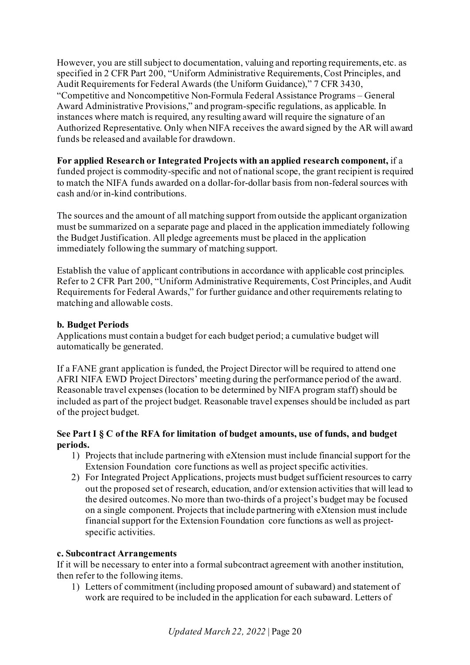However, you are still subject to documentation, valuing and reporting requirements, etc. as specified in 2 CFR Part 200, "Uniform Administrative Requirements, Cost Principles, and Audit Requirements for Federal Awards (the Uniform Guidance)," 7 CFR 3430, "Competitive and Noncompetitive Non-Formula Federal Assistance Programs – General Award Administrative Provisions," and program-specific regulations, as applicable. In instances where match is required, any resulting award will require the signature of an Authorized Representative. Only when NIFA receives the award signed by the AR will award funds be released and available for drawdown.

### **For applied Research or Integrated Projects with an applied research component,** if a

funded project is commodity-specific and not of national scope, the grant recipient is required to match the NIFA funds awarded on a dollar-for-dollar basis from non-federal sources with cash and/or in-kind contributions.

The sources and the amount of all matching support from outside the applicant organization must be summarized on a separate page and placed in the application immediately following the Budget Justification. All pledge agreements must be placed in the application immediately following the summary of matching support.

Establish the value of applicant contributions in accordance with applicable cost principles. Refer to 2 CFR Part 200, "Uniform Administrative Requirements, Cost Principles, and Audit Requirements for Federal Awards," for further guidance and other requirements relating to matching and allowable costs.

### **b. Budget Periods**

Applications must contain a budget for each budget period; a cumulative budget will automatically be generated.

If a FANE grant application is funded, the Project Director will be required to attend one AFRI NIFA EWD Project Directors' meeting during the performance period of the award. Reasonable travel expenses (location to be determined by NIFA program staff) should be included as part of the project budget. Reasonable travel expenses should be included as part of the project budget.

### **See Part I § C of the RFA for limitation of budget amounts, use of funds, and budget periods.**

- 1) Projects that include partnering with eXtension must include financial support for the Extension Foundation core functions as well as project specific activities.
- 2) For Integrated Project Applications, projects must budget sufficient resources to carry out the proposed set of research, education, and/or extension activities that will lead to the desired outcomes. No more than two-thirds of a project's budget may be focused on a single component. Projects that include partnering with eXtension must include financial support for the Extension Foundation core functions as well as projectspecific activities.

### **c. Subcontract Arrangements**

If it will be necessary to enter into a formal subcontract agreement with another institution, then refer to the following items.

1) Letters of commitment (including proposed amount of subaward) and statement of work are required to be included in the application for each subaward. Letters of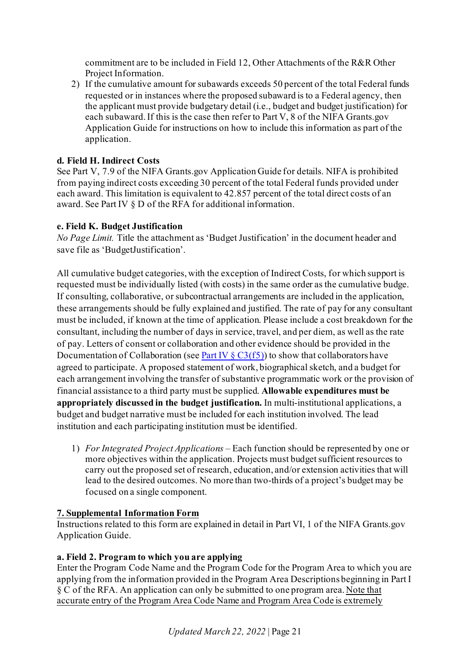commitment are to be included in Field 12, Other Attachments of the R&R Other Project Information.

2) If the cumulative amount for subawards exceeds 50 percent of the total Federal funds requested or in instances where the proposed subaward is to a Federal agency, then the applicant must provide budgetary detail (i.e., budget and budget justification) for each subaward. If this is the case then refer to Part V, 8 of the NIFA Grants.gov Application Guide for instructions on how to include this information as part of the application.

# **d. Field H. Indirect Costs**

See Part V, 7.9 of the NIFA Grants.gov Application Guide for details. NIFA is prohibited from paying indirect costs exceeding 30 percent of the total Federal funds provided under each award. This limitation is equivalent to 42.857 percent of the total direct costs of an award. See Part IV § D of the RFA for additional information.

## <span id="page-20-1"></span>**e. Field K. Budget Justification**

*No Page Limit.* Title the attachment as 'Budget Justification' in the document header and save file as 'BudgetJustification'.

All cumulative budget categories, with the exception of Indirect Costs, for which support is requested must be individually listed (with costs) in the same order as the cumulative budge. If consulting, collaborative, or subcontractual arrangements are included in the application, these arrangements should be fully explained and justified. The rate of pay for any consultant must be included, if known at the time of application. Please include a cost breakdown for the consultant, including the number of days in service, travel, and per diem, as well as the rate of pay. Letters of consent or collaboration and other evidence should be provided in the Documentation of Collaboration (se[e Part IV](#page-16-0)  $\S$  C3(f5)) to show that collaborators have agreed to participate. A proposed statement of work, biographical sketch, and a budget for each arrangement involving the transfer of substantive programmatic work or the provision of financial assistance to a third party must be supplied. **Allowable expenditures must be appropriately discussed in the budget justification.** In multi-institutional applications, a budget and budget narrative must be included for each institution involved. The lead institution and each participating institution must be identified.

1) *For Integrated Project Applications –* Each function should be represented by one or more objectives within the application. Projects must budget sufficient resources to carry out the proposed set of research, education, and/or extension activities that will lead to the desired outcomes. No more than two-thirds of a project's budget may be focused on a single component.

## <span id="page-20-0"></span>**7. Supplemental Information Form**

Instructions related to this form are explained in detail in Part VI, 1 of the NIFA Grants.gov Application Guide.

## **a. Field 2. Program to which you are applying**

Enter the Program Code Name and the Program Code for the Program Area to which you are applying from the information provided in the Program Area Descriptions beginning in Part I § C of the RFA. An application can only be submitted to one program area. Note that accurate entry of the Program Area Code Name and Program Area Code is extremely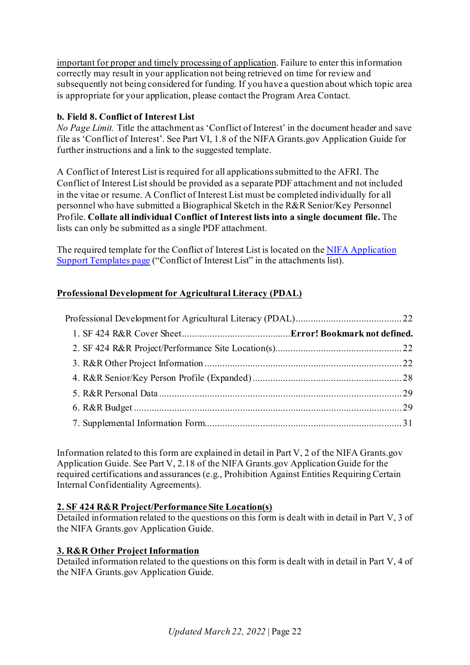important for proper and timely processing of application. Failure to enter this information correctly may result in your application not being retrieved on time for review and subsequently not being considered for funding. If you have a question about which topic area is appropriate for your application, please contact the Program Area Contact.

## <span id="page-21-1"></span>**b. Field 8. Conflict of Interest List**

*No Page Limit.* Title the attachment as 'Conflict of Interest' in the document header and save file as 'Conflict of Interest'. See Part VI, 1.8 of the NIFA Grants.gov Application Guide for further instructions and a link to the suggested template.

A Conflict of Interest List is required for all applications submitted to the AFRI. The Conflict of Interest List should be provided as a separate PDF attachment and not included in the vitae or resume. A Conflict of Interest List must be completed individually for all personnel who have submitted a Biographical Sketch in the R&R Senior/Key Personnel Profile. **Collate all individual Conflict of Interest lists into a single document file.** The lists can only be submitted as a single PDF attachment.

The required template for the Conflict of Interest List is located on th[e NIFA Application](https://nifa.usda.gov/resource/application-support-templates)  [Support Templates page](https://nifa.usda.gov/resource/application-support-templates) ("Conflict of Interest List" in the attachments list).

## <span id="page-21-0"></span>**Professional Development for Agricultural Literacy (PDAL)**

Information related to this form are explained in detail in Part V, 2 of the NIFA Grants.gov Application Guide. See Part V, 2.18 of the NIFA Grants.gov Application Guide for the required certifications and assurances (e.g., Prohibition Against Entities Requiring Certain Internal Confidentiality Agreements).

### <span id="page-21-2"></span>**2. SF 424 R&R Project/Performance Site Location(s)**

Detailed information related to the questions on this form is dealt with in detail in Part V, 3 of the NIFA Grants.gov Application Guide.

### <span id="page-21-3"></span>**3. R&R Other Project Information**

Detailed information related to the questions on this form is dealt with in detail in Part V, 4 of the NIFA Grants.gov Application Guide.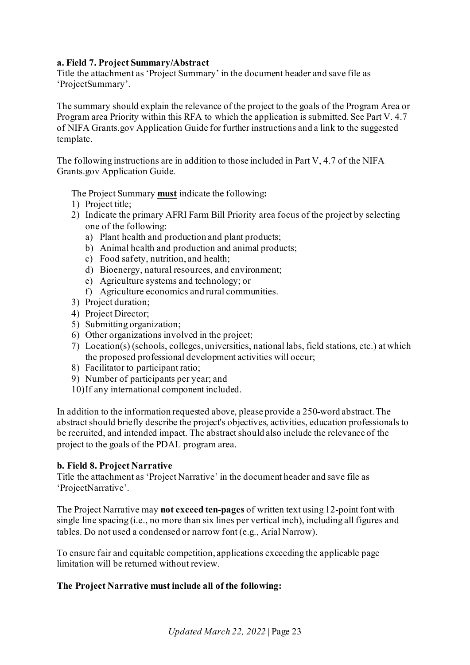#### **a. Field 7. Project Summary/Abstract**

Title the attachment as 'Project Summary' in the document header and save file as 'ProjectSummary'.

The summary should explain the relevance of the project to the goals of the Program Area or Program area Priority within this RFA to which the application is submitted. See Part V. 4.7 of NIFA Grants.gov Application Guide for further instructions and a link to the suggested template.

The following instructions are in addition to those included in Part V, 4.7 of the NIFA Grants.gov Application Guide.

The Project Summary **must** indicate the following**:**

- 1) Project title;
- 2) Indicate the primary AFRI Farm Bill Priority area focus of the project by selecting one of the following:
	- a) Plant health and production and plant products;
	- b) Animal health and production and animal products;
	- c) Food safety, nutrition, and health;
	- d) Bioenergy, natural resources, and environment;
	- e) Agriculture systems and technology; or
	- f) Agriculture economics and rural communities.
- 3) Project duration;
- 4) Project Director;
- 5) Submitting organization;
- 6) Other organizations involved in the project;
- 7) Location(s) (schools, colleges, universities, national labs, field stations, etc.) at which the proposed professional development activities will occur;
- 8) Facilitator to participant ratio;
- 9) Number of participants per year; and
- 10)If any international component included.

In addition to the information requested above, please provide a 250-word abstract. The abstract should briefly describe the project's objectives, activities, education professionals to be recruited, and intended impact. The abstract should also include the relevance of the project to the goals of the PDAL program area.

#### **b. Field 8. Project Narrative**

Title the attachment as 'Project Narrative' in the document header and save file as 'ProjectNarrative'.

The Project Narrative may **not exceed ten-pages** of written text using 12-point font with single line spacing (i.e., no more than six lines per vertical inch), including all figures and tables. Do not used a condensed or narrow font (e.g., Arial Narrow).

To ensure fair and equitable competition, applications exceeding the applicable page limitation will be returned without review.

#### **The Project Narrative must include all of the following:**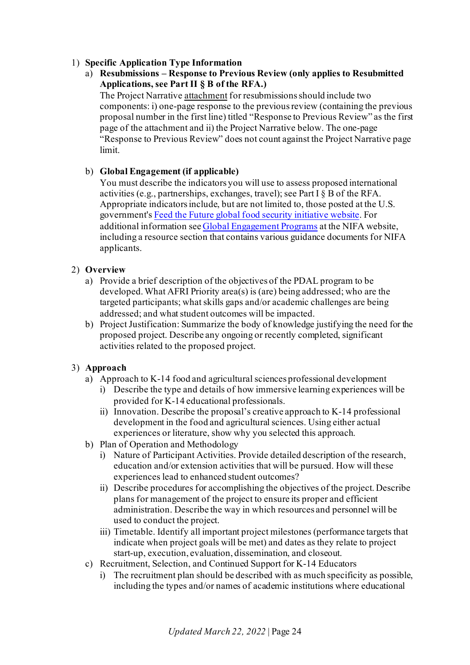### 1) **Specific Application Type Information**

a) **Resubmissions – Response to Previous Review (only applies to Resubmitted Applications, see Part II § B of the RFA.)**

The Project Narrative attachment for resubmissions should include two components: i) one-page response to the previous review (containing the previous proposal number in the first line) titled "Response to Previous Review" as the first page of the attachment and ii) the Project Narrative below. The one-page "Response to Previous Review" does not count against the Project Narrative page limit.

## b) **Global Engagement (if applicable)**

You must describe the indicators you will use to assess proposed international activities (e.g., partnerships, exchanges, travel); see Part I § B of the RFA. Appropriate indicators include, but are not limited to, those posted at the U.S. government'[s Feed the Future global food security initiative website](http://www.feedthefuture.gov/progress). For additional information se[e Global Engagement Programs](https://nifa.usda.gov/program/global-engagement-programs) at the NIFA website, including a resource section that contains various guidance documents for NIFA applicants.

### 2) **Overview**

- a) Provide a brief description of the objectives of the PDAL program to be developed. What AFRI Priority area(s) is (are) being addressed; who are the targeted participants; what skills gaps and/or academic challenges are being addressed; and what student outcomes will be impacted.
- b) Project Justification: Summarize the body of knowledge justifying the need for the proposed project. Describe any ongoing or recently completed, significant activities related to the proposed project.

### 3) **Approach**

- a) Approach to K-14 food and agricultural sciences professional development
	- i) Describe the type and details of how immersive learning experiences will be provided for K-14 educational professionals.
	- ii) Innovation. Describe the proposal's creative approach to K-14 professional development in the food and agricultural sciences. Using either actual experiences or literature, show why you selected this approach.
- b) Plan of Operation and Methodology
	- i) Nature of Participant Activities. Provide detailed description of the research, education and/or extension activities that will be pursued. How will these experiences lead to enhanced student outcomes?
	- ii) Describe procedures for accomplishing the objectives of the project. Describe plans for management of the project to ensure its proper and efficient administration. Describe the way in which resources and personnel will be used to conduct the project.
	- iii) Timetable. Identify all important project milestones (performance targets that indicate when project goals will be met) and dates as they relate to project start-up, execution, evaluation, dissemination, and closeout.
- c) Recruitment, Selection, and Continued Support for K-14 Educators
	- i) The recruitment plan should be described with as much specificity as possible, including the types and/or names of academic institutions where educational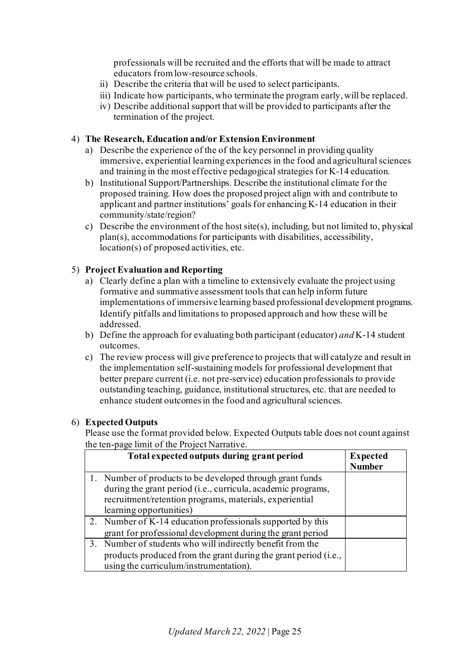professionals will be recruited and the efforts that will be made to attract educators from low-resource schools.

- ii) Describe the criteria that will be used to select participants.
- iii) Indicate how participants, who terminate the program early, will be replaced.
- iv) Describe additional support that will be provided to participants after the termination of the project.

#### 4) **The Research, Education and/or Extension Environment**

- a) Describe the experience of the of the key personnel in providing quality immersive, experiential learning experiences in the food and agricultural sciences and training in the most effective pedagogical strategies for K-14 education.
- b) Institutional Support/Partnerships. Describe the institutional climate for the proposed training. How does the proposed project align with and contribute to applicant and partner institutions' goals for enhancing K-14 education in their community/state/region?
- c) Describe the environment of the host site(s), including, but not limited to, physical plan(s), accommodations for participants with disabilities, accessibility, location(s) of proposed activities, etc.

### 5) **Project Evaluation and Reporting**

- a) Clearly define a plan with a timeline to extensively evaluate the project using formative and summative assessment tools that can help inform future implementations of immersive learning based professional development programs. Identify pitfalls and limitations to proposed approach and how these will be addressed.
- b) Define the approach for evaluating both participant (educator) *and* K-14 student outcomes.
- c) The review process will give preference to projects that will catalyze and result in the implementation self-sustaining models for professional development that better prepare current (i.e. not pre-service) education professionals to provide outstanding teaching, guidance, institutional structures, etc. that are needed to enhance student outcomes in the food and agricultural sciences.

#### 6) **Expected Outputs**

Please use the format provided below. Expected Outputs table does not count against the ten-page limit of the Project Narrative.

| Total expected outputs during grant period                      | <b>Expected</b><br><b>Number</b> |
|-----------------------------------------------------------------|----------------------------------|
| 1. Number of products to be developed through grant funds       |                                  |
| during the grant period (i.e., curricula, academic programs,    |                                  |
| recruitment/retention programs, materials, experiential         |                                  |
| learning opportunities)                                         |                                  |
| 2. Number of K-14 education professionals supported by this     |                                  |
| grant for professional development during the grant period      |                                  |
| 3. Number of students who will indirectly benefit from the      |                                  |
| products produced from the grant during the grant period (i.e., |                                  |
| using the curriculum/instrumentation).                          |                                  |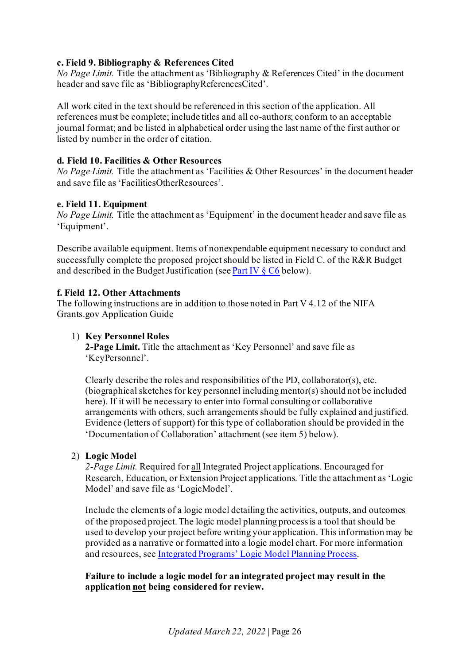### **c. Field 9. Bibliography & References Cited**

*No Page Limit.* Title the attachment as 'Bibliography & References Cited' in the document header and save file as 'BibliographyReferencesCited'.

All work cited in the text should be referenced in this section of the application. All references must be complete; include titles and all co-authors; conform to an acceptable journal format; and be listed in alphabetical order using the last name of the first author or listed by number in the order of citation.

### **d. Field 10. Facilities & Other Resources**

*No Page Limit.* Title the attachment as 'Facilities & Other Resources' in the document header and save file as 'FacilitiesOtherResources'.

#### **e. Field 11. Equipment**

*No Page Limit.* Title the attachment as 'Equipment' in the document header and save file as 'Equipment'.

Describe available equipment. Items of nonexpendable equipment necessary to conduct and successfully complete the proposed project should be listed in Field C. of the R&R Budget and described in the Budget Justification (se[e Part IV](#page-30-1) § C6 below).

#### **f. Field 12. Other Attachments**

The following instructions are in addition to those noted in Part V 4.12 of the NIFA Grants.gov Application Guide

#### 1) **Key Personnel Roles**

**2-Page Limit.** Title the attachment as 'Key Personnel' and save file as 'KeyPersonnel'.

Clearly describe the roles and responsibilities of the PD, collaborator(s), etc. (biographical sketches for key personnel including mentor(s) should not be included here). If it will be necessary to enter into formal consulting or collaborative arrangements with others, such arrangements should be fully explained and justified. Evidence (letters of support) for this type of collaboration should be provided in the 'Documentation of Collaboration' attachment (see item 5) below).

#### 2) **Logic Model**

*2-Page Limit.* Required for all Integrated Project applications. Encouraged for Research, Education, or Extension Project applications. Title the attachment as 'Logic Model' and save file as 'LogicModel'.

Include the elements of a logic model detailing the activities, outputs, and outcomes of the proposed project. The logic model planning process is a tool that should be used to develop your project before writing your application. This information may be provided as a narrative or formatted into a logic model chart. For more information and resources, se[e Integrated Programs' Logic Model Planning Process](https://nifa.usda.gov/resource/integrated-programs-logic-model-planning-process).

**Failure to include a logic model for an integrated project may result in the application not being considered for review.**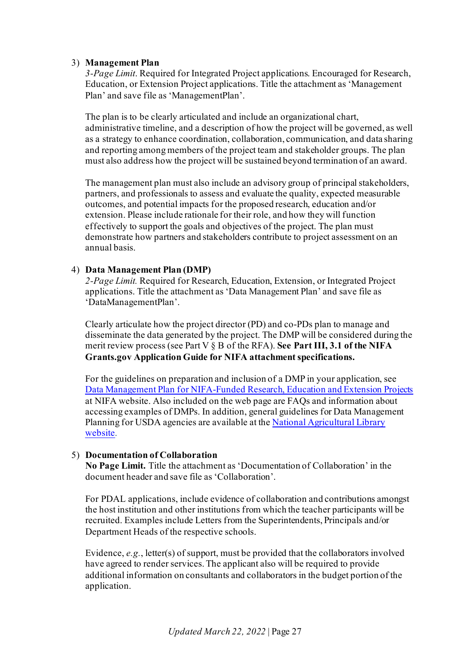#### 3) **Management Plan**

*3-Page Limit*. Required for Integrated Project applications. Encouraged for Research, Education, or Extension Project applications. Title the attachment as 'Management Plan' and save file as 'ManagementPlan'.

The plan is to be clearly articulated and include an organizational chart, administrative timeline, and a description of how the project will be governed, as well as a strategy to enhance coordination, collaboration, communication, and data sharing and reporting among members of the project team and stakeholder groups. The plan must also address how the project will be sustained beyond termination of an award.

The management plan must also include an advisory group of principal stakeholders, partners, and professionals to assess and evaluate the quality, expected measurable outcomes, and potential impacts for the proposed research, education and/or extension. Please include rationale for their role, and how they will function effectively to support the goals and objectives of the project. The plan must demonstrate how partners and stakeholders contribute to project assessment on an annual basis.

#### 4) **Data Management Plan (DMP)**

*2-Page Limit.* Required for Research, Education, Extension, or Integrated Project applications. Title the attachment as 'Data Management Plan' and save file as 'DataManagementPlan'.

Clearly articulate how the project director (PD) and co-PDs plan to manage and disseminate the data generated by the project. The DMP will be considered during the merit review process (see Part V § B of the RFA). **See Part III, 3.1 of the NIFA Grants.gov Application Guide for NIFA attachment specifications.**

For the guidelines on preparation and inclusion of a DMP in your application, see [Data Management Plan for NIFA-Funded Research, Education and Extension Projects](https://nifa.usda.gov/resource/data-management-plan-nifa-funded-research-projects) at NIFA website. Also included on the web page are FAQs and information about accessing examples of DMPs. In addition, general guidelines for Data Management Planning for USDA agencies are available at th[e National Agricultural Library](https://www.nal.usda.gov/ks/guidelines-data-management-planning)  [website.](https://www.nal.usda.gov/ks/guidelines-data-management-planning)

#### <span id="page-26-0"></span>5) **Documentation of Collaboration**

**No Page Limit.** Title the attachment as 'Documentation of Collaboration' in the document header and save file as 'Collaboration'.

For PDAL applications, include evidence of collaboration and contributions amongst the host institution and other institutions from which the teacher participants will be recruited. Examples include Letters from the Superintendents, Principals and/or Department Heads of the respective schools.

Evidence, *e.g.*, letter(s) of support, must be provided that the collaborators involved have agreed to render services. The applicant also will be required to provide additional information on consultants and collaborators in the budget portion of the application.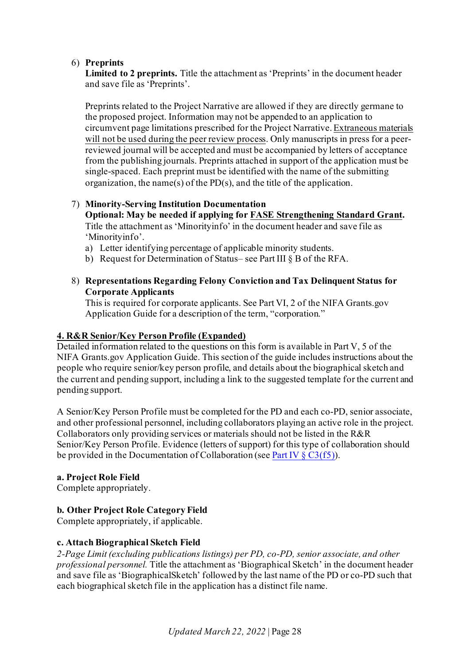#### 6) **Preprints**

**Limited to 2 preprints.** Title the attachment as 'Preprints' in the document header and save file as 'Preprints'.

Preprints related to the Project Narrative are allowed if they are directly germane to the proposed project. Information may not be appended to an application to circumvent page limitations prescribed for the Project Narrative. Extraneous materials will not be used during the peer review process. Only manuscripts in press for a peerreviewed journal will be accepted and must be accompanied by letters of acceptance from the publishing journals. Preprints attached in support of the application must be single-spaced. Each preprint must be identified with the name of the submitting organization, the name(s) of the PD(s), and the title of the application.

#### 7) **Minority-Serving Institution Documentation Optional: May be needed if applying for [FASE Strengthening Standard Grant.](https://nifa.usda.gov/afri-fase-epscor-program)**  Title the attachment as 'Minorityinfo' in the document header and save file as 'Minorityinfo'.

- a) Letter identifying percentage of applicable minority students.
- b) Request for Determination of Status– see Part III § B of the RFA.

### 8) **Representations Regarding Felony Conviction and Tax Delinquent Status for Corporate Applicants**

This is required for corporate applicants. See Part VI, 2 of the NIFA Grants.gov Application Guide for a description of the term, "corporation."

### <span id="page-27-0"></span>**4. R&R Senior/Key Person Profile (Expanded)**

Detailed information related to the questions on this form is available in Part V, 5 of the NIFA Grants.gov Application Guide. This section of the guide includes instructions about the people who require senior/key person profile, and details about the biographical sketch and the current and pending support, including a link to the suggested template for the current and pending support.

A Senior/Key Person Profile must be completed for the PD and each co-PD, senior associate, and other professional personnel, including collaborators playing an active role in the project. Collaborators only providing services or materials should not be listed in the R&R Senior/Key Person Profile. Evidence (letters of support) for this type of collaboration should be provided in the Documentation of Collaboration (se[e Part IV](#page-26-0)  $\S$  C3(f5)).

### **a. Project Role Field**

Complete appropriately.

### **b. Other Project Role Category Field**

Complete appropriately, if applicable.

### **c. Attach Biographical Sketch Field**

*2-Page Limit (excluding publications listings) per PD, co-PD, senior associate, and other professional personnel.* Title the attachment as 'Biographical Sketch' in the document header and save file as 'BiographicalSketch' followed by the last name of the PD or co-PD such that each biographical sketch file in the application has a distinct file name.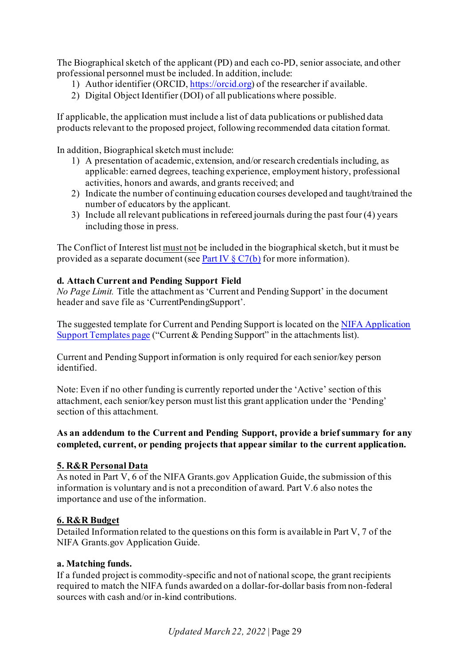The Biographical sketch of the applicant (PD) and each co-PD, senior associate, and other professional personnel must be included. In addition, include:

- 1) Author identifier (ORCID[, https://orcid.org\)](https://orcid.org/) of the researcher if available.
- 2) Digital Object Identifier (DOI) of all publications where possible.

If applicable, the application must include a list of data publications or published data products relevant to the proposed project, following recommended data citation format.

In addition, Biographical sketch must include:

- 1) A presentation of academic, extension, and/or research credentials including, as applicable: earned degrees, teaching experience, employment history, professional activities, honors and awards, and grants received; and
- 2) Indicate the number of continuing education courses developed and taught/trained the number of educators by the applicant.
- 3) Include all relevant publications in refereed journals during the past four (4) years including those in press.

The Conflict of Interest list must not be included in the biographical sketch, but it must be provided as a separate document (se[e Part IV](#page-31-1)  $\S C7(b)$  for more information).

#### **d. Attach Current and Pending Support Field**

*No Page Limit.* Title the attachment as 'Current and Pending Support' in the document header and save file as 'CurrentPendingSupport'.

The suggested template for Current and Pending Support is located on th[e NIFA Application](https://nifa.usda.gov/resource/application-support-templates)  [Support Templates page](https://nifa.usda.gov/resource/application-support-templates) ("Current & Pending Support" in the attachments list).

Current and Pending Support information is only required for each senior/key person identified.

Note: Even if no other funding is currently reported under the 'Active' section of this attachment, each senior/key person must list this grant application under the 'Pending' section of this attachment.

### **As an addendum to the Current and Pending Support, provide a brief summary for any completed, current, or pending projects that appear similar to the current application.**

#### <span id="page-28-0"></span>**5. R&R Personal Data**

As noted in Part V, 6 of the NIFA Grants.gov Application Guide, the submission of this information is voluntary and is not a precondition of award. Part V.6 also notes the importance and use of the information.

#### <span id="page-28-1"></span>**6. R&R Budget**

Detailed Information related to the questions on this form is available in Part V, 7 of the NIFA Grants.gov Application Guide.

#### **a. Matching funds.**

If a funded project is commodity-specific and not of national scope, the grant recipients required to match the NIFA funds awarded on a dollar-for-dollar basis from non-federal sources with cash and/or in-kind contributions.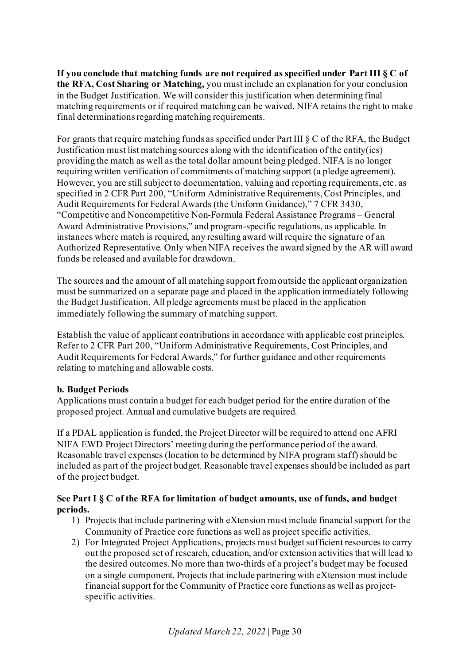**If you conclude that matching funds are not required as specified under Part III § C of the RFA, Cost Sharing or Matching,** you must include an explanation for your conclusion in the Budget Justification. We will consider this justification when determining final matching requirements or if required matching can be waived. NIFA retains the right to make final determinations regarding matching requirements.

For grants that require matching funds as specified under Part III § C of the RFA, the Budget Justification must list matching sources along with the identification of the entity(ies) providing the match as well as the total dollar amount being pledged. NIFA is no longer requiring written verification of commitments of matching support (a pledge agreement). However, you are still subject to documentation, valuing and reporting requirements, etc. as specified in 2 CFR Part 200, "Uniform Administrative Requirements, Cost Principles, and Audit Requirements for Federal Awards (the Uniform Guidance)," 7 CFR 3430, "Competitive and Noncompetitive Non-Formula Federal Assistance Programs – General Award Administrative Provisions," and program-specific regulations, as applicable. In instances where match is required, any resulting award will require the signature of an Authorized Representative. Only when NIFA receives the award signed by the AR will award funds be released and available for drawdown.

The sources and the amount of all matching support from outside the applicant organization must be summarized on a separate page and placed in the application immediately following the Budget Justification. All pledge agreements must be placed in the application immediately following the summary of matching support.

Establish the value of applicant contributions in accordance with applicable cost principles. Refer to 2 CFR Part 200, "Uniform Administrative Requirements, Cost Principles, and Audit Requirements for Federal Awards," for further guidance and other requirements relating to matching and allowable costs.

### **b. Budget Periods**

Applications must contain a budget for each budget period for the entire duration of the proposed project. Annual and cumulative budgets are required.

If a PDAL application is funded, the Project Director will be required to attend one AFRI NIFA EWD Project Directors' meeting during the performance period of the award. Reasonable travel expenses (location to be determined by NIFA program staff) should be included as part of the project budget. Reasonable travel expenses should be included as part of the project budget.

#### **See Part I § C of the RFA for limitation of budget amounts, use of funds, and budget periods.**

- 1) Projects that include partnering with eXtension must include financial support for the Community of Practice core functions as well as project specific activities.
- 2) For Integrated Project Applications, projects must budget sufficient resources to carry out the proposed set of research, education, and/or extension activities that will lead to the desired outcomes. No more than two-thirds of a project's budget may be focused on a single component. Projects that include partnering with eXtension must include financial support for the Community of Practice core functions as well as projectspecific activities.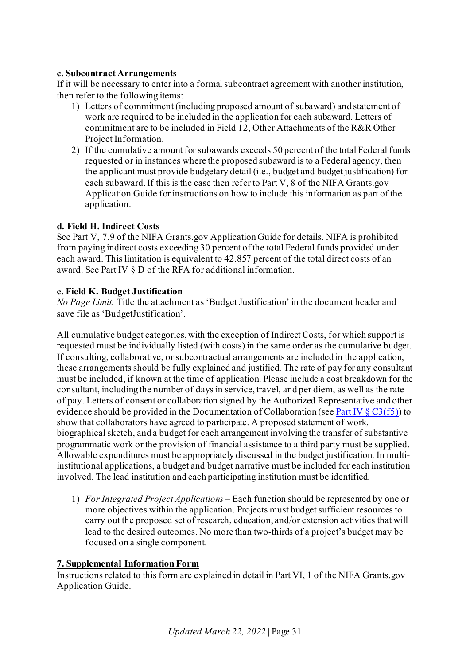#### **c. Subcontract Arrangements**

If it will be necessary to enter into a formal subcontract agreement with another institution, then refer to the following items:

- 1) Letters of commitment (including proposed amount of subaward) and statement of work are required to be included in the application for each subaward. Letters of commitment are to be included in Field 12, Other Attachments of the R&R Other Project Information.
- 2) If the cumulative amount for subawards exceeds 50 percent of the total Federal funds requested or in instances where the proposed subaward is to a Federal agency, then the applicant must provide budgetary detail (i.e., budget and budget justification) for each subaward. If this is the case then refer to Part V, 8 of the NIFA Grants.gov Application Guide for instructions on how to include this information as part of the application.

### **d. Field H. Indirect Costs**

See Part V, 7.9 of the NIFA Grants.gov Application Guide for details. NIFA is prohibited from paying indirect costs exceeding 30 percent of the total Federal funds provided under each award. This limitation is equivalent to 42.857 percent of the total direct costs of an award. See Part IV § D of the RFA for additional information.

### <span id="page-30-1"></span>**e. Field K. Budget Justification**

*No Page Limit.* Title the attachment as 'Budget Justification' in the document header and save file as 'BudgetJustification'.

All cumulative budget categories, with the exception of Indirect Costs, for which support is requested must be individually listed (with costs) in the same order as the cumulative budget. If consulting, collaborative, or subcontractual arrangements are included in the application, these arrangements should be fully explained and justified. The rate of pay for any consultant must be included, if known at the time of application. Please include a cost breakdown for the consultant, including the number of days in service, travel, and per diem, as well as the rate of pay. Letters of consent or collaboration signed by the Authorized Representative and other evidence should be provided in the Documentation of Collaboration (se[e Part IV](#page-26-0)  $\S$  C3(f5)) to show that collaborators have agreed to participate. A proposed statement of work, biographical sketch, and a budget for each arrangement involving the transfer of substantive programmatic work or the provision of financial assistance to a third party must be supplied. Allowable expenditures must be appropriately discussed in the budget justification. In multiinstitutional applications, a budget and budget narrative must be included for each institution involved. The lead institution and each participating institution must be identified.

1) *For Integrated Project Applications –* Each function should be represented by one or more objectives within the application. Projects must budget sufficient resources to carry out the proposed set of research, education, and/or extension activities that will lead to the desired outcomes. No more than two-thirds of a project's budget may be focused on a single component.

### <span id="page-30-0"></span>**7. Supplemental Information Form**

Instructions related to this form are explained in detail in Part VI, 1 of the NIFA Grants.gov Application Guide.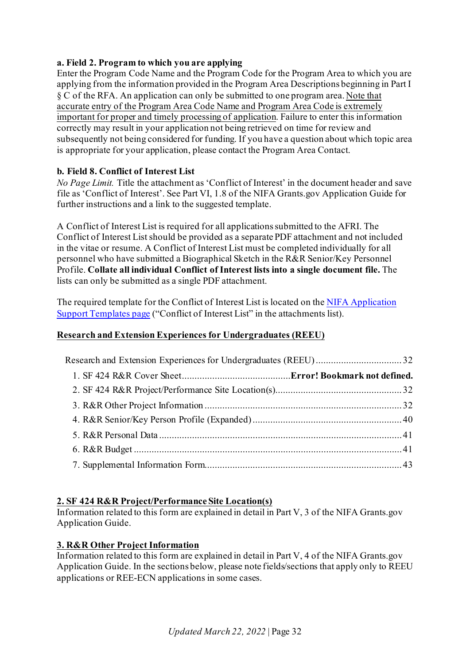### **a. Field 2. Program to which you are applying**

Enter the Program Code Name and the Program Code for the Program Area to which you are applying from the information provided in the Program Area Descriptions beginning in Part I § C of the RFA. An application can only be submitted to one program area. Note that accurate entry of the Program Area Code Name and Program Area Code is extremely important for proper and timely processing of application. Failure to enter this information correctly may result in your application not being retrieved on time for review and subsequently not being considered for funding. If you have a question about which topic area is appropriate for your application, please contact the Program Area Contact.

### <span id="page-31-1"></span>**b. Field 8. Conflict of Interest List**

*No Page Limit.* Title the attachment as 'Conflict of Interest' in the document header and save file as 'Conflict of Interest'. See Part VI, 1.8 of the NIFA Grants.gov Application Guide for further instructions and a link to the suggested template.

A Conflict of Interest List is required for all applications submitted to the AFRI. The Conflict of Interest List should be provided as a separate PDF attachment and not included in the vitae or resume. A Conflict of Interest List must be completed individually for all personnel who have submitted a Biographical Sketch in the R&R Senior/Key Personnel Profile. **Collate all individual Conflict of Interest lists into a single document file.** The lists can only be submitted as a single PDF attachment.

The required template for the Conflict of Interest List is located on th[e NIFA Application](https://nifa.usda.gov/resource/application-support-templates)  [Support Templates page](https://nifa.usda.gov/resource/application-support-templates) ("Conflict of Interest List" in the attachments list).

### <span id="page-31-0"></span>**Research and Extension Experiences for Undergraduates (REEU)**

### <span id="page-31-2"></span>**2. SF 424 R&R Project/Performance Site Location(s)**

Information related to this form are explained in detail in Part V, 3 of the NIFA Grants.gov Application Guide.

### <span id="page-31-3"></span>**3. R&R Other Project Information**

Information related to this form are explained in detail in Part V, 4 of the NIFA Grants.gov Application Guide. In the sections below, please note fields/sections that apply only to REEU applications or REE-ECN applications in some cases.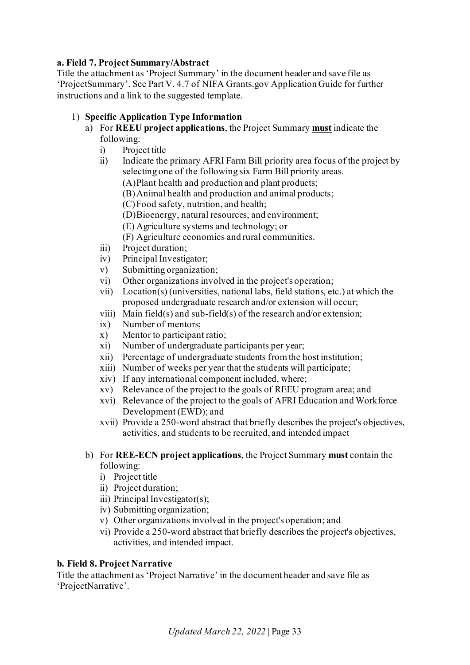### **a. Field 7. Project Summary/Abstract**

Title the attachment as 'Project Summary' in the document header and save file as 'ProjectSummary'. See Part V. 4.7 of NIFA Grants.gov Application Guide for further instructions and a link to the suggested template.

### 1) **Specific Application Type Information**

- a) For **REEU project applications**, the Project Summary **must** indicate the following:
	- i) Project title
	- ii) Indicate the primary AFRI Farm Bill priority area focus of the project by selecting one of the following six Farm Bill priority areas.
		- (A)Plant health and production and plant products;
		- (B)Animal health and production and animal products;
		- (C)Food safety, nutrition, and health;
		- (D)Bioenergy, natural resources, and environment;
		- (E) Agriculture systems and technology; or
		- (F) Agriculture economics and rural communities.
	- iii) Project duration;
	- iv) Principal Investigator;
	- v) Submitting organization;
	- vi) Other organizations involved in the project's operation;
	- vii) Location(s) (universities, national labs, field stations, etc.) at which the proposed undergraduate research and/or extension will occur;
	- viii) Main field(s) and sub-field(s) of the research and/or extension;
	- ix) Number of mentors;
	- x) Mentor to participant ratio;
	- xi) Number of undergraduate participants per year;
	- xii) Percentage of undergraduate students from the host institution;
	- xiii) Number of weeks per year that the students will participate;
	- xiv) If any international component included, where;
	- xv) Relevance of the project to the goals of REEU program area; and
	- xvi) Relevance of the project to the goals of AFRI Education and Workforce Development (EWD); and
	- xvii) Provide a 250-word abstract that briefly describes the project's objectives, activities, and students to be recruited, and intended impact
- b) For **REE-ECN project applications**, the Project Summary **must** contain the following:
	- i) Project title
	- ii) Project duration;
	- iii) Principal Investigator(s);
	- iv) Submitting organization;
	- v) Other organizations involved in the project's operation; and
	- vi) Provide a 250-word abstract that briefly describes the project's objectives, activities, and intended impact.

### **b. Field 8. Project Narrative**

Title the attachment as 'Project Narrative' in the document header and save file as 'ProjectNarrative'.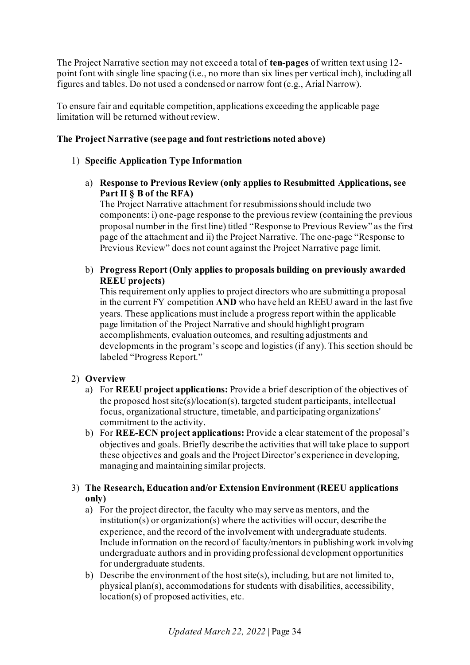The Project Narrative section may not exceed a total of **ten-pages** of written text using 12 point font with single line spacing (i.e., no more than six lines per vertical inch), including all figures and tables. Do not used a condensed or narrow font (e.g., Arial Narrow).

To ensure fair and equitable competition, applications exceeding the applicable page limitation will be returned without review.

### **The Project Narrative (see page and font restrictions noted above)**

### 1) **Specific Application Type Information**

a) **Response to Previous Review (only applies to Resubmitted Applications, see Part II § B of the RFA)**

The Project Narrative attachment for resubmissions should include two components: i) one-page response to the previous review (containing the previous proposal number in the first line) titled "Response to Previous Review" as the first page of the attachment and ii) the Project Narrative. The one-page "Response to Previous Review" does not count against the Project Narrative page limit.

b) **Progress Report (Only applies to proposals building on previously awarded REEU projects)**

This requirement only applies to project directors who are submitting a proposal in the current FY competition **AND** who have held an REEU award in the last five years. These applications must include a progress report within the applicable page limitation of the Project Narrative and should highlight program accomplishments, evaluation outcomes, and resulting adjustments and developments in the program's scope and logistics (if any). This section should be labeled "Progress Report."

### 2) **Overview**

- a) For **REEU project applications:** Provide a brief description of the objectives of the proposed host site(s)/location(s), targeted student participants, intellectual focus, organizational structure, timetable, and participating organizations' commitment to the activity.
- b) For **REE-ECN project applications:** Provide a clear statement of the proposal's objectives and goals. Briefly describe the activities that will take place to support these objectives and goals and the Project Director's experience in developing, managing and maintaining similar projects.

### 3) **The Research, Education and/or Extension Environment (REEU applications only)**

- a) For the project director, the faculty who may serve as mentors, and the institution(s) or organization(s) where the activities will occur, describe the experience, and the record of the involvement with undergraduate students. Include information on the record of faculty/mentors in publishing work involving undergraduate authors and in providing professional development opportunities for undergraduate students.
- b) Describe the environment of the host site(s), including, but are not limited to, physical plan(s), accommodations for students with disabilities, accessibility, location(s) of proposed activities, etc.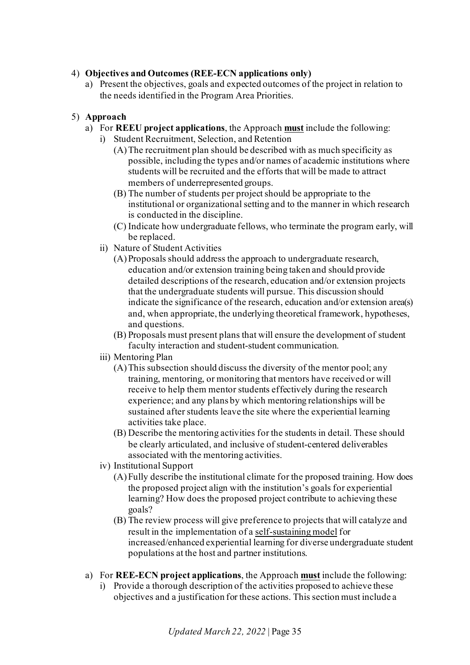### 4) **Objectives and Outcomes (REE-ECN applications only)**

a) Present the objectives, goals and expected outcomes of the project in relation to the needs identified in the Program Area Priorities.

### 5) **Approach**

- a) For **REEU project applications**, the Approach **must** include the following:
	- i) Student Recruitment, Selection, and Retention
		- (A)The recruitment plan should be described with as much specificity as possible, including the types and/or names of academic institutions where students will be recruited and the efforts that will be made to attract members of underrepresented groups.
		- (B) The number of students per project should be appropriate to the institutional or organizational setting and to the manner in which research is conducted in the discipline.
		- (C) Indicate how undergraduate fellows, who terminate the program early, will be replaced.
	- ii) Nature of Student Activities
		- (A)Proposals should address the approach to undergraduate research, education and/or extension training being taken and should provide detailed descriptions of the research, education and/or extension projects that the undergraduate students will pursue. This discussion should indicate the significance of the research, education and/or extension area(s) and, when appropriate, the underlying theoretical framework, hypotheses, and questions.
		- (B) Proposals must present plans that will ensure the development of student faculty interaction and student-student communication.
	- iii) Mentoring Plan
		- (A)This subsection should discuss the diversity of the mentor pool; any training, mentoring, or monitoring that mentors have received or will receive to help them mentor students effectively during the research experience; and any plans by which mentoring relationships will be sustained after students leave the site where the experiential learning activities take place.
		- (B) Describe the mentoring activities for the students in detail. These should be clearly articulated, and inclusive of student-centered deliverables associated with the mentoring activities.
	- iv) Institutional Support
		- (A)Fully describe the institutional climate for the proposed training. How does the proposed project align with the institution's goals for experiential learning? How does the proposed project contribute to achieving these goals?
		- (B) The review process will give preference to projects that will catalyze and result in the implementation of a self-sustaining model for increased/enhanced experiential learning for diverse undergraduate student populations at the host and partner institutions.
- a) For **REE-ECN project applications**, the Approach **must** include the following:
	- i) Provide a thorough description of the activities proposed to achieve these objectives and a justification for these actions. This section must include a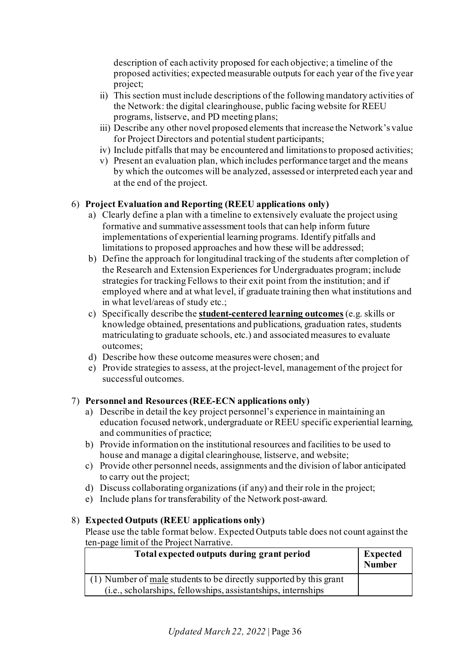description of each activity proposed for each objective; a timeline of the proposed activities; expected measurable outputs for each year of the five year project;

- ii) This section must include descriptions of the following mandatory activities of the Network: the digital clearinghouse, public facing website for REEU programs, listserve, and PD meeting plans;
- iii) Describe any other novel proposed elements that increase the Network's value for Project Directors and potential student participants;
- iv) Include pitfalls that may be encountered and limitations to proposed activities;
- v) Present an evaluation plan, which includes performance target and the means by which the outcomes will be analyzed, assessed or interpreted each year and at the end of the project.

### 6) **Project Evaluation and Reporting (REEU applications only)**

- a) Clearly define a plan with a timeline to extensively evaluate the project using formative and summative assessment tools that can help inform future implementations of experiential learning programs. Identify pitfalls and limitations to proposed approaches and how these will be addressed;
- b) Define the approach for longitudinal tracking of the students after completion of the Research and Extension Experiences for Undergraduates program; include strategies for tracking Fellows to their exit point from the institution; and if employed where and at what level, if graduate training then what institutions and in what level/areas of study etc.;
- c) Specifically describe the **student-centered learning outcomes** (e.g. skills or knowledge obtained, presentations and publications, graduation rates, students matriculating to graduate schools, etc.) and associated measures to evaluate outcomes;
- d) Describe how these outcome measures were chosen; and
- e) Provide strategies to assess, at the project-level, management of the project for successful outcomes.

### 7) **Personnel and Resources (REE-ECN applications only)**

- a) Describe in detail the key project personnel's experience in maintaining an education focused network, undergraduate or REEU specific experiential learning, and communities of practice;
- b) Provide information on the institutional resources and facilities to be used to house and manage a digital clearinghouse, listserve, and website;
- c) Provide other personnel needs, assignments and the division of labor anticipated to carry out the project;
- d) Discuss collaborating organizations (if any) and their role in the project;
- e) Include plans for transferability of the Network post-award.

### 8) **Expected Outputs (REEU applications only)**

Please use the table format below. Expected Outputs table does not count against the ten-page limit of the Project Narrative.

| Total expected outputs during grant period                         | Expected<br><b>Number</b> |
|--------------------------------------------------------------------|---------------------------|
| (1) Number of male students to be directly supported by this grant |                           |
| (i.e., scholarships, fellowships, assistantships, internships      |                           |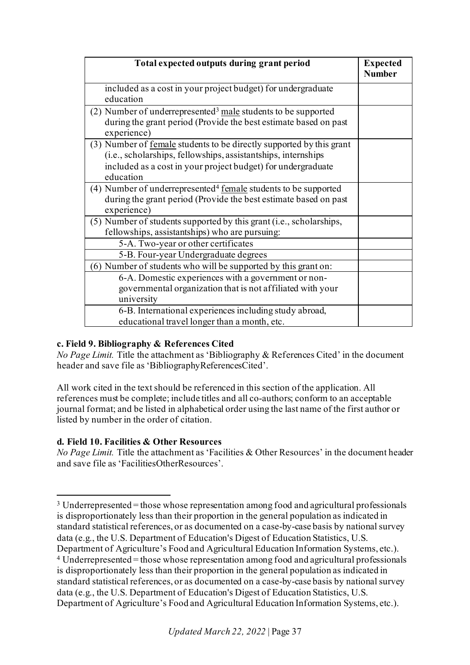| Total expected outputs during grant period                                                                                                                                                                         | <b>Expected</b><br><b>Number</b> |
|--------------------------------------------------------------------------------------------------------------------------------------------------------------------------------------------------------------------|----------------------------------|
| included as a cost in your project budget) for undergraduate<br>education                                                                                                                                          |                                  |
| $(2)$ Number of underrepresented <sup>3</sup> male students to be supported<br>during the grant period (Provide the best estimate based on past<br>experience)                                                     |                                  |
| (3) Number of female students to be directly supported by this grant<br>(i.e., scholarships, fellowships, assistantships, internships<br>included as a cost in your project budget) for undergraduate<br>education |                                  |
| (4) Number of underrepresented <sup>4</sup> female students to be supported<br>during the grant period (Provide the best estimate based on past<br>experience)                                                     |                                  |
| (5) Number of students supported by this grant (i.e., scholarships,<br>fellowships, assistantships) who are pursuing:                                                                                              |                                  |
| 5-A. Two-year or other certificates                                                                                                                                                                                |                                  |
| 5-B. Four-year Undergraduate degrees                                                                                                                                                                               |                                  |
| (6) Number of students who will be supported by this grant on:                                                                                                                                                     |                                  |
| 6-A. Domestic experiences with a government or non-<br>governmental organization that is not affiliated with your<br>university                                                                                    |                                  |
| 6-B. International experiences including study abroad,<br>educational travel longer than a month, etc.                                                                                                             |                                  |

# **c. Field 9. Bibliography & References Cited**

*No Page Limit.* Title the attachment as 'Bibliography & References Cited' in the document header and save file as 'BibliographyReferencesCited'.

All work cited in the text should be referenced in this section of the application. All references must be complete; include titles and all co-authors; conform to an acceptable journal format; and be listed in alphabetical order using the last name of the first author or listed by number in the order of citation.

# **d. Field 10. Facilities & Other Resources**

*No Page Limit.* Title the attachment as 'Facilities & Other Resources' in the document header and save file as 'FacilitiesOtherResources'.

<span id="page-36-1"></span><span id="page-36-0"></span> $3$  Underrepresented = those whose representation among food and agricultural professionals is disproportionately less than their proportion in the general population as indicated in standard statistical references, or as documented on a case-by-case basis by national survey data (e.g., the U.S. Department of Education's Digest of Education Statistics, U.S. Department of Agriculture's Food and Agricultural Education Information Systems, etc.). <sup>4</sup> Underrepresented = those whose representation among food and agricultural professionals is disproportionately less than their proportion in the general population as indicated in standard statistical references, or as documented on a case-by-case basis by national survey data (e.g., the U.S. Department of Education's Digest of Education Statistics, U.S. Department of Agriculture's Food and Agricultural Education Information Systems, etc.).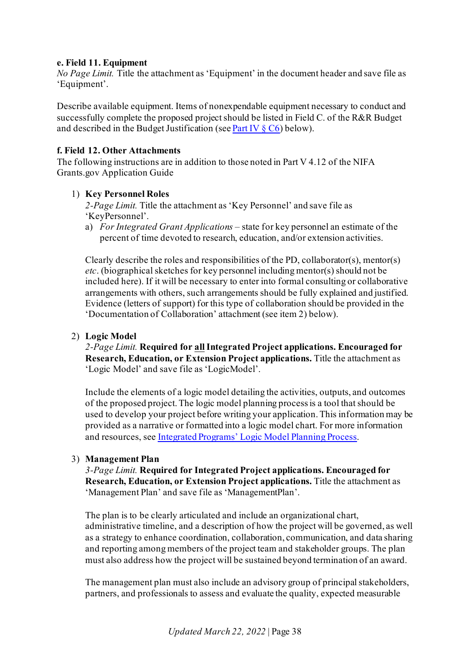## **e. Field 11. Equipment**

*No Page Limit.* Title the attachment as 'Equipment' in the document header and save file as 'Equipment'.

Describe available equipment. Items of nonexpendable equipment necessary to conduct and successfully complete the proposed project should be listed in Field C. of the R&R Budget and described in the Budget Justification (se[e Part IV](#page-42-0)  $\S$  C<sub>6</sub>) below).

### **f. Field 12. Other Attachments**

The following instructions are in addition to those noted in Part V 4.12 of the NIFA Grants.gov Application Guide

### 1) **Key Personnel Roles**

*2-Page Limit.* Title the attachment as 'Key Personnel' and save file as 'KeyPersonnel'.

a) *For Integrated Grant Applications –* state for key personnel an estimate of the percent of time devoted to research, education, and/or extension activities.

Clearly describe the roles and responsibilities of the PD, collaborator(s), mentor(s) *etc*. (biographical sketches for key personnel including mentor(s) should not be included here). If it will be necessary to enter into formal consulting or collaborative arrangements with others, such arrangements should be fully explained and justified. Evidence (letters of support) for this type of collaboration should be provided in the 'Documentation of Collaboration' attachment (see item 2) below).

## 2) **Logic Model**

*2-Page Limit.* **Required for allIntegrated Project applications. Encouraged for Research, Education, or Extension Project applications.** Title the attachment as 'Logic Model' and save file as 'LogicModel'.

Include the elements of a logic model detailing the activities, outputs, and outcomes of the proposed project. The logic model planning process is a tool that should be used to develop your project before writing your application. This information may be provided as a narrative or formatted into a logic model chart. For more information and resources, se[e Integrated Programs' Logic Model Planning Process](https://nifa.usda.gov/resource/integrated-programs-logic-model-planning-process).

#### 3) **Management Plan**

*3-Page Limit.* **Required for Integrated Project applications. Encouraged for Research, Education, or Extension Project applications.** Title the attachment as 'Management Plan' and save file as 'ManagementPlan'.

The plan is to be clearly articulated and include an organizational chart, administrative timeline, and a description of how the project will be governed, as well as a strategy to enhance coordination, collaboration, communication, and data sharing and reporting among members of the project team and stakeholder groups. The plan must also address how the project will be sustained beyond termination of an award.

The management plan must also include an advisory group of principal stakeholders, partners, and professionals to assess and evaluate the quality, expected measurable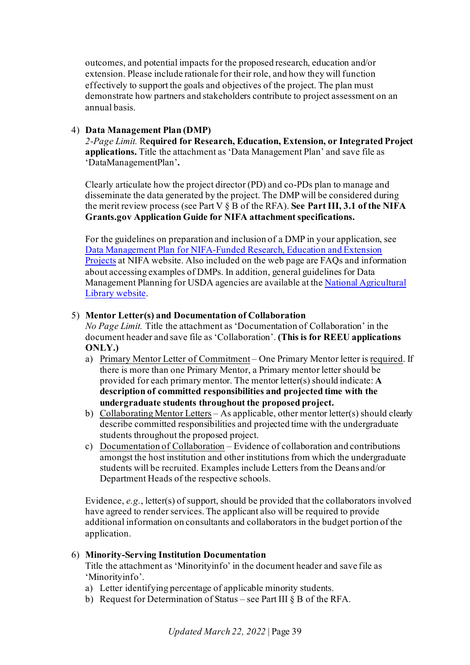outcomes, and potential impacts for the proposed research, education and/or extension. Please include rationale for their role, and how they will function effectively to support the goals and objectives of the project. The plan must demonstrate how partners and stakeholders contribute to project assessment on an annual basis.

# 4) **Data Management Plan (DMP)**

*2-Page Limit.* R**equired for Research, Education, Extension, or Integrated Project applications.** Title the attachment as 'Data Management Plan' and save file as 'DataManagementPlan'**.**

Clearly articulate how the project director (PD) and co-PDs plan to manage and disseminate the data generated by the project. The DMP will be considered during the merit review process (see Part V § B of the RFA). **See Part III, 3.1 of the NIFA Grants.gov Application Guide for NIFA attachment specifications.**

For the guidelines on preparation and inclusion of a DMP in your application, see [Data Management Plan for NIFA-Funded Research, Education and Extension](https://nifa.usda.gov/resource/data-management-plan-nifa-funded-research-projects)  [Projects](https://nifa.usda.gov/resource/data-management-plan-nifa-funded-research-projects) at NIFA website. Also included on the web page are FAQs and information about accessing examples of DMPs. In addition, general guidelines for Data Management Planning for USDA agencies are available at th[e National Agricultural](https://www.nal.usda.gov/ks/guidelines-data-management-planning)  [Library website.](https://www.nal.usda.gov/ks/guidelines-data-management-planning)

# <span id="page-38-0"></span>5) **Mentor Letter(s) and Documentation of Collaboration**

*No Page Limit.* Title the attachment as 'Documentation of Collaboration' in the document header and save file as 'Collaboration'. **(This is for REEU applications ONLY.)**

- a) Primary Mentor Letter of Commitment One Primary Mentor letter is required. If there is more than one Primary Mentor, a Primary mentor letter should be provided for each primary mentor. The mentor letter(s) should indicate: **A description of committed responsibilities and projected time with the undergraduate students throughout the proposed project.**
- b) Collaborating Mentor Letters As applicable, other mentor letter(s) should clearly describe committed responsibilities and projected time with the undergraduate students throughout the proposed project.
- c) Documentation of Collaboration Evidence of collaboration and contributions amongst the host institution and other institutions from which the undergraduate students will be recruited. Examples include Letters from the Deans and/or Department Heads of the respective schools.

Evidence, *e.g.*, letter(s) of support, should be provided that the collaborators involved have agreed to render services. The applicant also will be required to provide additional information on consultants and collaborators in the budget portion of the application.

# 6) **Minority-Serving Institution Documentation**

Title the attachment as 'Minorityinfo' in the document header and save file as 'Minorityinfo'.

- a) Letter identifying percentage of applicable minority students.
- b) Request for Determination of Status see Part III § B of the RFA.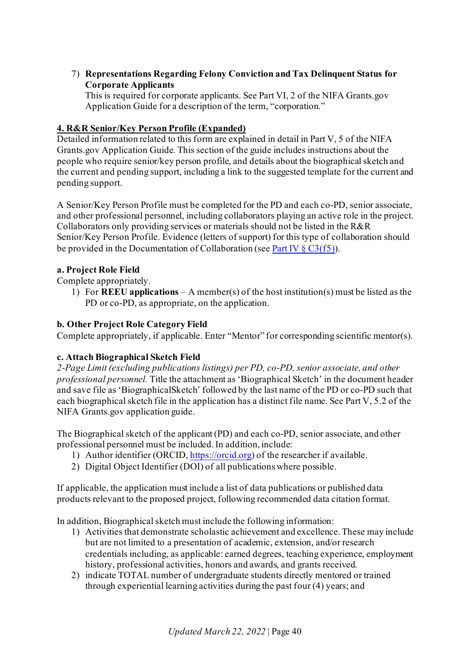# 7) **Representations Regarding Felony Conviction and Tax Delinquent Status for Corporate Applicants**

This is required for corporate applicants. See Part VI, 2 of the NIFA Grants.gov Application Guide for a description of the term, "corporation."

# **4. R&R Senior/Key Person Profile (Expanded)**

Detailed information related to this form are explained in detail in Part V, 5 of the NIFA Grants.gov Application Guide. This section of the guide includes instructions about the people who require senior/key person profile, and details about the biographical sketch and the current and pending support, including a link to the suggested template for the current and pending support.

A Senior/Key Person Profile must be completed for the PD and each co-PD, senior associate, and other professional personnel, including collaborators playing an active role in the project. Collaborators only providing services or materials should not be listed in the R&R Senior/Key Person Profile. Evidence (letters of support) for this type of collaboration should be provided in the Documentation of Collaboration (se[e Part IV](#page-38-0)  $\S$  C3(f5)).

# **a. Project Role Field**

Complete appropriately.

1) For **REEU applications** – A member(s) of the host institution(s) must be listed as the PD or co-PD, as appropriate, on the application.

# **b. Other Project Role Category Field**

Complete appropriately, if applicable. Enter "Mentor" for corresponding scientific mentor(s).

# **c. Attach Biographical Sketch Field**

*2-Page Limit (excluding publications listings) per PD, co-PD, senior associate, and other professional personnel.* Title the attachment as 'Biographical Sketch' in the document header and save file as 'BiographicalSketch' followed by the last name of the PD or co-PD such that each biographical sketch file in the application has a distinct file name. See Part V, 5.2 of the NIFA Grants.gov application guide.

The Biographical sketch of the applicant (PD) and each co-PD, senior associate, and other professional personnel must be included. In addition, include:

- 1) Author identifier (ORCID[, https://orcid.org\)](https://orcid.org/) of the researcher if available.
- 2) Digital Object Identifier (DOI) of all publications where possible.

If applicable, the application must include a list of data publications or published data products relevant to the proposed project, following recommended data citation format.

In addition, Biographical sketch must include the following information:

- 1) Activities that demonstrate scholastic achievement and excellence. These may include but are not limited to a presentation of academic, extension, and/or research credentials including, as applicable: earned degrees, teaching experience, employment history, professional activities, honors and awards, and grants received.
- 2) indicate TOTAL number of undergraduate students directly mentored or trained through experiential learning activities during the past four (4) years; and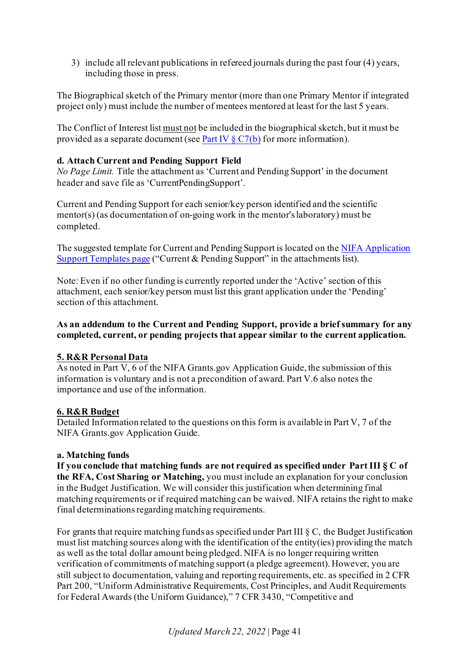3) include all relevant publications in refereed journals during the past four (4) years, including those in press.

The Biographical sketch of the Primary mentor (more than one Primary Mentor if integrated project only) must include the number of mentees mentored at least for the last 5 years.

The Conflict of Interest list must not be included in the biographical sketch, but it must be provided as a separate document (se[e Part IV](#page-43-0)  $\S C7(b)$  for more information).

## **d. Attach Current and Pending Support Field**

*No Page Limit.* Title the attachment as 'Current and Pending Support' in the document header and save file as 'CurrentPendingSupport'.

Current and Pending Support for each senior/key person identified and the scientific mentor(s) (as documentation of on-going work in the mentor's laboratory) must be completed.

The suggested template for Current and Pending Support is located on th[e NIFA Application](https://nifa.usda.gov/resource/application-support-templates)  [Support Templates page](https://nifa.usda.gov/resource/application-support-templates) ("Current & Pending Support" in the attachments list).

Note: Even if no other funding is currently reported under the 'Active' section of this attachment, each senior/key person must list this grant application under the 'Pending' section of this attachment.

## **As an addendum to the Current and Pending Support, provide a brief summary for any completed, current, or pending projects that appear similar to the current application.**

# **5. R&R Personal Data**

As noted in Part V, 6 of the NIFA Grants.gov Application Guide, the submission of this information is voluntary and is not a precondition of award. Part V.6 also notes the importance and use of the information.

#### **6. R&R Budget**

Detailed Information related to the questions on this form is available in Part V, 7 of the NIFA Grants.gov Application Guide.

#### **a. Matching funds**

**If you conclude that matching funds are not required as specified under Part III § C of the RFA, Cost Sharing or Matching,** you must include an explanation for your conclusion in the Budget Justification. We will consider this justification when determining final matching requirements or if required matching can be waived. NIFA retains the right to make final determinations regarding matching requirements.

For grants that require matching funds as specified under Part III § C, the Budget Justification must list matching sources along with the identification of the entity(ies) providing the match as well as the total dollar amount being pledged. NIFA is no longer requiring written verification of commitments of matching support (a pledge agreement). However, you are still subject to documentation, valuing and reporting requirements, etc. as specified in 2 CFR Part 200, "Uniform Administrative Requirements, Cost Principles, and Audit Requirements for Federal Awards (the Uniform Guidance)," 7 CFR 3430, "Competitive and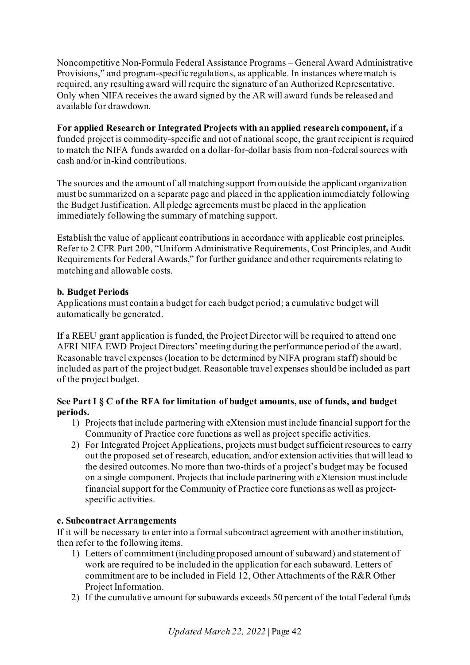Noncompetitive Non-Formula Federal Assistance Programs – General Award Administrative Provisions," and program-specific regulations, as applicable. In instances where match is required, any resulting award will require the signature of an Authorized Representative. Only when NIFA receives the award signed by the AR will award funds be released and available for drawdown.

**For applied Research or Integrated Projects with an applied research component,** if a funded project is commodity-specific and not of national scope, the grant recipient is required to match the NIFA funds awarded on a dollar-for-dollar basis from non-federal sources with cash and/or in-kind contributions.

The sources and the amount of all matching support from outside the applicant organization must be summarized on a separate page and placed in the application immediately following the Budget Justification. All pledge agreements must be placed in the application immediately following the summary of matching support.

Establish the value of applicant contributions in accordance with applicable cost principles. Refer to 2 CFR Part 200, "Uniform Administrative Requirements, Cost Principles, and Audit Requirements for Federal Awards," for further guidance and other requirements relating to matching and allowable costs.

# **b. Budget Periods**

Applications must contain a budget for each budget period; a cumulative budget will automatically be generated.

If a REEU grant application is funded, the Project Director will be required to attend one AFRI NIFA EWD Project Directors' meeting during the performance period of the award. Reasonable travel expenses (location to be determined by NIFA program staff) should be included as part of the project budget. Reasonable travel expenses should be included as part of the project budget.

# **See Part I § C of the RFA for limitation of budget amounts, use of funds, and budget periods.**

- 1) Projects that include partnering with eXtension must include financial support for the Community of Practice core functions as well as project specific activities.
- 2) For Integrated Project Applications, projects must budget sufficient resources to carry out the proposed set of research, education, and/or extension activities that will lead to the desired outcomes. No more than two-thirds of a project's budget may be focused on a single component. Projects that include partnering with eXtension must include financial support for the Community of Practice core functions as well as projectspecific activities.

# **c. Subcontract Arrangements**

If it will be necessary to enter into a formal subcontract agreement with another institution, then refer to the following items.

- 1) Letters of commitment (including proposed amount of subaward) and statement of work are required to be included in the application for each subaward. Letters of commitment are to be included in Field 12, Other Attachments of the R&R Other Project Information.
- 2) If the cumulative amount for subawards exceeds 50 percent of the total Federal funds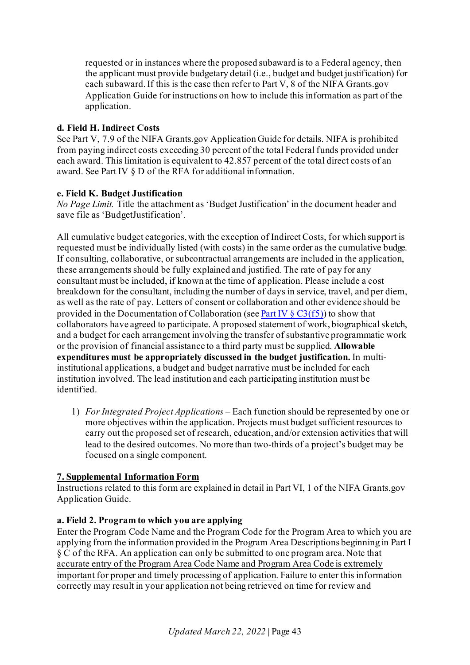requested or in instances where the proposed subaward is to a Federal agency, then the applicant must provide budgetary detail (i.e., budget and budget justification) for each subaward. If this is the case then refer to Part V, 8 of the NIFA Grants.gov Application Guide for instructions on how to include this information as part of the application.

# **d. Field H. Indirect Costs**

See Part V, 7.9 of the NIFA Grants.gov Application Guide for details. NIFA is prohibited from paying indirect costs exceeding 30 percent of the total Federal funds provided under each award. This limitation is equivalent to 42.857 percent of the total direct costs of an award. See Part IV § D of the RFA for additional information.

# <span id="page-42-0"></span>**e. Field K. Budget Justification**

*No Page Limit.* Title the attachment as 'Budget Justification' in the document header and save file as 'BudgetJustification'.

All cumulative budget categories, with the exception of Indirect Costs, for which support is requested must be individually listed (with costs) in the same order as the cumulative budge. If consulting, collaborative, or subcontractual arrangements are included in the application, these arrangements should be fully explained and justified. The rate of pay for any consultant must be included, if known at the time of application. Please include a cost breakdown for the consultant, including the number of days in service, travel, and per diem, as well as the rate of pay. Letters of consent or collaboration and other evidence should be provided in the Documentation of Collaboration (se[e Part IV](#page-38-0)  $\S$  C3(f5)) to show that collaborators have agreed to participate. A proposed statement of work, biographical sketch, and a budget for each arrangement involving the transfer of substantive programmatic work or the provision of financial assistance to a third party must be supplied. **Allowable expenditures must be appropriately discussed in the budget justification.** In multiinstitutional applications, a budget and budget narrative must be included for each institution involved. The lead institution and each participating institution must be identified.

1) *For Integrated Project Applications –* Each function should be represented by one or more objectives within the application. Projects must budget sufficient resources to carry out the proposed set of research, education, and/or extension activities that will lead to the desired outcomes. No more than two-thirds of a project's budget may be focused on a single component.

# **7. Supplemental Information Form**

Instructions related to this form are explained in detail in Part VI, 1 of the NIFA Grants.gov Application Guide.

# **a. Field 2. Program to which you are applying**

Enter the Program Code Name and the Program Code for the Program Area to which you are applying from the information provided in the Program Area Descriptions beginning in Part I § C of the RFA. An application can only be submitted to one program area. Note that accurate entry of the Program Area Code Name and Program Area Code is extremely important for proper and timely processing of application. Failure to enter this information correctly may result in your application not being retrieved on time for review and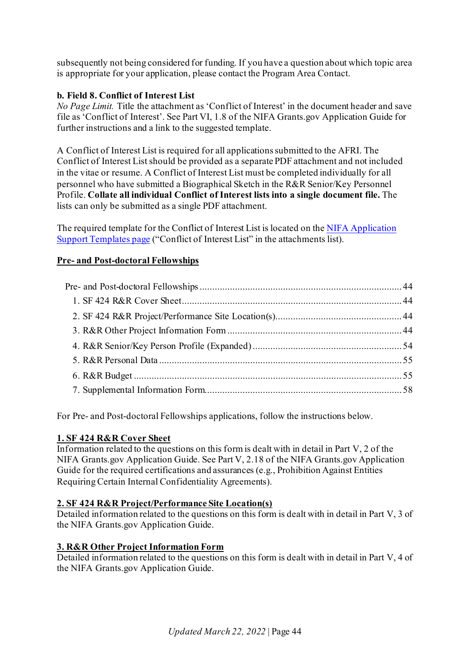subsequently not being considered for funding. If you have a question about which topic area is appropriate for your application, please contact the Program Area Contact.

# <span id="page-43-0"></span>**b. Field 8. Conflict of Interest List**

*No Page Limit.* Title the attachment as 'Conflict of Interest' in the document header and save file as 'Conflict of Interest'. See Part VI, 1.8 of the NIFA Grants.gov Application Guide for further instructions and a link to the suggested template.

A Conflict of Interest List is required for all applications submitted to the AFRI. The Conflict of Interest List should be provided as a separate PDF attachment and not included in the vitae or resume. A Conflict of Interest List must be completed individually for all personnel who have submitted a Biographical Sketch in the R&R Senior/Key Personnel Profile. **Collate all individual Conflict of Interest lists into a single document file.** The lists can only be submitted as a single PDF attachment.

The required template for the Conflict of Interest List is located on th[e NIFA Application](https://nifa.usda.gov/resource/application-support-templates)  [Support Templates page](https://nifa.usda.gov/resource/application-support-templates) ("Conflict of Interest List" in the attachments list).

# <span id="page-43-1"></span>**Pre- and Post-doctoral Fellowships**

For Pre- and Post-doctoral Fellowships applications, follow the instructions below.

# <span id="page-43-2"></span>**1. SF 424 R&R Cover Sheet**

Information related to the questions on this form is dealt with in detail in Part V, 2 of the NIFA Grants.gov Application Guide. See Part V, 2.18 of the NIFA Grants.gov Application Guide for the required certifications and assurances (e.g., Prohibition Against Entities Requiring Certain Internal Confidentiality Agreements).

# <span id="page-43-3"></span>**2. SF 424 R&R Project/Performance Site Location(s)**

Detailed information related to the questions on this form is dealt with in detail in Part V, 3 of the NIFA Grants.gov Application Guide.

# <span id="page-43-4"></span>**3. R&R Other Project Information Form**

Detailed information related to the questions on this form is dealt with in detail in Part V, 4 of the NIFA Grants.gov Application Guide.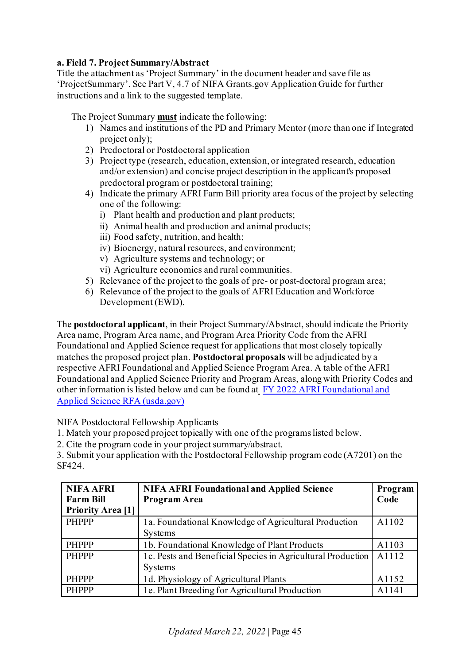# **a. Field 7. Project Summary/Abstract**

Title the attachment as 'Project Summary' in the document header and save file as 'ProjectSummary'. See Part V, 4.7 of NIFA Grants.gov Application Guide for further instructions and a link to the suggested template.

The Project Summary **must** indicate the following:

- 1) Names and institutions of the PD and Primary Mentor (more than one if Integrated project only);
- 2) Predoctoral or Postdoctoral application
- 3) Project type (research, education, extension, or integrated research, education and/or extension) and concise project description in the applicant's proposed predoctoral program or postdoctoral training;
- 4) Indicate the primary AFRI Farm Bill priority area focus of the project by selecting one of the following:
	- i) Plant health and production and plant products;
	- ii) Animal health and production and animal products;
	- iii) Food safety, nutrition, and health;
	- iv) Bioenergy, natural resources, and environment;
	- v) Agriculture systems and technology; or
	- vi) Agriculture economics and rural communities.
- 5) Relevance of the project to the goals of pre- or post-doctoral program area;
- 6) Relevance of the project to the goals of AFRI Education and Workforce Development (EWD).

The **postdoctoral applicant**, in their Project Summary/Abstract, should indicate the Priority Area name, Program Area name, and Program Area Priority Code from the AFRI Foundational and Applied Science request for applications that most closely topically matches the proposed project plan. **Postdoctoral proposals** will be adjudicated by a respective AFRI Foundational and Applied Science Program Area. A table of the AFRI Foundational and Applied Science Priority and Program Areas, along with Priority Codes and other information is listed below and can be found at [FY 2022 AFRI Foundational and](https://nifa.usda.gov/sites/default/files/rfa/FY22-AFRI-FAS-RFA-508-Fv2.pdf)  [Applied Science RFA \(usda.gov\)](https://nifa.usda.gov/sites/default/files/rfa/FY22-AFRI-FAS-RFA-508-Fv2.pdf)

NIFA Postdoctoral Fellowship Applicants

- 1. Match your proposed project topically with one of the programs listed below.
- 2. Cite the program code in your project summary/abstract.

3. Submit your application with the Postdoctoral Fellowship program code (A7201) on the SF424.

| <b>NIFA AFRI</b>         | <b>NIFA AFRI Foundational and Applied Science</b>           | Program |
|--------------------------|-------------------------------------------------------------|---------|
| <b>Farm Bill</b>         | Program Area                                                | Code    |
| <b>Priority Area [1]</b> |                                                             |         |
| <b>PHPPP</b>             | 1a. Foundational Knowledge of Agricultural Production       | A1102   |
|                          | <b>Systems</b>                                              |         |
| <b>PHPPP</b>             | 1b. Foundational Knowledge of Plant Products                | A1103   |
| <b>PHPPP</b>             | 1c. Pests and Beneficial Species in Agricultural Production | A1112   |
|                          | Systems                                                     |         |
| <b>PHPPP</b>             | 1d. Physiology of Agricultural Plants                       | A1152   |
| <b>PHPPP</b>             | 1e. Plant Breeding for Agricultural Production              | A1141   |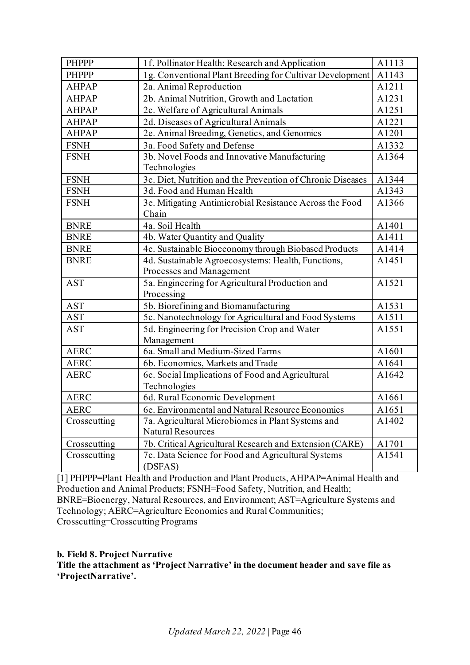| PHPPP        | 1f. Pollinator Health: Research and Application            | A1113 |
|--------------|------------------------------------------------------------|-------|
| <b>PHPPP</b> | 1g. Conventional Plant Breeding for Cultivar Development   | A1143 |
| <b>AHPAP</b> | 2a. Animal Reproduction                                    | A1211 |
| <b>AHPAP</b> | 2b. Animal Nutrition, Growth and Lactation                 | A1231 |
| <b>AHPAP</b> | 2c. Welfare of Agricultural Animals                        | A1251 |
| <b>AHPAP</b> | 2d. Diseases of Agricultural Animals                       | A1221 |
| <b>AHPAP</b> | 2e. Animal Breeding, Genetics, and Genomics                | A1201 |
| <b>FSNH</b>  | 3a. Food Safety and Defense                                | A1332 |
| <b>FSNH</b>  | 3b. Novel Foods and Innovative Manufacturing               | A1364 |
|              | Technologies                                               |       |
| <b>FSNH</b>  | 3c. Diet, Nutrition and the Prevention of Chronic Diseases | A1344 |
| <b>FSNH</b>  | 3d. Food and Human Health                                  | A1343 |
| <b>FSNH</b>  | 3e. Mitigating Antimicrobial Resistance Across the Food    | A1366 |
|              | Chain                                                      |       |
| <b>BNRE</b>  | 4a. Soil Health                                            | A1401 |
| <b>BNRE</b>  | 4b. Water Quantity and Quality                             | A1411 |
| <b>BNRE</b>  | 4c. Sustainable Bioeconomy through Biobased Products       | A1414 |
| <b>BNRE</b>  | 4d. Sustainable Agroecosystems: Health, Functions,         | A1451 |
|              | Processes and Management                                   |       |
| <b>AST</b>   | 5a. Engineering for Agricultural Production and            | A1521 |
|              | Processing                                                 |       |
| <b>AST</b>   | 5b. Biorefining and Biomanufacturing                       | A1531 |
| <b>AST</b>   | 5c. Nanotechnology for Agricultural and Food Systems       | A1511 |
| <b>AST</b>   | 5d. Engineering for Precision Crop and Water               | A1551 |
|              | Management                                                 |       |
| <b>AERC</b>  | 6a. Small and Medium-Sized Farms                           | A1601 |
| <b>AERC</b>  | 6b. Economics, Markets and Trade                           | A1641 |
| <b>AERC</b>  | 6c. Social Implications of Food and Agricultural           | A1642 |
|              | Technologies                                               |       |
| <b>AERC</b>  | 6d. Rural Economic Development                             | A1661 |
| <b>AERC</b>  | 6e. Environmental and Natural Resource Economics           | A1651 |
| Crosscutting | 7a. Agricultural Microbiomes in Plant Systems and          | A1402 |
|              | <b>Natural Resources</b>                                   |       |
| Crosscutting | 7b. Critical Agricultural Research and Extension (CARE)    | A1701 |
| Crosscutting | 7c. Data Science for Food and Agricultural Systems         | A1541 |
|              | (DSFAS)                                                    |       |

[1] PHPPP=Plant Health and Production and Plant Products, AHPAP=Animal Health and Production and Animal Products; FSNH=Food Safety, Nutrition, and Health; BNRE=Bioenergy, Natural Resources, and Environment; AST=Agriculture Systems and Technology; AERC=Agriculture Economics and Rural Communities; Crosscutting=Crosscutting Programs

# **b. Field 8. Project Narrative**

**Title the attachment as 'Project Narrative' in the document header and save file as 'ProjectNarrative'.**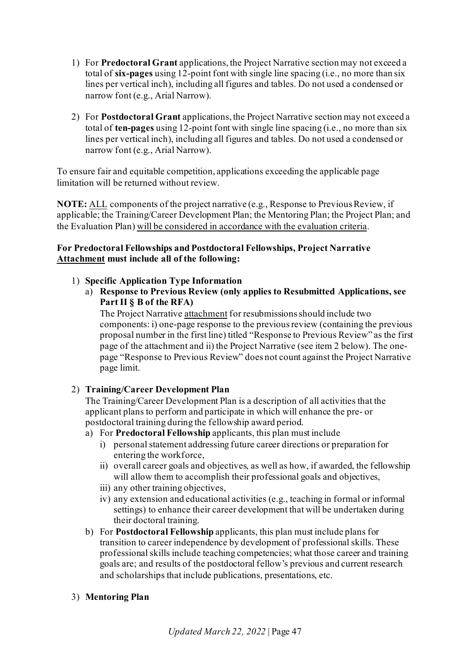- 1) For **Predoctoral Grant** applications, the Project Narrative section may not exceed a total of **six-pages** using 12-point font with single line spacing (i.e., no more than six lines per vertical inch), including all figures and tables. Do not used a condensed or narrow font (e.g., Arial Narrow).
- 2) For **Postdoctoral Grant** applications, the Project Narrative section may not exceed a total of **ten-pages** using 12-point font with single line spacing (i.e., no more than six lines per vertical inch), including all figures and tables. Do not used a condensed or narrow font (e.g., Arial Narrow).

To ensure fair and equitable competition, applications exceeding the applicable page limitation will be returned without review.

**NOTE:** ALL components of the project narrative (e.g., Response to Previous Review, if applicable; the Training/Career Development Plan; the Mentoring Plan; the Project Plan; and the Evaluation Plan) will be considered in accordance with the evaluation criteria.

# **For Predoctoral Fellowships and Postdoctoral Fellowships, Project Narrative Attachment must include all of the following:**

# 1) **Specific Application Type Information**

a) **Response to Previous Review (only applies to Resubmitted Applications, see Part II § B of the RFA)**

The Project Narrative attachment for resubmissions should include two components: i) one-page response to the previous review (containing the previous proposal number in the first line) titled "Response to Previous Review" as the first page of the attachment and ii) the Project Narrative (see item 2 below). The onepage "Response to Previous Review" does not count against the Project Narrative page limit.

# 2) **Training/Career Development Plan**

The Training/Career Development Plan is a description of all activities that the applicant plans to perform and participate in which will enhance the pre- or postdoctoral training during the fellowship award period.

# a) For **Predoctoral Fellowship** applicants, this plan must include

- i) personal statement addressing future career directions or preparation for entering the workforce,
- ii) overall career goals and objectives, as well as how, if awarded, the fellowship will allow them to accomplish their professional goals and objectives,
- iii) any other training objectives,
- iv) any extension and educational activities (e.g., teaching in formal or informal settings) to enhance their career development that will be undertaken during their doctoral training.
- b) For **Postdoctoral Fellowship** applicants, this plan must include plans for transition to career independence by development of professional skills. These professional skills include teaching competencies; what those career and training goals are; and results of the postdoctoral fellow's previous and current research and scholarships that include publications, presentations, etc.

# 3) **Mentoring Plan**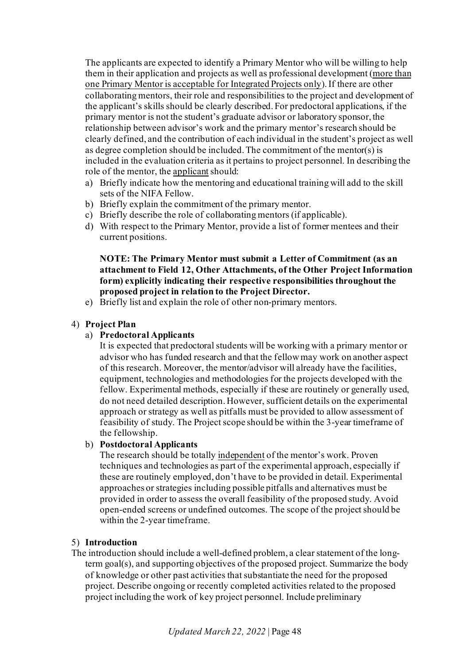The applicants are expected to identify a Primary Mentor who will be willing to help them in their application and projects as well as professional development (more than one Primary Mentor is acceptable for Integrated Projects only). If there are other collaborating mentors, their role and responsibilities to the project and development of the applicant's skills should be clearly described. For predoctoral applications, if the primary mentor is not the student's graduate advisor or laboratory sponsor, the relationship between advisor's work and the primary mentor's research should be clearly defined, and the contribution of each individual in the student's project as well as degree completion should be included. The commitment of the mentor(s) is included in the evaluation criteria as it pertains to project personnel. In describing the role of the mentor, the applicant should:

- a) Briefly indicate how the mentoring and educational training will add to the skill sets of the NIFA Fellow.
- b) Briefly explain the commitment of the primary mentor.
- c) Briefly describe the role of collaborating mentors (if applicable).
- d) With respect to the Primary Mentor, provide a list of former mentees and their current positions.

# **NOTE: The Primary Mentor must submit a Letter of Commitment (as an attachment to Field 12, Other Attachments, of the Other Project Information form) explicitly indicating their respective responsibilities throughout the proposed project in relation to the Project Director.**

e) Briefly list and explain the role of other non-primary mentors.

# 4) **Project Plan**

a) **Predoctoral Applicants**

It is expected that predoctoral students will be working with a primary mentor or advisor who has funded research and that the fellow may work on another aspect of this research. Moreover, the mentor/advisor will already have the facilities, equipment, technologies and methodologies for the projects developed with the fellow. Experimental methods, especially if these are routinely or generally used, do not need detailed description. However, sufficient details on the experimental approach or strategy as well as pitfalls must be provided to allow assessment of feasibility of study. The Project scope should be within the 3-year timeframe of the fellowship.

# b) **Postdoctoral Applicants**

The research should be totally independent of the mentor's work. Proven techniques and technologies as part of the experimental approach, especially if these are routinely employed, don't have to be provided in detail. Experimental approaches or strategies including possible pitfalls and alternatives must be provided in order to assess the overall feasibility of the proposed study. Avoid open-ended screens or undefined outcomes. The scope of the project should be within the 2-year timeframe.

# 5) **Introduction**

The introduction should include a well-defined problem, a clear statement of the longterm goal(s), and supporting objectives of the proposed project. Summarize the body of knowledge or other past activities that substantiate the need for the proposed project. Describe ongoing or recently completed activities related to the proposed project including the work of key project personnel. Include preliminary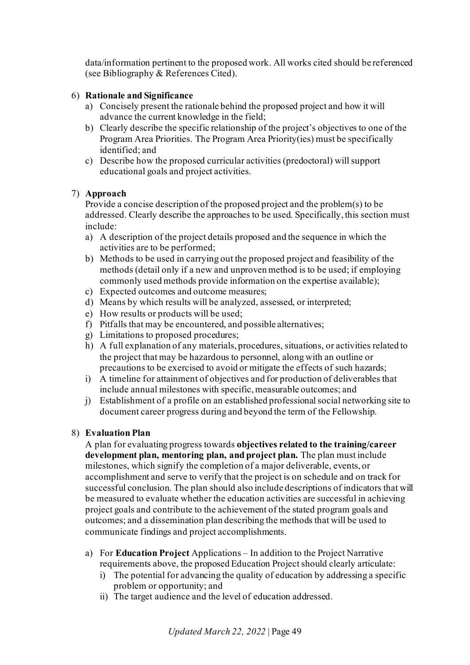data/information pertinent to the proposed work. All works cited should be referenced (see Bibliography & References Cited).

# 6) **Rationale and Significance**

- a) Concisely present the rationale behind the proposed project and how it will advance the current knowledge in the field;
- b) Clearly describe the specific relationship of the project's objectives to one of the Program Area Priorities. The Program Area Priority(ies) must be specifically identified; and
- c) Describe how the proposed curricular activities (predoctoral) will support educational goals and project activities.

# 7) **Approach**

Provide a concise description of the proposed project and the problem(s) to be addressed. Clearly describe the approaches to be used. Specifically, this section must include:

- a) A description of the project details proposed and the sequence in which the activities are to be performed;
- b) Methods to be used in carrying out the proposed project and feasibility of the methods (detail only if a new and unproven method is to be used; if employing commonly used methods provide information on the expertise available);
- c) Expected outcomes and outcome measures;
- d) Means by which results will be analyzed, assessed, or interpreted;
- e) How results or products will be used;
- f) Pitfalls that may be encountered, and possible alternatives;
- g) Limitations to proposed procedures;
- h) A full explanation of any materials, procedures, situations, or activities related to the project that may be hazardous to personnel, along with an outline or precautions to be exercised to avoid or mitigate the effects of such hazards;
- i) A timeline for attainment of objectives and for production of deliverables that include annual milestones with specific, measurable outcomes; and
- j) Establishment of a profile on an established professional social networking site to document career progress during and beyond the term of the Fellowship.

# 8) **Evaluation Plan**

A plan for evaluating progress towards **objectives related to the training/career development plan, mentoring plan, and project plan.** The plan must include milestones, which signify the completion of a major deliverable, events, or accomplishment and serve to verify that the project is on schedule and on track for successful conclusion. The plan should also include descriptions of indicators that will be measured to evaluate whether the education activities are successful in achieving project goals and contribute to the achievement of the stated program goals and outcomes; and a dissemination plan describing the methods that will be used to communicate findings and project accomplishments.

- a) For **Education Project** Applications In addition to the Project Narrative requirements above, the proposed Education Project should clearly articulate:
	- i) The potential for advancing the quality of education by addressing a specific problem or opportunity; and
	- ii) The target audience and the level of education addressed.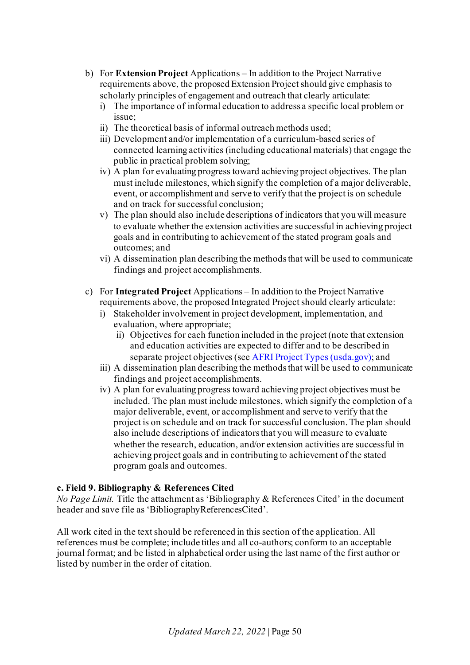- b) For **Extension Project** Applications In addition to the Project Narrative requirements above, the proposed Extension Project should give emphasis to scholarly principles of engagement and outreach that clearly articulate:
	- i) The importance of informal education to address a specific local problem or issue;
	- ii) The theoretical basis of informal outreach methods used;
	- iii) Development and/or implementation of a curriculum-based series of connected learning activities (including educational materials) that engage the public in practical problem solving;
	- iv) A plan for evaluating progress toward achieving project objectives. The plan must include milestones, which signify the completion of a major deliverable, event, or accomplishment and serve to verify that the project is on schedule and on track for successful conclusion;
	- v) The plan should also include descriptions of indicators that you will measure to evaluate whether the extension activities are successful in achieving project goals and in contributing to achievement of the stated program goals and outcomes; and
	- vi) A dissemination plan describing the methods that will be used to communicate findings and project accomplishments.
- c) For **Integrated Project** Applications In addition to the Project Narrative requirements above, the proposed Integrated Project should clearly articulate:
	- i) Stakeholder involvement in project development, implementation, and evaluation, where appropriate;
		- ii) Objectives for each function included in the project (note that extension and education activities are expected to differ and to be described in separate project objectives (see [AFRI Project Types \(usda.gov\)](https://nifa.usda.gov/sites/default/files/resource/AFRI-Project-Types.pdf); and
	- iii) A dissemination plan describing the methods that will be used to communicate findings and project accomplishments.
	- iv) A plan for evaluating progress toward achieving project objectives must be included. The plan must include milestones, which signify the completion of a major deliverable, event, or accomplishment and serve to verify that the project is on schedule and on track for successful conclusion. The plan should also include descriptions of indicators that you will measure to evaluate whether the research, education, and/or extension activities are successful in achieving project goals and in contributing to achievement of the stated program goals and outcomes.

# **c. Field 9. Bibliography & References Cited**

*No Page Limit.* Title the attachment as 'Bibliography & References Cited' in the document header and save file as 'BibliographyReferencesCited'.

All work cited in the text should be referenced in this section of the application. All references must be complete; include titles and all co-authors; conform to an acceptable journal format; and be listed in alphabetical order using the last name of the first author or listed by number in the order of citation.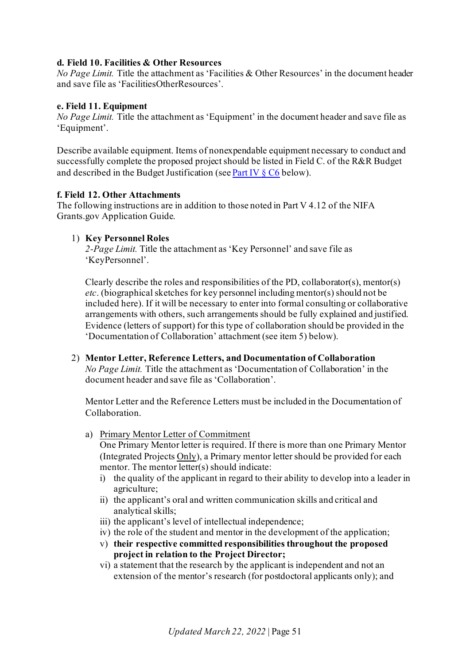# **d. Field 10. Facilities & Other Resources**

*No Page Limit.* Title the attachment as 'Facilities & Other Resources' in the document header and save file as 'FacilitiesOtherResources'.

#### **e. Field 11. Equipment**

*No Page Limit.* Title the attachment as 'Equipment' in the document header and save file as 'Equipment'.

Describe available equipment. Items of nonexpendable equipment necessary to conduct and successfully complete the proposed project should be listed in Field C. of the R&R Budget and described in the Budget Justification (se[e Part IV](#page-56-0) § C6 below).

#### **f. Field 12. Other Attachments**

The following instructions are in addition to those noted in Part V 4.12 of the NIFA Grants.gov Application Guide.

# 1) **Key Personnel Roles**

*2-Page Limit.* Title the attachment as 'Key Personnel' and save file as 'KeyPersonnel'.

Clearly describe the roles and responsibilities of the PD, collaborator(s), mentor(s) *etc*. (biographical sketches for key personnel including mentor(s) should not be included here). If it will be necessary to enter into formal consulting or collaborative arrangements with others, such arrangements should be fully explained and justified. Evidence (letters of support) for this type of collaboration should be provided in the 'Documentation of Collaboration' attachment (see item 5) below).

2) **Mentor Letter, Reference Letters, and Documentation of Collaboration** *No Page Limit.* Title the attachment as 'Documentation of Collaboration' in the document header and save file as 'Collaboration'.

Mentor Letter and the Reference Letters must be included in the Documentation of Collaboration.

a) Primary Mentor Letter of Commitment

One Primary Mentor letter is required. If there is more than one Primary Mentor (Integrated Projects Only), a Primary mentor letter should be provided for each mentor. The mentor letter(s) should indicate:

- i) the quality of the applicant in regard to their ability to develop into a leader in agriculture;
- ii) the applicant's oral and written communication skills and critical and analytical skills;
- iii) the applicant's level of intellectual independence;
- iv) the role of the student and mentor in the development of the application;
- v) **their respective committed responsibilities throughout the proposed project in relation to the Project Director;**
- vi) a statement that the research by the applicant is independent and not an extension of the mentor's research (for postdoctoral applicants only); and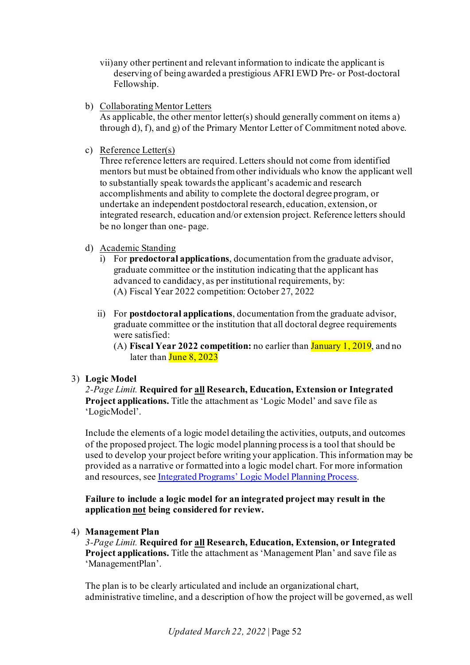- vii)any other pertinent and relevant information to indicate the applicant is deserving of being awarded a prestigious AFRI EWD Pre- or Post-doctoral Fellowship.
- b) Collaborating Mentor Letters

As applicable, the other mentor letter(s) should generally comment on items a) through d), f), and g) of the Primary Mentor Letter of Commitment noted above.

c) Reference Letter(s)

Three reference letters are required. Letters should not come from identified mentors but must be obtained from other individuals who know the applicant well to substantially speak towards the applicant's academic and research accomplishments and ability to complete the doctoral degree program, or undertake an independent postdoctoral research, education, extension, or integrated research, education and/or extension project. Reference letters should be no longer than one- page.

- d) Academic Standing
	- i) For **predoctoral applications**, documentation from the graduate advisor, graduate committee or the institution indicating that the applicant has advanced to candidacy, as per institutional requirements, by: (A) Fiscal Year 2022 competition: October 27, 2022
	- ii) For **postdoctoral applications**, documentation from the graduate advisor, graduate committee or the institution that all doctoral degree requirements were satisfied:
		- (A) **Fiscal Year 2022 competition:** no earlier than January 1, 2019, and no later than June 8, 2023

# 3) **Logic Model**

*2-Page Limit.* **Required for all Research, Education, Extension or Integrated Project applications.** Title the attachment as 'Logic Model' and save file as 'LogicModel'.

Include the elements of a logic model detailing the activities, outputs, and outcomes of the proposed project. The logic model planning process is a tool that should be used to develop your project before writing your application. This information may be provided as a narrative or formatted into a logic model chart. For more information and resources, se[e Integrated Programs' Logic Model Planning Process](https://nifa.usda.gov/resource/integrated-programs-logic-model-planning-process).

**Failure to include a logic model for an integrated project may result in the application not being considered for review.**

# 4) **Management Plan**

*3-Page Limit.* **Required for all Research, Education, Extension, or Integrated Project applications.** Title the attachment as 'Management Plan' and save file as 'ManagementPlan'.

The plan is to be clearly articulated and include an organizational chart, administrative timeline, and a description of how the project will be governed, as well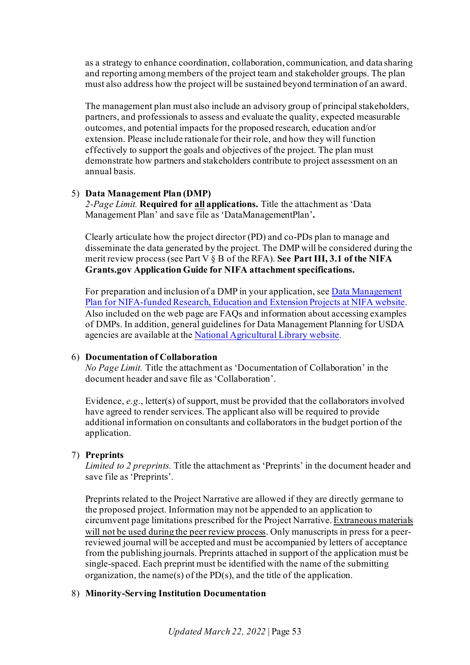as a strategy to enhance coordination, collaboration, communication, and data sharing and reporting among members of the project team and stakeholder groups. The plan must also address how the project will be sustained beyond termination of an award.

The management plan must also include an advisory group of principal stakeholders, partners, and professionals to assess and evaluate the quality, expected measurable outcomes, and potential impacts for the proposed research, education and/or extension. Please include rationale for their role, and how they will function effectively to support the goals and objectives of the project. The plan must demonstrate how partners and stakeholders contribute to project assessment on an annual basis.

#### 5) **Data Management Plan (DMP)**

*2-Page Limit.* **Required for all applications.** Title the attachment as 'Data Management Plan' and save file as 'DataManagementPlan'**.**

Clearly articulate how the project director (PD) and co-PDs plan to manage and disseminate the data generated by the project. The DMP will be considered during the merit review process (see Part V § B of the RFA). **See Part III, 3.1 of the NIFA Grants.gov Application Guide for NIFA attachment specifications.**

For preparation and inclusion of a DMP in your application, se[e Data Management](https://www.nal.usda.gov/ks/guidelines-data-management-planning)  [Plan for NIFA-funded Research, Education and Extension Projects at NIFA website.](https://www.nal.usda.gov/ks/guidelines-data-management-planning) Also included on the web page are FAQs and information about accessing examples of DMPs. In addition, general guidelines for Data Management Planning for USDA agencies are available at th[e National Agricultural Library website](https://www.nal.usda.gov/ks/guidelines-data-management-planning).

# <span id="page-52-0"></span>6) **Documentation of Collaboration**

*No Page Limit.* Title the attachment as 'Documentation of Collaboration' in the document header and save file as 'Collaboration'.

Evidence, *e.g.*, letter(s) of support, must be provided that the collaborators involved have agreed to render services. The applicant also will be required to provide additional information on consultants and collaborators in the budget portion of the application.

# 7) **Preprints**

*Limited to 2 preprints.* Title the attachment as 'Preprints' in the document header and save file as 'Preprints'.

Preprints related to the Project Narrative are allowed if they are directly germane to the proposed project. Information may not be appended to an application to circumvent page limitations prescribed for the Project Narrative. Extraneous materials will not be used during the peer review process. Only manuscripts in press for a peerreviewed journal will be accepted and must be accompanied by letters of acceptance from the publishing journals. Preprints attached in support of the application must be single-spaced. Each preprint must be identified with the name of the submitting organization, the name(s) of the PD(s), and the title of the application.

#### 8) **Minority-Serving Institution Documentation**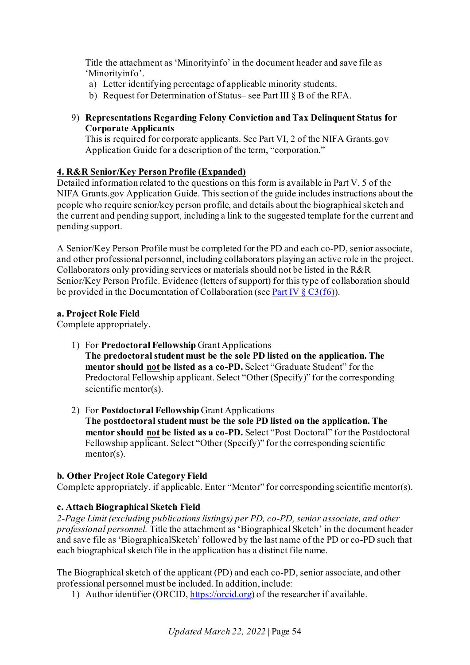Title the attachment as 'Minorityinfo' in the document header and save file as 'Minorityinfo'.

- a) Letter identifying percentage of applicable minority students.
- b) Request for Determination of Status– see Part III § B of the RFA.

# 9) **Representations Regarding Felony Conviction and Tax Delinquent Status for Corporate Applicants**

This is required for corporate applicants. See Part VI, 2 of the NIFA Grants.gov Application Guide for a description of the term, "corporation."

# <span id="page-53-0"></span>**4. R&R Senior/Key Person Profile (Expanded)**

Detailed information related to the questions on this form is available in Part V, 5 of the NIFA Grants.gov Application Guide. This section of the guide includes instructions about the people who require senior/key person profile, and details about the biographical sketch and the current and pending support, including a link to the suggested template for the current and pending support.

A Senior/Key Person Profile must be completed for the PD and each co-PD, senior associate, and other professional personnel, including collaborators playing an active role in the project. Collaborators only providing services or materials should not be listed in the R&R Senior/Key Person Profile. Evidence (letters of support) for this type of collaboration should be provided in the Documentation of Collaboration (se[e Part IV § C3\(f6\)\)](#page-52-0).

# **a. Project Role Field**

Complete appropriately.

- 1) For **Predoctoral Fellowship** Grant Applications
	- **The predoctoral student must be the sole PD listed on the application. The mentor should not be listed as a co-PD.** Select "Graduate Student" for the Predoctoral Fellowship applicant. Select "Other (Specify)" for the corresponding scientific mentor(s).
- 2) For **Postdoctoral Fellowship** Grant Applications **The postdoctoral student must be the sole PD listed on the application. The mentor should not be listed as a co-PD.** Select "Post Doctoral" for the Postdoctoral Fellowship applicant. Select "Other (Specify)" for the corresponding scientific mentor(s).

# **b. Other Project Role Category Field**

Complete appropriately, if applicable. Enter "Mentor" for corresponding scientific mentor(s).

# **c. Attach Biographical Sketch Field**

*2-Page Limit (excluding publications listings) per PD, co-PD, senior associate, and other professional personnel.* Title the attachment as 'Biographical Sketch' in the document header and save file as 'BiographicalSketch' followed by the last name of the PD or co-PD such that each biographical sketch file in the application has a distinct file name.

The Biographical sketch of the applicant (PD) and each co-PD, senior associate, and other professional personnel must be included. In addition, include:

1) Author identifier (ORCID[, https://orcid.org\)](https://orcid.org/) of the researcher if available.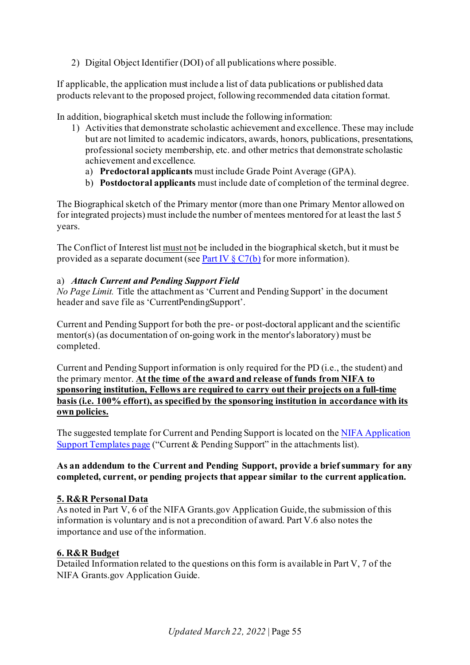2) Digital Object Identifier (DOI) of all publications where possible.

If applicable, the application must include a list of data publications or published data products relevant to the proposed project, following recommended data citation format.

In addition, biographical sketch must include the following information:

- 1) Activities that demonstrate scholastic achievement and excellence. These may include but are not limited to academic indicators, awards, honors, publications, presentations, professional society membership, etc. and other metrics that demonstrate scholastic achievement and excellence.
	- a) **Predoctoral applicants** must include Grade Point Average (GPA).
	- b) **Postdoctoral applicants** must include date of completion of the terminal degree.

The Biographical sketch of the Primary mentor (more than one Primary Mentor allowed on for integrated projects) must include the number of mentees mentored for at least the last 5 years.

The Conflict of Interest list must not be included in the biographical sketch, but it must be provided as a separate document (se[e Part IV](#page-57-1)  $\S C7(b)$  for more information).

### a) *Attach Current and Pending Support Field*

*No Page Limit.* Title the attachment as 'Current and Pending Support' in the document header and save file as 'CurrentPendingSupport'.

Current and Pending Support for both the pre- or post-doctoral applicant and the scientific mentor(s) (as documentation of on-going work in the mentor's laboratory) must be completed.

Current and Pending Support information is only required for the PD (i.e., the student) and the primary mentor. **At the time of the award and release of funds from NIFA to sponsoring institution, Fellows are required to carry out their projects on a full-time basis (i.e. 100% effort), as specified by the sponsoring institution in accordance with its own policies.**

The suggested template for Current and Pending Support is located on the NIFA Application [Support Templates page](https://nifa.usda.gov/resource/application-support-templates) ("Current & Pending Support" in the attachments list).

### **As an addendum to the Current and Pending Support, provide a brief summary for any completed, current, or pending projects that appear similar to the current application.**

# <span id="page-54-0"></span>**5. R&R Personal Data**

As noted in Part V, 6 of the NIFA Grants.gov Application Guide, the submission of this information is voluntary and is not a precondition of award. Part V.6 also notes the importance and use of the information.

# <span id="page-54-1"></span>**6. R&R Budget**

Detailed Information related to the questions on this form is available in Part V, 7 of the NIFA Grants.gov Application Guide.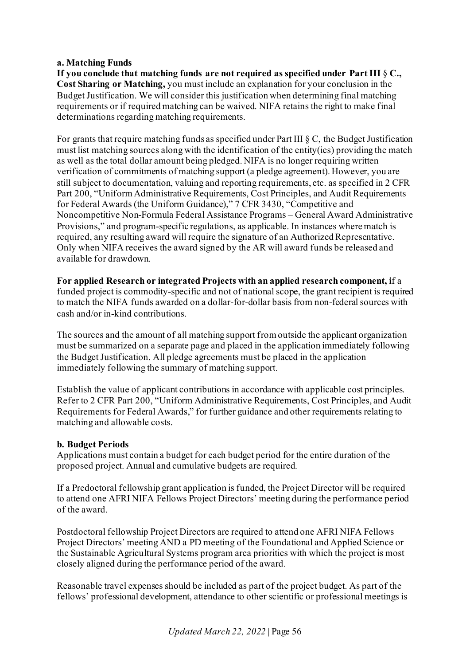### **a. Matching Funds**

**If you conclude that matching funds are not required as specified under Part III** § **C., Cost Sharing or Matching,** you must include an explanation for your conclusion in the Budget Justification. We will consider this justification when determining final matching requirements or if required matching can be waived. NIFA retains the right to make final determinations regarding matching requirements.

For grants that require matching funds as specified under Part III § C, the Budget Justification must list matching sources along with the identification of the entity(ies) providing the match as well as the total dollar amount being pledged. NIFA is no longer requiring written verification of commitments of matching support (a pledge agreement). However, you are still subject to documentation, valuing and reporting requirements, etc. as specified in 2 CFR Part 200, "Uniform Administrative Requirements, Cost Principles, and Audit Requirements for Federal Awards (the Uniform Guidance)," 7 CFR 3430, "Competitive and Noncompetitive Non-Formula Federal Assistance Programs – General Award Administrative Provisions," and program-specific regulations, as applicable. In instances where match is required, any resulting award will require the signature of an Authorized Representative. Only when NIFA receives the award signed by the AR will award funds be released and available for drawdown.

**For applied Research or integrated Projects with an applied research component, i**f a funded project is commodity-specific and not of national scope, the grant recipient is required to match the NIFA funds awarded on a dollar-for-dollar basis from non-federal sources with cash and/or in-kind contributions.

The sources and the amount of all matching support from outside the applicant organization must be summarized on a separate page and placed in the application immediately following the Budget Justification. All pledge agreements must be placed in the application immediately following the summary of matching support.

Establish the value of applicant contributions in accordance with applicable cost principles. Refer to 2 CFR Part 200, "Uniform Administrative Requirements, Cost Principles, and Audit Requirements for Federal Awards," for further guidance and other requirements relating to matching and allowable costs.

# **b. Budget Periods**

Applications must contain a budget for each budget period for the entire duration of the proposed project. Annual and cumulative budgets are required.

If a Predoctoral fellowship grant application is funded, the Project Director will be required to attend one AFRI NIFA Fellows Project Directors' meeting during the performance period of the award.

Postdoctoral fellowship Project Directors are required to attend one AFRI NIFA Fellows Project Directors' meeting AND a PD meeting of the Foundational and Applied Science or the Sustainable Agricultural Systems program area priorities with which the project is most closely aligned during the performance period of the award.

Reasonable travel expenses should be included as part of the project budget. As part of the fellows' professional development, attendance to other scientific or professional meetings is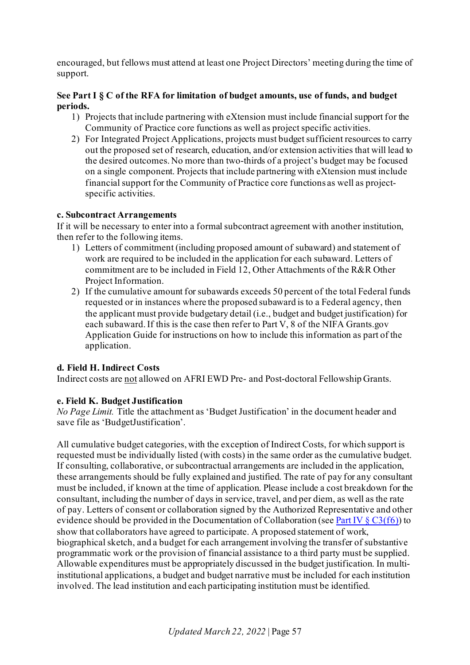encouraged, but fellows must attend at least one Project Directors' meeting during the time of support.

# **See Part I § C of the RFA for limitation of budget amounts, use of funds, and budget periods.**

- 1) Projects that include partnering with eXtension must include financial support for the Community of Practice core functions as well as project specific activities.
- 2) For Integrated Project Applications, projects must budget sufficient resources to carry out the proposed set of research, education, and/or extension activities that will lead to the desired outcomes. No more than two-thirds of a project's budget may be focused on a single component. Projects that include partnering with eXtension must include financial support for the Community of Practice core functions as well as projectspecific activities.

# **c. Subcontract Arrangements**

If it will be necessary to enter into a formal subcontract agreement with another institution, then refer to the following items.

- 1) Letters of commitment (including proposed amount of subaward) and statement of work are required to be included in the application for each subaward. Letters of commitment are to be included in Field 12, Other Attachments of the R&R Other Project Information.
- 2) If the cumulative amount for subawards exceeds 50 percent of the total Federal funds requested or in instances where the proposed subaward is to a Federal agency, then the applicant must provide budgetary detail (i.e., budget and budget justification) for each subaward. If this is the case then refer to Part V, 8 of the NIFA Grants.gov Application Guide for instructions on how to include this information as part of the application.

# **d. Field H. Indirect Costs**

Indirect costs are not allowed on AFRI EWD Pre- and Post-doctoral Fellowship Grants.

#### <span id="page-56-0"></span>**e. Field K. Budget Justification**

*No Page Limit.* Title the attachment as 'Budget Justification' in the document header and save file as 'BudgetJustification'.

All cumulative budget categories, with the exception of Indirect Costs, for which support is requested must be individually listed (with costs) in the same order as the cumulative budget. If consulting, collaborative, or subcontractual arrangements are included in the application, these arrangements should be fully explained and justified. The rate of pay for any consultant must be included, if known at the time of application. Please include a cost breakdown for the consultant, including the number of days in service, travel, and per diem, as well as the rate of pay. Letters of consent or collaboration signed by the Authorized Representative and other evidence should be provided in the Documentation of Collaboration (se[e Part IV](#page-52-0)  $\S C3(f6)$ ) to show that collaborators have agreed to participate. A proposed statement of work, biographical sketch, and a budget for each arrangement involving the transfer of substantive programmatic work or the provision of financial assistance to a third party must be supplied. Allowable expenditures must be appropriately discussed in the budget justification. In multiinstitutional applications, a budget and budget narrative must be included for each institution involved. The lead institution and each participating institution must be identified.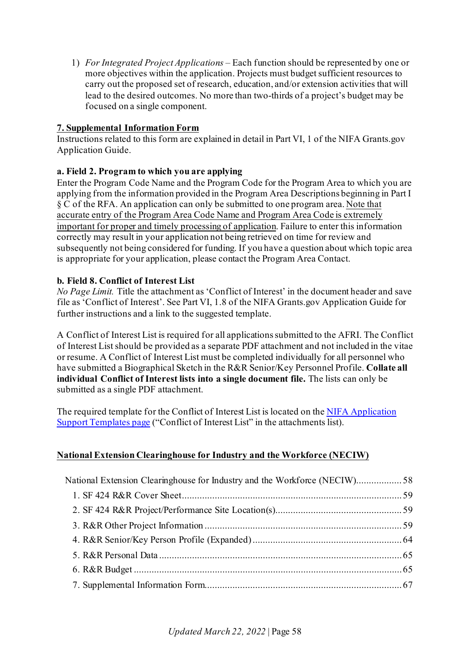1) *For Integrated Project Applications –* Each function should be represented by one or more objectives within the application. Projects must budget sufficient resources to carry out the proposed set of research, education, and/or extension activities that will lead to the desired outcomes. No more than two-thirds of a project's budget may be focused on a single component.

# <span id="page-57-0"></span>**7. Supplemental Information Form**

Instructions related to this form are explained in detail in Part VI, 1 of the NIFA Grants.gov Application Guide.

# **a. Field 2. Program to which you are applying**

Enter the Program Code Name and the Program Code for the Program Area to which you are applying from the information provided in the Program Area Descriptions beginning in Part I § C of the RFA. An application can only be submitted to one program area. Note that accurate entry of the Program Area Code Name and Program Area Code is extremely important for proper and timely processing of application. Failure to enter this information correctly may result in your application not being retrieved on time for review and subsequently not being considered for funding. If you have a question about which topic area is appropriate for your application, please contact the Program Area Contact.

# <span id="page-57-1"></span>**b. Field 8. Conflict of Interest List**

*No Page Limit.* Title the attachment as 'Conflict of Interest' in the document header and save file as 'Conflict of Interest'. See Part VI, 1.8 of the NIFA Grants.gov Application Guide for further instructions and a link to the suggested template.

A Conflict of Interest List is required for all applications submitted to the AFRI. The Conflict of Interest List should be provided as a separate PDF attachment and not included in the vitae or resume. A Conflict of Interest List must be completed individually for all personnel who have submitted a Biographical Sketch in the R&R Senior/Key Personnel Profile. **Collate all individual Conflict of Interest lists into a single document file.** The lists can only be submitted as a single PDF attachment.

The required template for the Conflict of Interest List is located on th[e NIFA Application](https://nifa.usda.gov/resource/application-support-templates)  [Support Templates page](https://nifa.usda.gov/resource/application-support-templates) ("Conflict of Interest List" in the attachments list).

# <span id="page-57-2"></span>**National Extension Clearinghouse for Industry and the Workforce (NECIW)**

| National Extension Clearinghouse for Industry and the Workforce (NECIW)58 |  |
|---------------------------------------------------------------------------|--|
|                                                                           |  |
|                                                                           |  |
|                                                                           |  |
|                                                                           |  |
|                                                                           |  |
|                                                                           |  |
|                                                                           |  |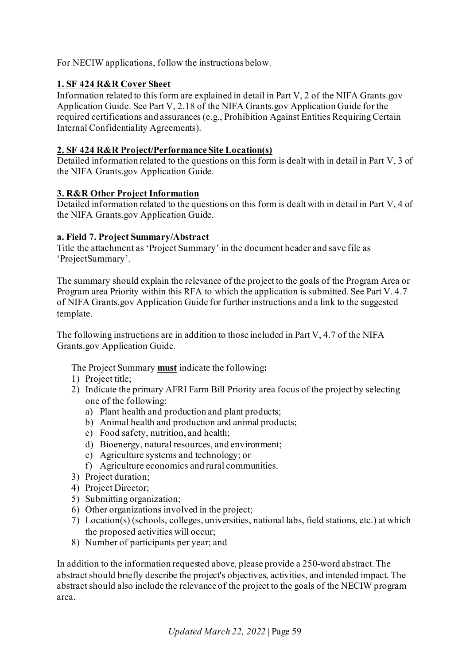For NECIW applications, follow the instructions below.

# <span id="page-58-0"></span>**1. SF 424 R&R Cover Sheet**

Information related to this form are explained in detail in Part V, 2 of the NIFA Grants.gov Application Guide. See Part V, 2.18 of the NIFA Grants.gov Application Guide for the required certifications and assurances (e.g., Prohibition Against Entities Requiring Certain Internal Confidentiality Agreements).

# <span id="page-58-1"></span>**2. SF 424 R&R Project/Performance Site Location(s)**

Detailed information related to the questions on this form is dealt with in detail in Part V, 3 of the NIFA Grants.gov Application Guide.

### <span id="page-58-2"></span>**3. R&R Other Project Information**

Detailed information related to the questions on this form is dealt with in detail in Part V, 4 of the NIFA Grants.gov Application Guide.

### **a. Field 7. Project Summary/Abstract**

Title the attachment as 'Project Summary' in the document header and save file as 'ProjectSummary'.

The summary should explain the relevance of the project to the goals of the Program Area or Program area Priority within this RFA to which the application is submitted. See Part V. 4.7 of NIFA Grants.gov Application Guide for further instructions and a link to the suggested template.

The following instructions are in addition to those included in Part V, 4.7 of the NIFA Grants.gov Application Guide.

The Project Summary **must** indicate the following**:** 

- 1) Project title;
- 2) Indicate the primary AFRI Farm Bill Priority area focus of the project by selecting one of the following:
	- a) Plant health and production and plant products;
	- b) Animal health and production and animal products;
	- c) Food safety, nutrition, and health;
	- d) Bioenergy, natural resources, and environment;
	- e) Agriculture systems and technology; or
	- f) Agriculture economics and rural communities.
- 3) Project duration;
- 4) Project Director;
- 5) Submitting organization;
- 6) Other organizations involved in the project;
- 7) Location(s) (schools, colleges, universities, national labs, field stations, etc.) at which the proposed activities will occur;
- 8) Number of participants per year; and

In addition to the information requested above, please provide a 250-word abstract. The abstract should briefly describe the project's objectives, activities, and intended impact. The abstract should also include the relevance of the project to the goals of the NECIW program area.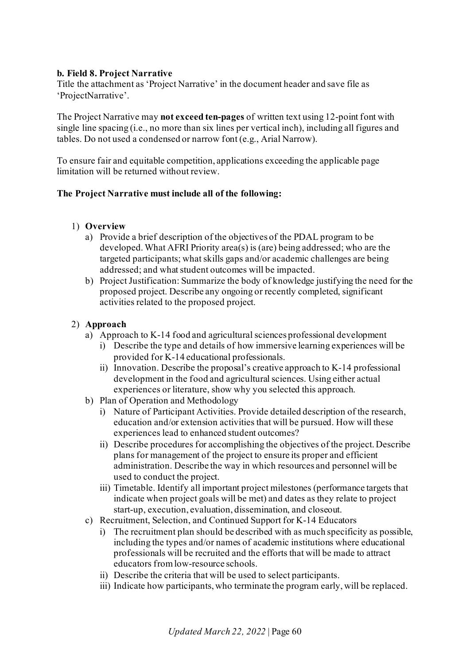# **b. Field 8. Project Narrative**

Title the attachment as 'Project Narrative' in the document header and save file as 'ProjectNarrative'.

The Project Narrative may **not exceed ten-pages** of written text using 12-point font with single line spacing (i.e., no more than six lines per vertical inch), including all figures and tables. Do not used a condensed or narrow font (e.g., Arial Narrow).

To ensure fair and equitable competition, applications exceeding the applicable page limitation will be returned without review.

### **The Project Narrative must include all of the following:**

### 1) **Overview**

- a) Provide a brief description of the objectives of the PDAL program to be developed. What AFRI Priority area(s) is (are) being addressed; who are the targeted participants; what skills gaps and/or academic challenges are being addressed; and what student outcomes will be impacted.
- b) Project Justification: Summarize the body of knowledge justifying the need for the proposed project. Describe any ongoing or recently completed, significant activities related to the proposed project.

### 2) **Approach**

- a) Approach to K-14 food and agricultural sciences professional development
	- i) Describe the type and details of how immersive learning experiences will be provided for K-14 educational professionals.
	- ii) Innovation. Describe the proposal's creative approach to K-14 professional development in the food and agricultural sciences. Using either actual experiences or literature, show why you selected this approach.
- b) Plan of Operation and Methodology
	- i) Nature of Participant Activities. Provide detailed description of the research, education and/or extension activities that will be pursued. How will these experiences lead to enhanced student outcomes?
	- ii) Describe procedures for accomplishing the objectives of the project. Describe plans for management of the project to ensure its proper and efficient administration. Describe the way in which resources and personnel will be used to conduct the project.
	- iii) Timetable. Identify all important project milestones (performance targets that indicate when project goals will be met) and dates as they relate to project start-up, execution, evaluation, dissemination, and closeout.
- c) Recruitment, Selection, and Continued Support for K-14 Educators
	- i) The recruitment plan should be described with as much specificity as possible, including the types and/or names of academic institutions where educational professionals will be recruited and the efforts that will be made to attract educators from low-resource schools.
	- ii) Describe the criteria that will be used to select participants.
	- iii) Indicate how participants, who terminate the program early, will be replaced.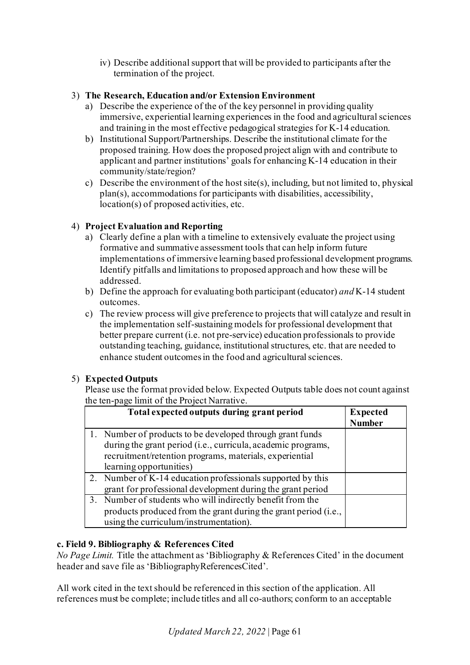iv) Describe additional support that will be provided to participants after the termination of the project.

# 3) **The Research, Education and/or Extension Environment**

- a) Describe the experience of the of the key personnel in providing quality immersive, experiential learning experiences in the food and agricultural sciences and training in the most effective pedagogical strategies for K-14 education.
- b) Institutional Support/Partnerships. Describe the institutional climate for the proposed training. How does the proposed project align with and contribute to applicant and partner institutions' goals for enhancing K-14 education in their community/state/region?
- c) Describe the environment of the host site(s), including, but not limited to, physical plan(s), accommodations for participants with disabilities, accessibility, location(s) of proposed activities, etc.

# 4) **Project Evaluation and Reporting**

- a) Clearly define a plan with a timeline to extensively evaluate the project using formative and summative assessment tools that can help inform future implementations of immersive learning based professional development programs. Identify pitfalls and limitations to proposed approach and how these will be addressed.
- b) Define the approach for evaluating both participant (educator) *and* K-14 student outcomes.
- c) The review process will give preference to projects that will catalyze and result in the implementation self-sustaining models for professional development that better prepare current (i.e. not pre-service) education professionals to provide outstanding teaching, guidance, institutional structures, etc. that are needed to enhance student outcomes in the food and agricultural sciences.

# 5) **Expected Outputs**

Please use the format provided below. Expected Outputs table does not count against the ten-page limit of the Project Narrative.

| Total expected outputs during grant period                      | <b>Expected</b><br><b>Number</b> |
|-----------------------------------------------------------------|----------------------------------|
| 1. Number of products to be developed through grant funds       |                                  |
| during the grant period (i.e., curricula, academic programs,    |                                  |
| recruitment/retention programs, materials, experiential         |                                  |
| learning opportunities)                                         |                                  |
| 2. Number of K-14 education professionals supported by this     |                                  |
| grant for professional development during the grant period      |                                  |
| 3. Number of students who will indirectly benefit from the      |                                  |
| products produced from the grant during the grant period (i.e., |                                  |
| using the curriculum/instrumentation).                          |                                  |

# **c. Field 9. Bibliography & References Cited**

*No Page Limit.* Title the attachment as 'Bibliography & References Cited' in the document header and save file as 'BibliographyReferencesCited'.

All work cited in the text should be referenced in this section of the application. All references must be complete; include titles and all co-authors; conform to an acceptable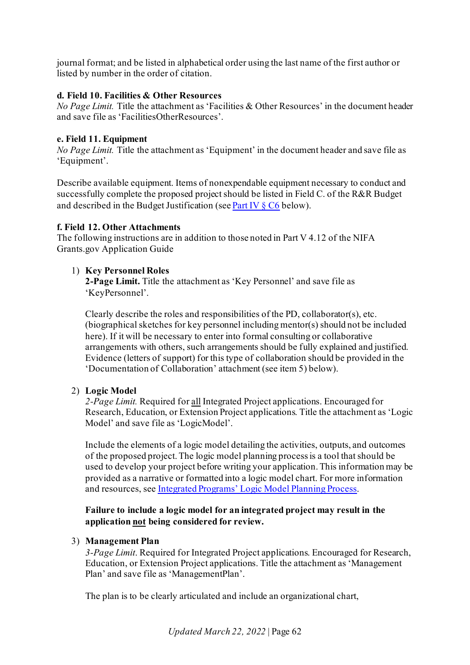journal format; and be listed in alphabetical order using the last name of the first author or listed by number in the order of citation.

## **d. Field 10. Facilities & Other Resources**

*No Page Limit.* Title the attachment as 'Facilities & Other Resources' in the document header and save file as 'FacilitiesOtherResources'.

### **e. Field 11. Equipment**

*No Page Limit.* Title the attachment as 'Equipment' in the document header and save file as 'Equipment'.

Describe available equipment. Items of nonexpendable equipment necessary to conduct and successfully complete the proposed project should be listed in Field C. of the R&R Budget and described in the Budget Justification (se[e Part IV § C6](#page-30-0) below).

# **f. Field 12. Other Attachments**

The following instructions are in addition to those noted in Part V 4.12 of the NIFA Grants.gov Application Guide

# 1) **Key Personnel Roles**

**2-Page Limit.** Title the attachment as 'Key Personnel' and save file as 'KeyPersonnel'.

Clearly describe the roles and responsibilities of the PD, collaborator(s), etc. (biographical sketches for key personnel including mentor(s) should not be included here). If it will be necessary to enter into formal consulting or collaborative arrangements with others, such arrangements should be fully explained and justified. Evidence (letters of support) for this type of collaboration should be provided in the 'Documentation of Collaboration' attachment (see item 5) below).

# 2) **Logic Model**

*2-Page Limit.* Required for all Integrated Project applications. Encouraged for Research, Education, or Extension Project applications. Title the attachment as 'Logic Model' and save file as 'LogicModel'.

Include the elements of a logic model detailing the activities, outputs, and outcomes of the proposed project. The logic model planning process is a tool that should be used to develop your project before writing your application. This information may be provided as a narrative or formatted into a logic model chart. For more information and resources, se[e Integrated Programs' Logic Model Planning Process](https://nifa.usda.gov/resource/integrated-programs-logic-model-planning-process).

# **Failure to include a logic model for an integrated project may result in the application not being considered for review.**

# 3) **Management Plan**

*3-Page Limit*. Required for Integrated Project applications. Encouraged for Research, Education, or Extension Project applications. Title the attachment as 'Management Plan' and save file as 'ManagementPlan'.

The plan is to be clearly articulated and include an organizational chart,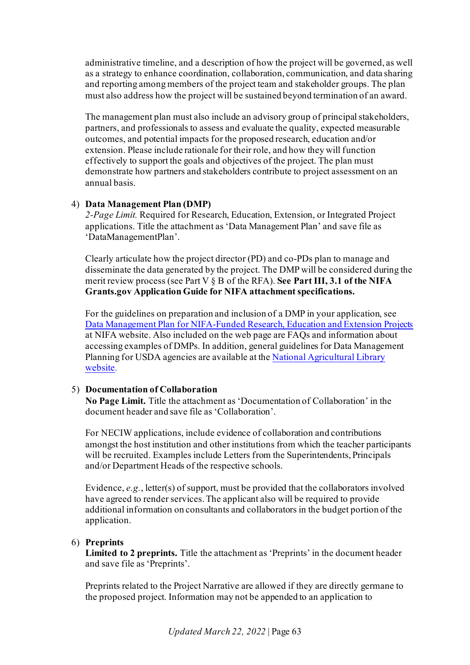administrative timeline, and a description of how the project will be governed, as well as a strategy to enhance coordination, collaboration, communication, and data sharing and reporting among members of the project team and stakeholder groups. The plan must also address how the project will be sustained beyond termination of an award.

The management plan must also include an advisory group of principal stakeholders, partners, and professionals to assess and evaluate the quality, expected measurable outcomes, and potential impacts for the proposed research, education and/or extension. Please include rationale for their role, and how they will function effectively to support the goals and objectives of the project. The plan must demonstrate how partners and stakeholders contribute to project assessment on an annual basis.

# 4) **Data Management Plan (DMP)**

*2-Page Limit.* Required for Research, Education, Extension, or Integrated Project applications. Title the attachment as 'Data Management Plan' and save file as 'DataManagementPlan'.

Clearly articulate how the project director (PD) and co-PDs plan to manage and disseminate the data generated by the project. The DMP will be considered during the merit review process (see Part V § B of the RFA). **See Part III, 3.1 of the NIFA Grants.gov Application Guide for NIFA attachment specifications.**

For the guidelines on preparation and inclusion of a DMP in your application, see [Data Management Plan for NIFA-Funded Research, Education and Extension Projects](https://nifa.usda.gov/resource/data-management-plan-nifa-funded-research-projects) at NIFA website. Also included on the web page are FAQs and information about accessing examples of DMPs. In addition, general guidelines for Data Management Planning for USDA agencies are available at th[e National Agricultural Library](https://www.nal.usda.gov/ks/guidelines-data-management-planning)  [website.](https://www.nal.usda.gov/ks/guidelines-data-management-planning)

# 5) **Documentation of Collaboration**

**No Page Limit.** Title the attachment as 'Documentation of Collaboration' in the document header and save file as 'Collaboration'.

For NECIW applications, include evidence of collaboration and contributions amongst the host institution and other institutions from which the teacher participants will be recruited. Examples include Letters from the Superintendents, Principals and/or Department Heads of the respective schools.

Evidence, *e.g.*, letter(s) of support, must be provided that the collaborators involved have agreed to render services. The applicant also will be required to provide additional information on consultants and collaborators in the budget portion of the application.

# 6) **Preprints**

**Limited to 2 preprints.** Title the attachment as 'Preprints' in the document header and save file as 'Preprints'.

Preprints related to the Project Narrative are allowed if they are directly germane to the proposed project. Information may not be appended to an application to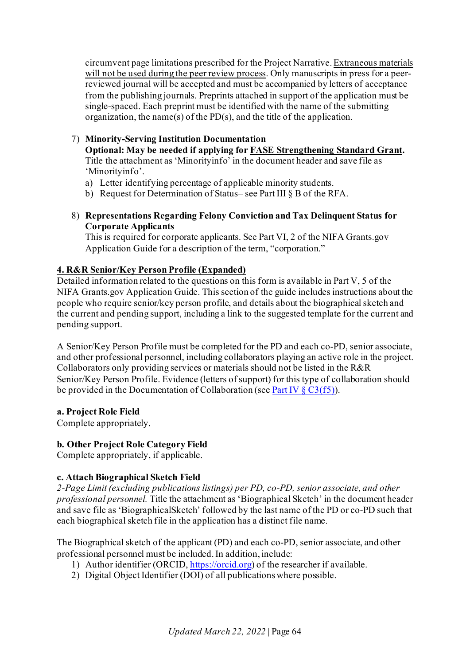circumvent page limitations prescribed for the Project Narrative. Extraneous materials will not be used during the peer review process. Only manuscripts in press for a peerreviewed journal will be accepted and must be accompanied by letters of acceptance from the publishing journals. Preprints attached in support of the application must be single-spaced. Each preprint must be identified with the name of the submitting organization, the name(s) of the PD(s), and the title of the application.

# 7) **Minority-Serving Institution Documentation**

**Optional: May be needed if applying for [FASE Strengthening Standard Grant.](https://nifa.usda.gov/afri-fase-epscor-program)** Title the attachment as 'Minorityinfo' in the document header and save file as 'Minorityinfo'.

- a) Letter identifying percentage of applicable minority students.
- b) Request for Determination of Status– see Part III § B of the RFA.
- 8) **Representations Regarding Felony Conviction and Tax Delinquent Status for Corporate Applicants**

This is required for corporate applicants. See Part VI, 2 of the NIFA Grants.gov Application Guide for a description of the term, "corporation."

# <span id="page-63-0"></span>**4. R&R Senior/Key Person Profile (Expanded)**

Detailed information related to the questions on this form is available in Part V, 5 of the NIFA Grants.gov Application Guide. This section of the guide includes instructions about the people who require senior/key person profile, and details about the biographical sketch and the current and pending support, including a link to the suggested template for the current and pending support.

A Senior/Key Person Profile must be completed for the PD and each co-PD, senior associate, and other professional personnel, including collaborators playing an active role in the project. Collaborators only providing services or materials should not be listed in the R&R Senior/Key Person Profile. Evidence (letters of support) for this type of collaboration should be provided in the Documentation of Collaboration (see Part IV  $\S$  C3(f5)).

# **a. Project Role Field**

Complete appropriately.

# **b. Other Project Role Category Field**

Complete appropriately, if applicable.

# **c. Attach Biographical Sketch Field**

*2-Page Limit (excluding publications listings) per PD, co-PD, senior associate, and other professional personnel.* Title the attachment as 'Biographical Sketch' in the document header and save file as 'BiographicalSketch' followed by the last name of the PD or co-PD such that each biographical sketch file in the application has a distinct file name.

The Biographical sketch of the applicant (PD) and each co-PD, senior associate, and other professional personnel must be included. In addition, include:

- 1) Author identifier (ORCID[, https://orcid.org\)](https://orcid.org/) of the researcher if available.
- 2) Digital Object Identifier (DOI) of all publications where possible.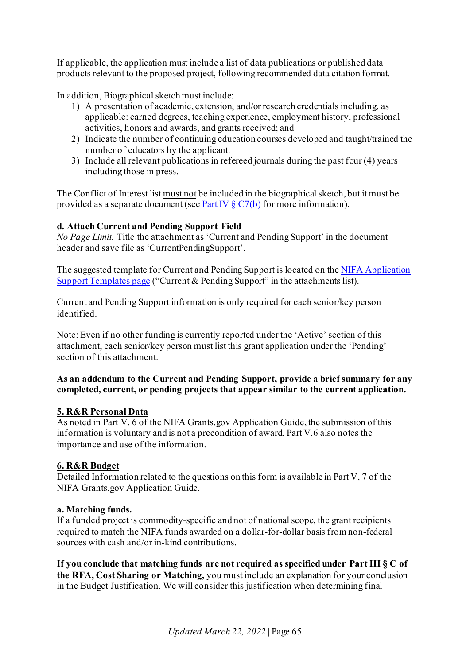If applicable, the application must include a list of data publications or published data products relevant to the proposed project, following recommended data citation format.

In addition, Biographical sketch must include:

- 1) A presentation of academic, extension, and/or research credentials including, as applicable: earned degrees, teaching experience, employment history, professional activities, honors and awards, and grants received; and
- 2) Indicate the number of continuing education courses developed and taught/trained the number of educators by the applicant.
- 3) Include all relevant publications in refereed journals during the past four (4) years including those in press.

The Conflict of Interest list must not be included in the biographical sketch, but it must be provided as a separate document (see Part IV  $\S C7(b)$  for more information).

# **d. Attach Current and Pending Support Field**

*No Page Limit.* Title the attachment as 'Current and Pending Support' in the document header and save file as 'CurrentPendingSupport'.

The suggested template for Current and Pending Support is located on th[e NIFA Application](https://nifa.usda.gov/resource/application-support-templates)  [Support Templates page](https://nifa.usda.gov/resource/application-support-templates) ("Current & Pending Support" in the attachments list).

Current and Pending Support information is only required for each senior/key person identified.

Note: Even if no other funding is currently reported under the 'Active' section of this attachment, each senior/key person must list this grant application under the 'Pending' section of this attachment.

# **As an addendum to the Current and Pending Support, provide a brief summary for any completed, current, or pending projects that appear similar to the current application.**

# <span id="page-64-0"></span>**5. R&R Personal Data**

As noted in Part V, 6 of the NIFA Grants.gov Application Guide, the submission of this information is voluntary and is not a precondition of award. Part V.6 also notes the importance and use of the information.

# <span id="page-64-1"></span>**6. R&R Budget**

Detailed Information related to the questions on this form is available in Part V, 7 of the NIFA Grants.gov Application Guide.

# **a. Matching funds.**

If a funded project is commodity-specific and not of national scope, the grant recipients required to match the NIFA funds awarded on a dollar-for-dollar basis from non-federal sources with cash and/or in-kind contributions.

**If you conclude that matching funds are not required as specified under Part III § C of the RFA, Cost Sharing or Matching,** you must include an explanation for your conclusion in the Budget Justification. We will consider this justification when determining final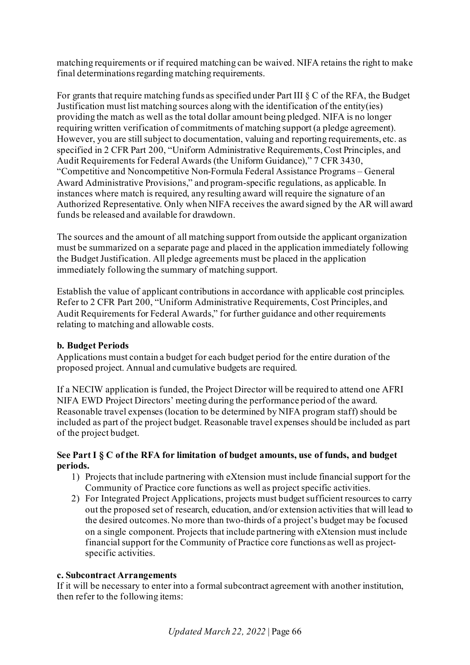matching requirements or if required matching can be waived. NIFA retains the right to make final determinations regarding matching requirements.

For grants that require matching funds as specified under Part III § C of the RFA, the Budget Justification must list matching sources along with the identification of the entity(ies) providing the match as well as the total dollar amount being pledged. NIFA is no longer requiring written verification of commitments of matching support (a pledge agreement). However, you are still subject to documentation, valuing and reporting requirements, etc. as specified in 2 CFR Part 200, "Uniform Administrative Requirements, Cost Principles, and Audit Requirements for Federal Awards (the Uniform Guidance)," 7 CFR 3430, "Competitive and Noncompetitive Non-Formula Federal Assistance Programs – General Award Administrative Provisions," and program-specific regulations, as applicable. In instances where match is required, any resulting award will require the signature of an Authorized Representative. Only when NIFA receives the award signed by the AR will award funds be released and available for drawdown.

The sources and the amount of all matching support from outside the applicant organization must be summarized on a separate page and placed in the application immediately following the Budget Justification. All pledge agreements must be placed in the application immediately following the summary of matching support.

Establish the value of applicant contributions in accordance with applicable cost principles. Refer to 2 CFR Part 200, "Uniform Administrative Requirements, Cost Principles, and Audit Requirements for Federal Awards," for further guidance and other requirements relating to matching and allowable costs.

# **b. Budget Periods**

Applications must contain a budget for each budget period for the entire duration of the proposed project. Annual and cumulative budgets are required.

If a NECIW application is funded, the Project Director will be required to attend one AFRI NIFA EWD Project Directors' meeting during the performance period of the award. Reasonable travel expenses (location to be determined by NIFA program staff) should be included as part of the project budget. Reasonable travel expenses should be included as part of the project budget.

### **See Part I § C of the RFA for limitation of budget amounts, use of funds, and budget periods.**

- 1) Projects that include partnering with eXtension must include financial support for the Community of Practice core functions as well as project specific activities.
- 2) For Integrated Project Applications, projects must budget sufficient resources to carry out the proposed set of research, education, and/or extension activities that will lead to the desired outcomes. No more than two-thirds of a project's budget may be focused on a single component. Projects that include partnering with eXtension must include financial support for the Community of Practice core functions as well as projectspecific activities.

#### **c. Subcontract Arrangements**

If it will be necessary to enter into a formal subcontract agreement with another institution, then refer to the following items: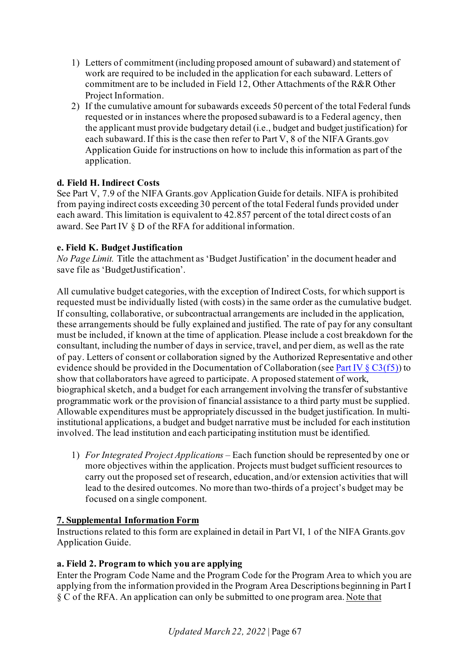- 1) Letters of commitment (including proposed amount of subaward) and statement of work are required to be included in the application for each subaward. Letters of commitment are to be included in Field 12, Other Attachments of the R&R Other Project Information.
- 2) If the cumulative amount for subawards exceeds 50 percent of the total Federal funds requested or in instances where the proposed subaward is to a Federal agency, then the applicant must provide budgetary detail (i.e., budget and budget justification) for each subaward. If this is the case then refer to Part V, 8 of the NIFA Grants.gov Application Guide for instructions on how to include this information as part of the application.

# **d. Field H. Indirect Costs**

See Part V, 7.9 of the NIFA Grants.gov Application Guide for details. NIFA is prohibited from paying indirect costs exceeding 30 percent of the total Federal funds provided under each award. This limitation is equivalent to 42.857 percent of the total direct costs of an award. See Part IV § D of the RFA for additional information.

# **e. Field K. Budget Justification**

*No Page Limit.* Title the attachment as 'Budget Justification' in the document header and save file as 'BudgetJustification'.

All cumulative budget categories, with the exception of Indirect Costs, for which support is requested must be individually listed (with costs) in the same order as the cumulative budget. If consulting, collaborative, or subcontractual arrangements are included in the application, these arrangements should be fully explained and justified. The rate of pay for any consultant must be included, if known at the time of application. Please include a cost breakdown for the consultant, including the number of days in service, travel, and per diem, as well as the rate of pay. Letters of consent or collaboration signed by the Authorized Representative and other evidence should be provided in the Documentation of Collaboration (see Part IV  $\S$  C3(f5)) to show that collaborators have agreed to participate. A proposed statement of work, biographical sketch, and a budget for each arrangement involving the transfer of substantive programmatic work or the provision of financial assistance to a third party must be supplied. Allowable expenditures must be appropriately discussed in the budget justification. In multiinstitutional applications, a budget and budget narrative must be included for each institution involved. The lead institution and each participating institution must be identified.

1) *For Integrated Project Applications –* Each function should be represented by one or more objectives within the application. Projects must budget sufficient resources to carry out the proposed set of research, education, and/or extension activities that will lead to the desired outcomes. No more than two-thirds of a project's budget may be focused on a single component.

# <span id="page-66-0"></span>**7. Supplemental Information Form**

Instructions related to this form are explained in detail in Part VI, 1 of the NIFA Grants.gov Application Guide.

#### **a. Field 2. Program to which you are applying**

Enter the Program Code Name and the Program Code for the Program Area to which you are applying from the information provided in the Program Area Descriptions beginning in Part I § C of the RFA. An application can only be submitted to one program area. Note that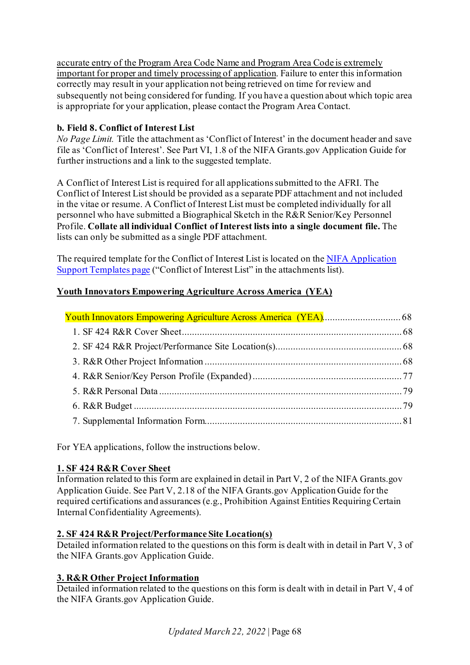accurate entry of the Program Area Code Name and Program Area Code is extremely important for proper and timely processing of application. Failure to enter this information correctly may result in your application not being retrieved on time for review and subsequently not being considered for funding. If you have a question about which topic area is appropriate for your application, please contact the Program Area Contact.

# **b. Field 8. Conflict of Interest List**

*No Page Limit.* Title the attachment as 'Conflict of Interest' in the document header and save file as 'Conflict of Interest'. See Part VI, 1.8 of the NIFA Grants.gov Application Guide for further instructions and a link to the suggested template.

A Conflict of Interest List is required for all applications submitted to the AFRI. The Conflict of Interest List should be provided as a separate PDF attachment and not included in the vitae or resume. A Conflict of Interest List must be completed individually for all personnel who have submitted a Biographical Sketch in the R&R Senior/Key Personnel Profile. **Collate all individual Conflict of Interest lists into a single document file.** The lists can only be submitted as a single PDF attachment.

The required template for the Conflict of Interest List is located on the [NIFA Application](https://nifa.usda.gov/resource/application-support-templates)  [Support Templates page](https://nifa.usda.gov/resource/application-support-templates) ("Conflict of Interest List" in the attachments list).

# <span id="page-67-0"></span>**Youth Innovators Empowering Agriculture Across America (YEA)**

For YEA applications, follow the instructions below.

# <span id="page-67-1"></span>**1. SF 424 R&R Cover Sheet**

Information related to this form are explained in detail in Part V, 2 of the NIFA Grants.gov Application Guide. See Part V, 2.18 of the NIFA Grants.gov Application Guide for the required certifications and assurances (e.g., Prohibition Against Entities Requiring Certain Internal Confidentiality Agreements).

# <span id="page-67-2"></span>**2. SF 424 R&R Project/Performance Site Location(s)**

Detailed information related to the questions on this form is dealt with in detail in Part V, 3 of the NIFA Grants.gov Application Guide.

# <span id="page-67-3"></span>**3. R&R Other Project Information**

Detailed information related to the questions on this form is dealt with in detail in Part V, 4 of the NIFA Grants.gov Application Guide.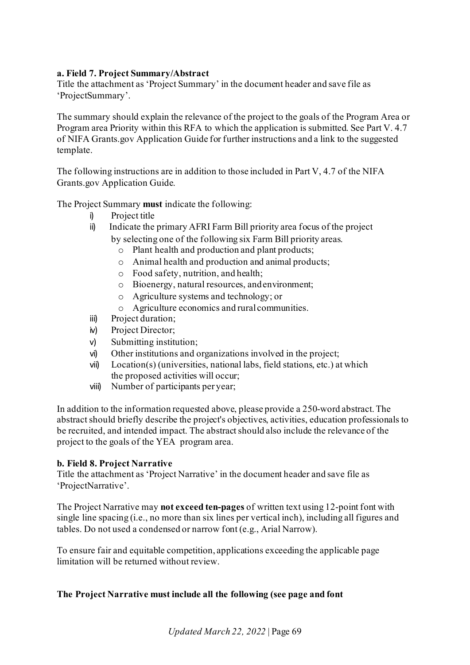# **a. Field 7. Project Summary/Abstract**

Title the attachment as 'Project Summary' in the document header and save file as 'ProjectSummary'.

The summary should explain the relevance of the project to the goals of the Program Area or Program area Priority within this RFA to which the application is submitted. See Part V. 4.7 of NIFA Grants.gov Application Guide for further instructions and a link to the suggested template.

The following instructions are in addition to those included in Part V, 4.7 of the NIFA Grants.gov Application Guide.

The Project Summary **must** indicate the following:

- i) Project title
- ii) Indicate the primary AFRI Farm Bill priority area focus of the project by selecting one of the following six Farm Bill priority areas.
	- o Plant health and production and plant products;
	- o Animal health and production and animal products;
	- o Food safety, nutrition, and health;
	- o Bioenergy, natural resources, andenvironment;
	- o Agriculture systems and technology; or
	- o Agriculture economics and rural communities.
- iii) Project duration;
- iv) Project Director;
- v) Submitting institution;
- vi) Other institutions and organizations involved in the project;
- vii) Location(s) (universities, national labs, field stations, etc.) at which the proposed activities will occur;
- viii) Number of participants per year;

In addition to the information requested above, please provide a 250-word abstract. The abstract should briefly describe the project's objectives, activities, education professionals to be recruited, and intended impact. The abstract should also include the relevance of the project to the goals of the YEA program area.

#### **b. Field 8. Project Narrative**

Title the attachment as 'Project Narrative' in the document header and save file as 'ProjectNarrative'.

The Project Narrative may **not exceed ten-pages** of written text using 12-point font with single line spacing (i.e., no more than six lines per vertical inch), including all figures and tables. Do not used a condensed or narrow font (e.g., Arial Narrow).

To ensure fair and equitable competition, applications exceeding the applicable page limitation will be returned without review.

#### **The Project Narrative must include all the following (see page and font**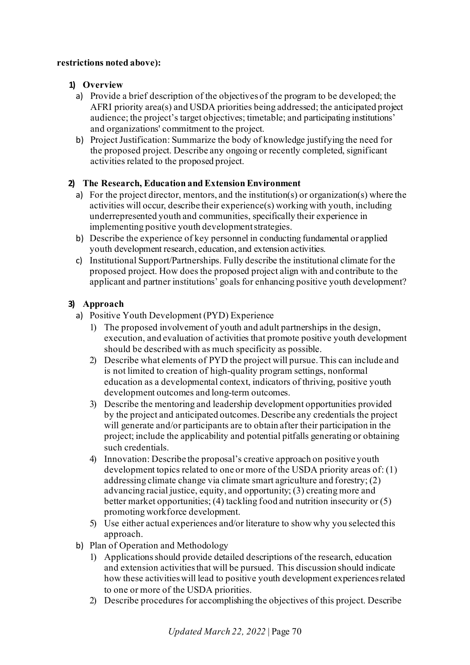## **restrictions noted above):**

# **1) Overview**

- a) Provide a brief description of the objectives of the program to be developed; the AFRI priority area(s) and USDA priorities being addressed; the anticipated project audience; the project's target objectives; timetable; and participating institutions' and organizations' commitment to the project.
- b) Project Justification: Summarize the body of knowledge justifying the need for the proposed project. Describe any ongoing or recently completed, significant activities related to the proposed project.

# **2) The Research, Education and Extension Environment**

- a) For the project director, mentors, and the institution(s) or organization(s) where the activities will occur, describe their experience(s) working with youth, including underrepresented youth and communities, specifically their experience in implementing positive youth developmentstrategies.
- b) Describe the experience of key personnel in conducting fundamental or applied youth development research, education, and extension activities.
- c) Institutional Support/Partnerships. Fully describe the institutional climate for the proposed project. How does the proposed project align with and contribute to the applicant and partner institutions' goals for enhancing positive youth development?

# **3) Approach**

- a) Positive Youth Development (PYD) Experience
	- 1) The proposed involvement of youth and adult partnerships in the design, execution, and evaluation of activities that promote positive youth development should be described with as much specificity as possible.
	- 2) Describe what elements of PYD the project will pursue. This can include and is not limited to creation of high-quality program settings, nonformal education as a developmental context, indicators of thriving, positive youth development outcomes and long-term outcomes.
	- 3) Describe the mentoring and leadership development opportunities provided by the project and anticipated outcomes. Describe any credentials the project will generate and/or participants are to obtain after their participation in the project; include the applicability and potential pitfalls generating or obtaining such credentials.
	- 4) Innovation: Describe the proposal's creative approach on positive youth development topics related to one or more of the USDA priority areas of: (1) addressing climate change via climate smart agriculture and forestry; (2) advancing racial justice, equity, and opportunity; (3) creating more and better market opportunities; (4) tackling food and nutrition insecurity or (5) promoting workforce development.
	- 5) Use either actual experiences and/or literature to show why you selected this approach.
- b) Plan of Operation and Methodology
	- 1) Applications should provide detailed descriptions of the research, education and extension activities that will be pursued. This discussion should indicate how these activities will lead to positive youth development experiences related to one or more of the USDA priorities.
	- 2) Describe procedures for accomplishing the objectives of this project. Describe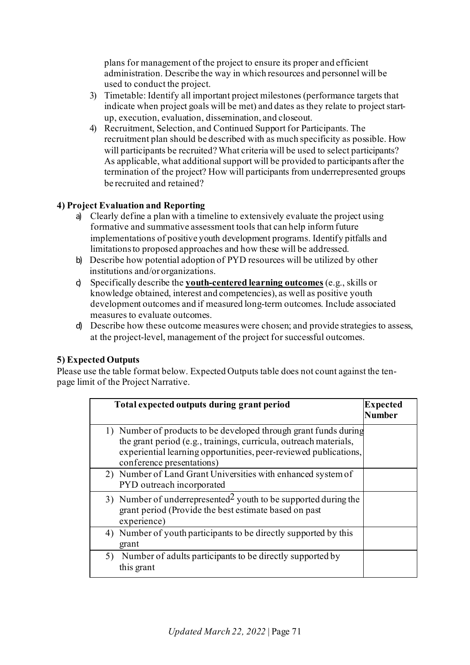plans for management of the project to ensure its proper and efficient administration. Describe the way in which resources and personnel will be used to conduct the project.

- 3) Timetable: Identify all important project milestones (performance targets that indicate when project goals will be met) and dates as they relate to project startup, execution, evaluation, dissemination, and closeout.
- 4) Recruitment, Selection, and Continued Support for Participants. The recruitment plan should be described with as much specificity as possible. How will participants be recruited? What criteria will be used to select participants? As applicable, what additional support will be provided to participants after the termination of the project? How will participants from underrepresented groups be recruited and retained?

# **4) Project Evaluation and Reporting**

- a) Clearly define a plan with a timeline to extensively evaluate the project using formative and summative assessment tools that can help inform future implementations of positive youth development programs. Identify pitfalls and limitations to proposed approaches and how these will be addressed.
- b) Describe how potential adoption of PYD resources will be utilized by other institutions and/or organizations.
- c) Specifically describe the **youth-centered learning outcomes** (e.g., skills or knowledge obtained, interest and competencies), as well as positive youth development outcomes and if measured long-term outcomes. Include associated measures to evaluate outcomes.
- d) Describe how these outcome measures were chosen; and provide strategies to assess, at the project-level, management of the project for successful outcomes.

# **5) Expected Outputs**

Please use the table format below. Expected Outputs table does not count against the tenpage limit of the Project Narrative.

| Total expected outputs during grant period                                                                                                                                                                                             | <b>Expected</b><br><b>Number</b> |
|----------------------------------------------------------------------------------------------------------------------------------------------------------------------------------------------------------------------------------------|----------------------------------|
| 1) Number of products to be developed through grant funds during<br>the grant period (e.g., trainings, curricula, outreach materials,<br>experiential learning opportunities, peer-reviewed publications,<br>conference presentations) |                                  |
| 2) Number of Land Grant Universities with enhanced system of<br>PYD outreach incorporated                                                                                                                                              |                                  |
| 3) Number of underrepresented <sup>2</sup> youth to be supported during the<br>grant period (Provide the best estimate based on past<br>experience)                                                                                    |                                  |
| 4) Number of youth participants to be directly supported by this<br>grant                                                                                                                                                              |                                  |
| Number of adults participants to be directly supported by<br>this grant                                                                                                                                                                |                                  |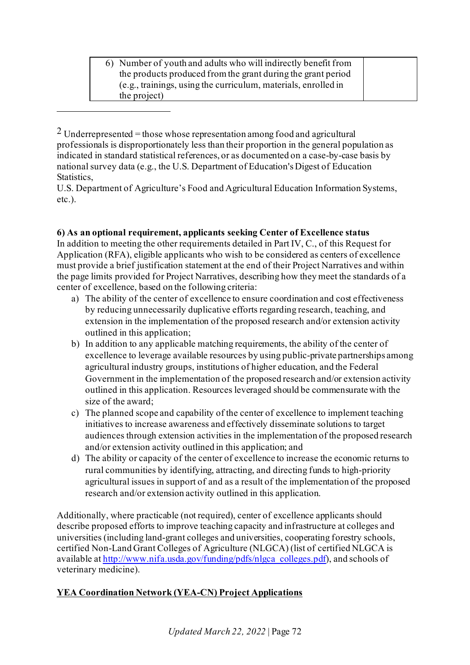6) Number of youth and adults who will indirectly benefit from the products produced from the grant during the grant period (e.g., trainings, using the curriculum, materials, enrolled in the project)

<span id="page-71-0"></span> $2$  Underrepresented = those whose representation among food and agricultural professionals is disproportionately less than their proportion in the general population as indicated in standard statistical references, or as documented on a case-by-case basis by national survey data (e.g., the U.S. Department of Education's Digest of Education Statistics,

U.S. Department of Agriculture's Food and Agricultural Education Information Systems, etc.).

# **6) As an optional requirement, applicants seeking Center of Excellence status**

In addition to meeting the other requirements detailed in Part IV, C., of this Request for Application (RFA), eligible applicants who wish to be considered as centers of excellence must provide a brief justification statement at the end of their Project Narratives and within the page limits provided for Project Narratives, describing how they meet the standards of a center of excellence, based on the following criteria:

- a) The ability of the center of excellence to ensure coordination and cost effectiveness by reducing unnecessarily duplicative efforts regarding research, teaching, and extension in the implementation of the proposed research and/or extension activity outlined in this application;
- b) In addition to any applicable matching requirements, the ability of the center of excellence to leverage available resources by using public-private partnerships among agricultural industry groups, institutions of higher education, and the Federal Government in the implementation of the proposed research and/or extension activity outlined in this application. Resources leveraged should be commensurate with the size of the award;
- c) The planned scope and capability of the center of excellence to implement teaching initiatives to increase awareness and effectively disseminate solutions to target audiences through extension activities in the implementation of the proposed research and/or extension activity outlined in this application; and
- d) The ability or capacity of the center of excellence to increase the economic returns to rural communities by identifying, attracting, and directing funds to high-priority agricultural issues in support of and as a result of the implementation of the proposed research and/or extension activity outlined in this application.

Additionally, where practicable (not required), center of excellence applicants should describe proposed efforts to improve teaching capacity and infrastructure at colleges and universities (including land-grant colleges and universities, cooperating forestry schools, certified Non-Land Grant Colleges of Agriculture (NLGCA) (list of certified NLGCA is available a[t http://www.nifa.usda.gov/funding/pdfs/nlgca\\_colleges.pdf\)](http://www.nifa.usda.gov/funding/pdfs/nlgca_colleges.pdf), and schools of veterinary medicine).

# **YEA Coordination Network (YEA-CN) Project Applications**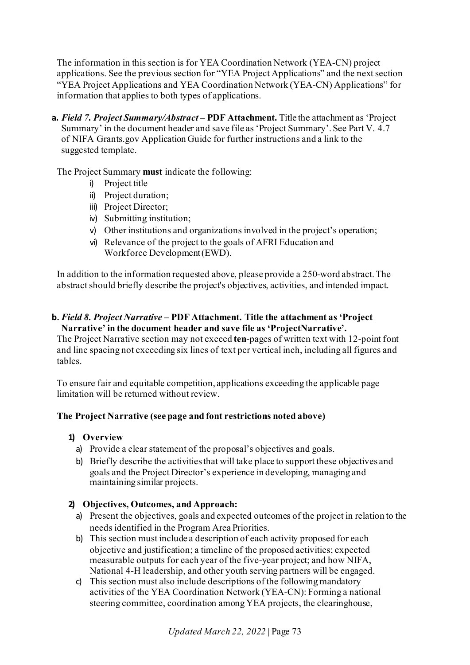The information in this section is for YEA Coordination Network (YEA-CN) project applications. See the previous section for "YEA Project Applications" and the next section "YEA Project Applications and YEA Coordination Network (YEA-CN) Applications" for information that applies to both types of applications.

**a.** Field 7. Project Summary/Abstract – PDF Attachment. Title the attachment as 'Project Summary' in the document header and save file as 'Project Summary'. See Part V. 4.7 of NIFA Grants.gov Application Guide for further instructions and a link to the suggested template.

The Project Summary **must** indicate the following:

- i) Project title
- ii) Project duration;
- iii) Project Director;
- iv) Submitting institution;
- v) Other institutions and organizations involved in the project's operation;
- vi) Relevance of the project to the goals of AFRI Education and Workforce Development(EWD).

In addition to the information requested above, please provide a 250-word abstract. The abstract should briefly describe the project's objectives, activities, and intended impact.

#### **b.** *Field 8. Project Narrative* **– PDF Attachment. Title the attachment as 'Project Narrative' in the document header and save file as 'ProjectNarrative'.**

The Project Narrative section may not exceed **ten**-pages of written text with 12-point font and line spacing not exceeding six lines of text per vertical inch, including all figures and tables.

To ensure fair and equitable competition, applications exceeding the applicable page limitation will be returned without review.

### **The Project Narrative (see page and font restrictions noted above)**

### **1) Overview**

- a) Provide a clear statement of the proposal's objectives and goals.
- b) Briefly describe the activities that will take place to support these objectives and goals and the Project Director's experience in developing, managing and maintaining similar projects.

### **2) Objectives, Outcomes, and Approach:**

- a) Present the objectives, goals and expected outcomes of the project in relation to the needs identified in the Program Area Priorities.
- b) This section must include a description of each activity proposed for each objective and justification; a timeline of the proposed activities; expected measurable outputs for each year of the five-year project; and how NIFA, National 4-H leadership, and other youth serving partners will be engaged.
- c) This section must also include descriptions of the following mandatory activities of the YEA Coordination Network (YEA-CN): Forming a national steering committee, coordination among YEA projects, the clearinghouse,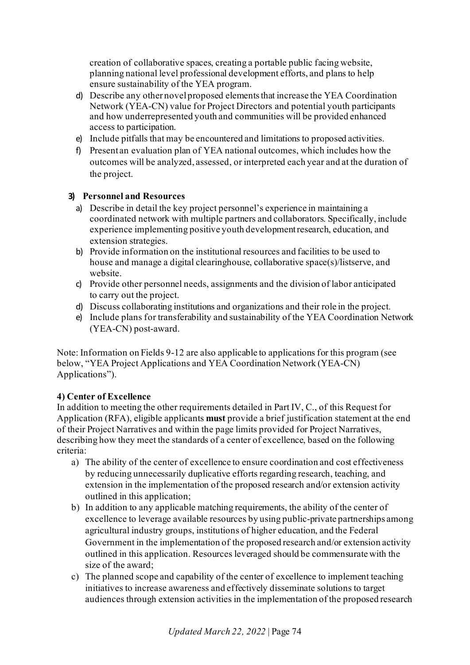creation of collaborative spaces, creating a portable public facing website, planning national level professional development efforts, and plans to help ensure sustainability of the YEA program.

- d) Describe any other novelproposed elementsthat increase the YEA Coordination Network (YEA-CN) value for Project Directors and potential youth participants and how underrepresented youth and communities will be provided enhanced access to participation.
- e) Include pitfalls that may be encountered and limitations to proposed activities.
- f) Present an evaluation plan of YEA national outcomes, which includes how the outcomes will be analyzed, assessed, or interpreted each year and at the duration of the project.

### **3) Personnel and Resources**

- a) Describe in detail the key project personnel's experience in maintaining a coordinated network with multiple partners and collaborators. Specifically, include experience implementing positive youth developmentresearch, education, and extension strategies.
- b) Provide information on the institutional resources and facilities to be used to house and manage a digital clearinghouse, collaborative space(s)/listserve, and website.
- c) Provide other personnel needs, assignments and the division of labor anticipated to carry out the project.
- d) Discuss collaborating institutions and organizations and their role in the project.
- e) Include plans for transferability and sustainability of the YEA Coordination Network (YEA-CN) post-award.

Note: Information on Fields 9-12 are also applicable to applications for this program (see below, "YEA Project Applications and YEA Coordination Network (YEA-CN) Applications").

# **4) Center of Excellence**

In addition to meeting the other requirements detailed in Part IV, C., of this Request for Application (RFA), eligible applicants **must** provide a brief justification statement at the end of their Project Narratives and within the page limits provided for Project Narratives, describing how they meet the standards of a center of excellence, based on the following criteria:

- a) The ability of the center of excellence to ensure coordination and cost effectiveness by reducing unnecessarily duplicative efforts regarding research, teaching, and extension in the implementation of the proposed research and/or extension activity outlined in this application;
- b) In addition to any applicable matching requirements, the ability of the center of excellence to leverage available resources by using public-private partnerships among agricultural industry groups, institutions of higher education, and the Federal Government in the implementation of the proposed research and/or extension activity outlined in this application. Resources leveraged should be commensurate with the size of the award;
- c) The planned scope and capability of the center of excellence to implement teaching initiatives to increase awareness and effectively disseminate solutions to target audiences through extension activities in the implementation of the proposed research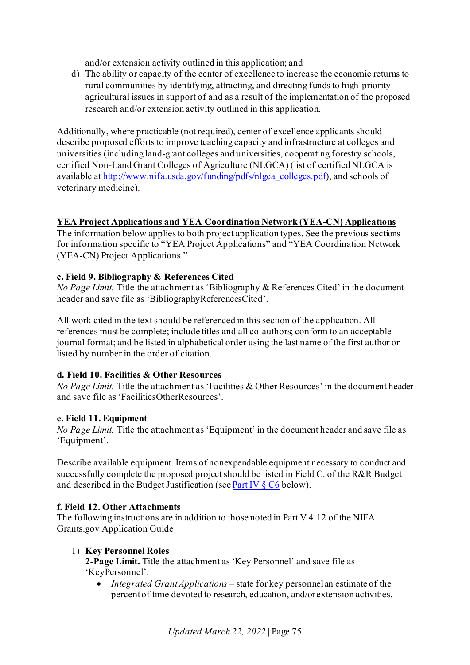and/or extension activity outlined in this application; and

d) The ability or capacity of the center of excellence to increase the economic returns to rural communities by identifying, attracting, and directing funds to high-priority agricultural issues in support of and as a result of the implementation of the proposed research and/or extension activity outlined in this application.

Additionally, where practicable (not required), center of excellence applicants should describe proposed efforts to improve teaching capacity and infrastructure at colleges and universities (including land-grant colleges and universities, cooperating forestry schools, certified Non-Land Grant Colleges of Agriculture (NLGCA) (list of certified NLGCA is available a[t http://www.nifa.usda.gov/funding/pdfs/nlgca\\_colleges.pdf\)](http://www.nifa.usda.gov/funding/pdfs/nlgca_colleges.pdf), and schools of veterinary medicine).

## **YEA Project Applications and YEA Coordination Network (YEA-CN) Applications**

The information below applies to both project application types. See the previous sections for information specific to "YEA Project Applications" and "YEA Coordination Network (YEA-CN) Project Applications."

## **c. Field 9. Bibliography & References Cited**

*No Page Limit.* Title the attachment as 'Bibliography & References Cited' in the document header and save file as 'BibliographyReferencesCited'.

All work cited in the text should be referenced in this section of the application. All references must be complete; include titles and all co-authors; conform to an acceptable journal format; and be listed in alphabetical order using the last name of the first author or listed by number in the order of citation.

### **d. Field 10. Facilities & Other Resources**

*No Page Limit.* Title the attachment as 'Facilities & Other Resources' in the document header and save file as 'FacilitiesOtherResources'.

### **e. Field 11. Equipment**

*No Page Limit.* Title the attachment as 'Equipment' in the document header and save file as 'Equipment'.

Describe available equipment. Items of nonexpendable equipment necessary to conduct and successfully complete the proposed project should be listed in Field C. of the R&R Budget and described in the Budget Justification (se[e Part IV § C6](#page-30-0) below).

### **f. Field 12. Other Attachments**

The following instructions are in addition to those noted in Part V 4.12 of the NIFA Grants.gov Application Guide

### 1) **Key Personnel Roles**

**2-Page Limit.** Title the attachment as 'Key Personnel' and save file as 'KeyPersonnel'.

• *Integrated Grant Applications* – state for key personnel an estimate of the percentof time devoted to research, education, and/or extension activities.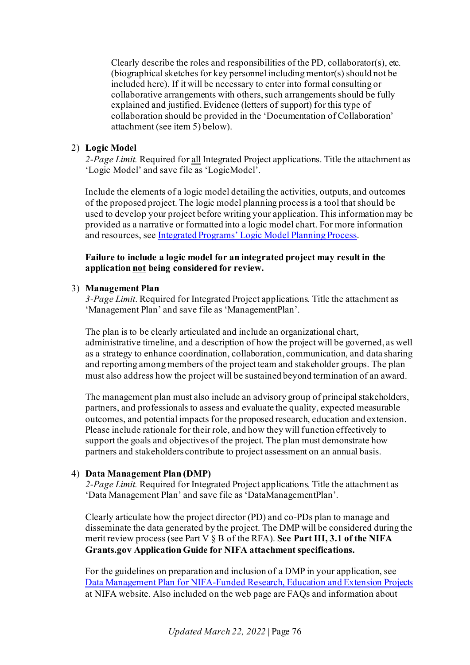Clearly describe the roles and responsibilities of the PD, collaborator(s), etc. (biographical sketches for key personnel including mentor(s) should not be included here). If it will be necessary to enter into formal consulting or collaborative arrangements with others, such arrangements should be fully explained and justified. Evidence (letters of support) for this type of collaboration should be provided in the 'Documentation of Collaboration' attachment (see item 5) below).

#### 2) **Logic Model**

*2-Page Limit.* Required for all Integrated Project applications. Title the attachment as 'Logic Model' and save file as 'LogicModel'.

Include the elements of a logic model detailing the activities, outputs, and outcomes of the proposed project. The logic model planning process is a tool that should be used to develop your project before writing your application. This information may be provided as a narrative or formatted into a logic model chart. For more information and resources, se[e Integrated Programs' Logic Model Planning Process](https://nifa.usda.gov/resource/integrated-programs-logic-model-planning-process).

#### **Failure to include a logic model for an integrated project may result in the application not being considered for review.**

#### 3) **Management Plan**

*3-Page Limit*. Required for Integrated Project applications. Title the attachment as 'Management Plan' and save file as 'ManagementPlan'.

The plan is to be clearly articulated and include an organizational chart, administrative timeline, and a description of how the project will be governed, as well as a strategy to enhance coordination, collaboration, communication, and data sharing and reporting among members of the project team and stakeholder groups. The plan must also address how the project will be sustained beyond termination of an award.

The management plan must also include an advisory group of principal stakeholders, partners, and professionals to assess and evaluate the quality, expected measurable outcomes, and potential impacts for the proposed research, education and extension. Please include rationale for their role, and how they will function effectively to support the goals and objectives of the project. The plan must demonstrate how partners and stakeholders contribute to project assessment on an annual basis.

#### 4) **Data Management Plan (DMP)**

*2-Page Limit.* Required for Integrated Project applications. Title the attachment as 'Data Management Plan' and save file as 'DataManagementPlan'.

Clearly articulate how the project director (PD) and co-PDs plan to manage and disseminate the data generated by the project. The DMP will be considered during the merit review process (see Part V § B of the RFA). **See Part III, 3.1 of the NIFA Grants.gov Application Guide for NIFA attachment specifications.**

For the guidelines on preparation and inclusion of a DMP in your application, see Data Management Plan for [NIFA-Funded Research, Education and Extension Projects](https://nifa.usda.gov/resource/data-management-plan-nifa-funded-research-projects) at NIFA website. Also included on the web page are FAQs and information about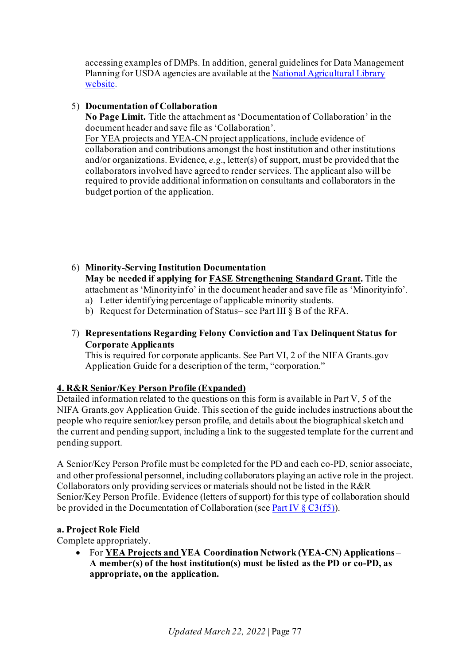accessing examples of DMPs. In addition, general guidelines for Data Management Planning for USDA agencies are available at th[e National Agricultural Library](https://www.nal.usda.gov/ks/guidelines-data-management-planning)  [website.](https://www.nal.usda.gov/ks/guidelines-data-management-planning)

### 5) **Documentation of Collaboration**

**No Page Limit.** Title the attachment as 'Documentation of Collaboration' in the document header and save file as 'Collaboration'.

For YEA projects and YEA-CN project applications, include evidence of collaboration and contributions amongst the host institution and other institutions and/or organizations. Evidence, *e.g.*, letter(s) of support, must be provided that the collaborators involved have agreed to render services. The applicant also will be required to provide additional information on consultants and collaborators in the budget portion of the application.

6) **Minority-Serving Institution Documentation May be needed if applying fo[r FASE Strengthening Standard Grant.](https://nifa.usda.gov/afri-fase-epscor-program)** Title the attachment as 'Minorityinfo' in the document header and save file as 'Minorityinfo'.

- a) Letter identifying percentage of applicable minority students.
- b) Request for Determination of Status– see Part III § B of the RFA.

## 7) **Representations Regarding Felony Conviction and Tax Delinquent Status for Corporate Applicants**

This is required for corporate applicants. See Part VI, 2 of the NIFA Grants.gov Application Guide for a description of the term, "corporation."

### **4. R&R Senior/Key Person Profile (Expanded)**

Detailed information related to the questions on this form is available in Part V, 5 of the NIFA Grants.gov Application Guide. This section of the guide includes instructions about the people who require senior/key person profile, and details about the biographical sketch and the current and pending support, including a link to the suggested template for the current and pending support.

A Senior/Key Person Profile must be completed for the PD and each co-PD, senior associate, and other professional personnel, including collaborators playing an active role in the project. Collaborators only providing services or materials should not be listed in the R&R Senior/Key Person Profile. Evidence (letters of support) for this type of collaboration should be provided in the Documentation of Collaboration (see Part IV  $\S$  C3(f5)).

### **a. Project Role Field**

Complete appropriately.

• For **YEA Projects and YEA Coordination Network (YEA-CN) Applications** – **A member(s) of the host institution(s) must be listed as the PD or co-PD, as appropriate, on the application.**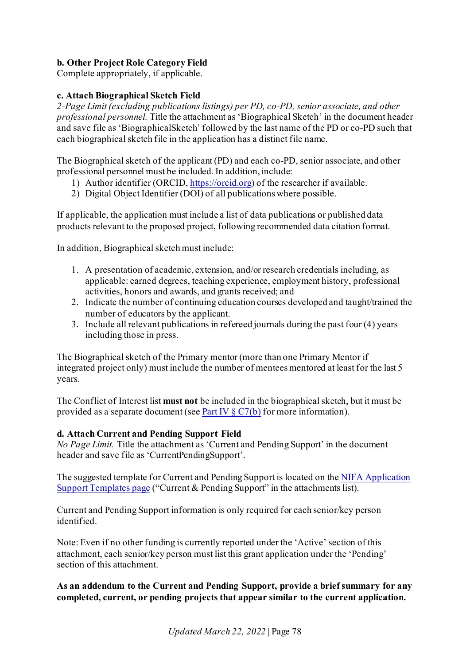## **b. Other Project Role Category Field**

Complete appropriately, if applicable.

## **c. Attach Biographical Sketch Field**

*2-Page Limit (excluding publications listings) per PD, co-PD, senior associate, and other professional personnel.* Title the attachment as 'Biographical Sketch' in the document header and save file as 'BiographicalSketch' followed by the last name of the PD or co-PD such that each biographical sketch file in the application has a distinct file name.

The Biographical sketch of the applicant (PD) and each co-PD, senior associate, and other professional personnel must be included. In addition, include:

- 1) Author identifier (ORCID[, https://orcid.org\)](https://orcid.org/) of the researcher if available.
- 2) Digital Object Identifier (DOI) of all publications where possible.

If applicable, the application must include a list of data publications or published data products relevant to the proposed project, following recommended data citation format.

In addition, Biographical sketch must include:

- 1. A presentation of academic, extension, and/or research credentials including, as applicable: earned degrees, teaching experience, employment history, professional activities, honors and awards, and grants received; and
- 2. Indicate the number of continuing education courses developed and taught/trained the number of educators by the applicant.
- 3. Include all relevant publications in refereed journals during the past four (4) years including those in press.

The Biographical sketch of the Primary mentor (more than one Primary Mentor if integrated project only) must include the number of mentees mentored at least for the last 5 years.

The Conflict of Interest list **must not** be included in the biographical sketch, but it must be provided as a separate document (see Part IV  $\S C7(b)$  for more information).

### **d. Attach Current and Pending Support Field**

*No Page Limit.* Title the attachment as 'Current and Pending Support' in the document header and save file as 'CurrentPendingSupport'.

The suggested template for Current and Pending Support is located on th[e NIFA Application](https://nifa.usda.gov/resource/application-support-templates)  [Support Templates page](https://nifa.usda.gov/resource/application-support-templates) ("Current & Pending Support" in the attachments list).

Current and Pending Support information is only required for each senior/key person identified.

Note: Even if no other funding is currently reported under the 'Active' section of this attachment, each senior/key person must list this grant application under the 'Pending' section of this attachment.

## **As an addendum to the Current and Pending Support, provide a brief summary for any completed, current, or pending projects that appear similar to the current application.**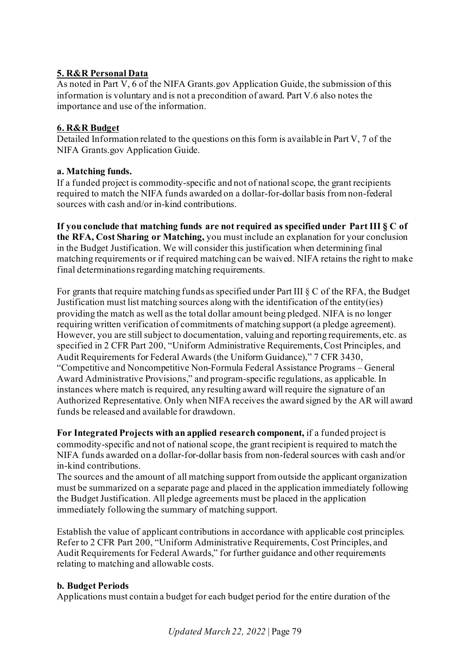# **5. R&R Personal Data**

As noted in Part V, 6 of the NIFA Grants.gov Application Guide, the submission of this information is voluntary and is not a precondition of award. Part V.6 also notes the importance and use of the information.

## **6. R&R Budget**

Detailed Information related to the questions on this form is available in Part V, 7 of the NIFA Grants.gov Application Guide.

## **a. Matching funds.**

If a funded project is commodity-specific and not of national scope, the grant recipients required to match the NIFA funds awarded on a dollar-for-dollar basis from non-federal sources with cash and/or in-kind contributions.

**If you conclude that matching funds are not required as specified under Part III § C of the RFA, Cost Sharing or Matching,** you must include an explanation for your conclusion in the Budget Justification. We will consider this justification when determining final matching requirements or if required matching can be waived. NIFA retains the right to make final determinations regarding matching requirements.

For grants that require matching funds as specified under Part III § C of the RFA, the Budget Justification must list matching sources along with the identification of the entity(ies) providing the match as well as the total dollar amount being pledged. NIFA is no longer requiring written verification of commitments of matching support (a pledge agreement). However, you are still subject to documentation, valuing and reporting requirements, etc. as specified in 2 CFR Part 200, "Uniform Administrative Requirements, Cost Principles, and Audit Requirements for Federal Awards (the Uniform Guidance)," 7 CFR 3430, "Competitive and Noncompetitive Non-Formula Federal Assistance Programs – General Award Administrative Provisions," and program-specific regulations, as applicable. In instances where match is required, any resulting award will require the signature of an Authorized Representative. Only when NIFA receives the award signed by the AR will award funds be released and available for drawdown.

**For Integrated Projects with an applied research component,** if a funded project is commodity-specific and not of national scope, the grant recipient is required to match the NIFA funds awarded on a dollar-for-dollar basis from non-federal sources with cash and/or in-kind contributions.

The sources and the amount of all matching support from outside the applicant organization must be summarized on a separate page and placed in the application immediately following the Budget Justification. All pledge agreements must be placed in the application immediately following the summary of matching support.

Establish the value of applicant contributions in accordance with applicable cost principles. Refer to 2 CFR Part 200, "Uniform Administrative Requirements, Cost Principles, and Audit Requirements for Federal Awards," for further guidance and other requirements relating to matching and allowable costs.

### **b. Budget Periods**

Applications must contain a budget for each budget period for the entire duration of the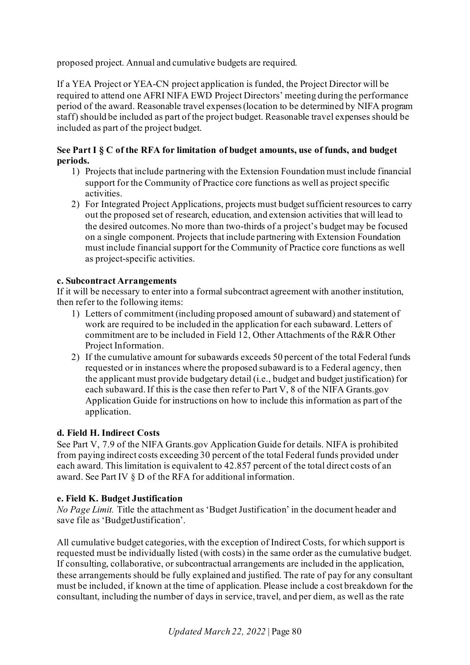proposed project. Annual and cumulative budgets are required.

If a YEA Project or YEA-CN project application is funded, the Project Director will be required to attend one AFRI NIFA EWD Project Directors' meeting during the performance period of the award. Reasonable travel expenses (location to be determined by NIFA program staff) should be included as part of the project budget. Reasonable travel expenses should be included as part of the project budget.

### **See Part I § C of the RFA for limitation of budget amounts, use of funds, and budget periods.**

- 1) Projects that include partnering with the Extension Foundation must include financial support for the Community of Practice core functions as well as project specific activities.
- 2) For Integrated Project Applications, projects must budget sufficient resources to carry out the proposed set of research, education, and extension activities that will lead to the desired outcomes. No more than two-thirds of a project's budget may be focused on a single component. Projects that include partnering with Extension Foundation must include financial support for the Community of Practice core functions as well as project-specific activities.

## **c. Subcontract Arrangements**

If it will be necessary to enter into a formal subcontract agreement with another institution, then refer to the following items:

- 1) Letters of commitment (including proposed amount of subaward) and statement of work are required to be included in the application for each subaward. Letters of commitment are to be included in Field 12, Other Attachments of the R&R Other Project Information.
- 2) If the cumulative amount for subawards exceeds 50 percent of the total Federal funds requested or in instances where the proposed subaward is to a Federal agency, then the applicant must provide budgetary detail (i.e., budget and budget justification) for each subaward. If this is the case then refer to Part V, 8 of the NIFA Grants.gov Application Guide for instructions on how to include this information as part of the application.

### **d. Field H. Indirect Costs**

See Part V, 7.9 of the NIFA Grants.gov Application Guide for details. NIFA is prohibited from paying indirect costs exceeding 30 percent of the total Federal funds provided under each award. This limitation is equivalent to 42.857 percent of the total direct costs of an award. See Part IV § D of the RFA for additional information.

### **e. Field K. Budget Justification**

*No Page Limit.* Title the attachment as 'Budget Justification' in the document header and save file as 'BudgetJustification'.

All cumulative budget categories, with the exception of Indirect Costs, for which support is requested must be individually listed (with costs) in the same order as the cumulative budget. If consulting, collaborative, or subcontractual arrangements are included in the application, these arrangements should be fully explained and justified. The rate of pay for any consultant must be included, if known at the time of application. Please include a cost breakdown for the consultant, including the number of days in service, travel, and per diem, as well as the rate